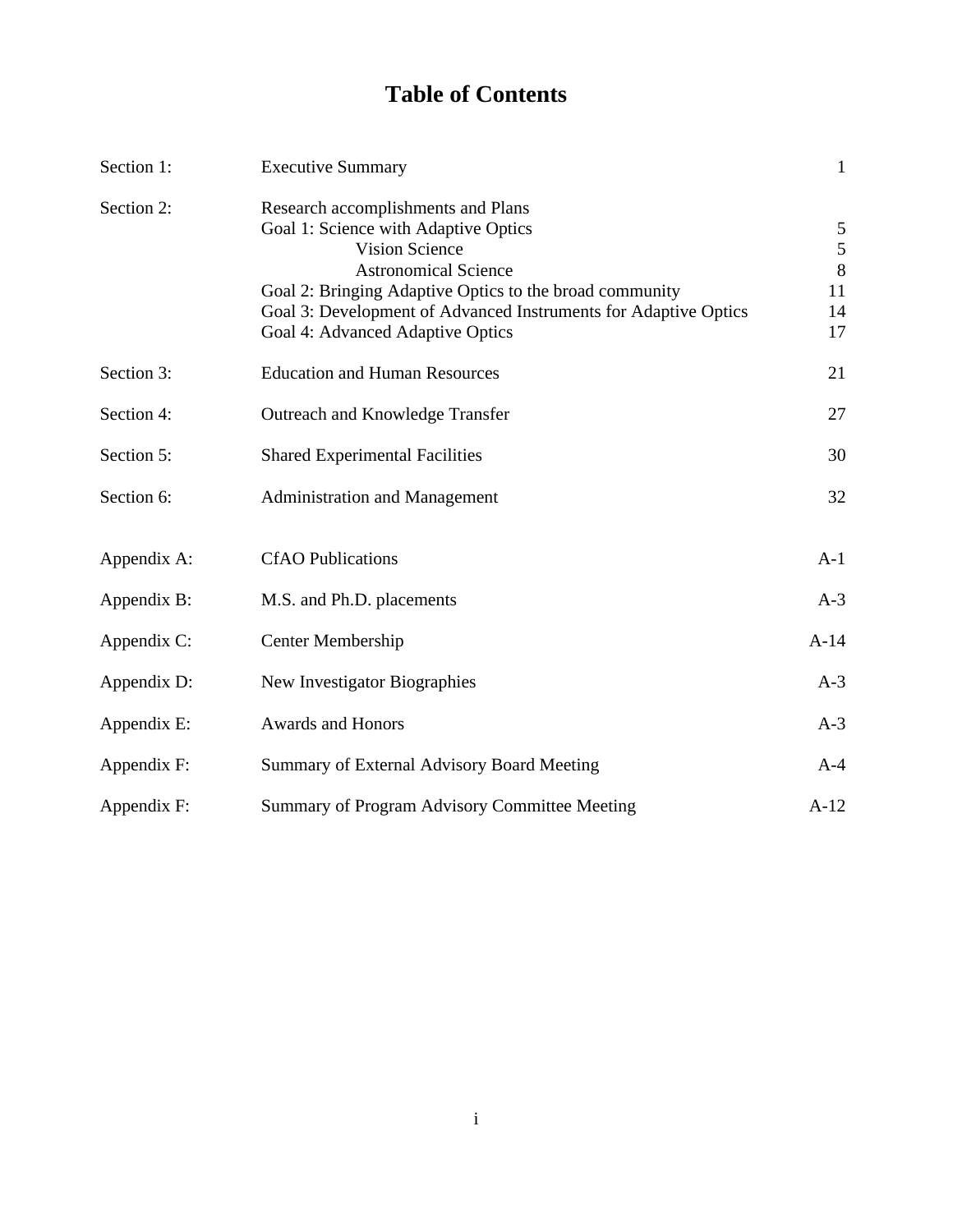# **Table of Contents**

| Section 1:  | <b>Executive Summary</b>                                                                                                                                                                                                                                                                             | $\mathbf{1}$                                     |
|-------------|------------------------------------------------------------------------------------------------------------------------------------------------------------------------------------------------------------------------------------------------------------------------------------------------------|--------------------------------------------------|
| Section 2:  | Research accomplishments and Plans<br>Goal 1: Science with Adaptive Optics<br><b>Vision Science</b><br><b>Astronomical Science</b><br>Goal 2: Bringing Adaptive Optics to the broad community<br>Goal 3: Development of Advanced Instruments for Adaptive Optics<br>Goal 4: Advanced Adaptive Optics | 5<br>$\mathfrak{S}$<br>$\,8\,$<br>11<br>14<br>17 |
| Section 3:  | <b>Education and Human Resources</b>                                                                                                                                                                                                                                                                 | 21                                               |
| Section 4:  | Outreach and Knowledge Transfer                                                                                                                                                                                                                                                                      | 27                                               |
| Section 5:  | <b>Shared Experimental Facilities</b>                                                                                                                                                                                                                                                                | 30                                               |
| Section 6:  | <b>Administration and Management</b>                                                                                                                                                                                                                                                                 | 32                                               |
| Appendix A: | <b>CfAO</b> Publications                                                                                                                                                                                                                                                                             | $A-1$                                            |
| Appendix B: | M.S. and Ph.D. placements                                                                                                                                                                                                                                                                            | $A-3$                                            |
| Appendix C: | Center Membership                                                                                                                                                                                                                                                                                    | $A-14$                                           |
| Appendix D: | New Investigator Biographies                                                                                                                                                                                                                                                                         | $A-3$                                            |
| Appendix E: | <b>Awards and Honors</b>                                                                                                                                                                                                                                                                             | $A-3$                                            |
| Appendix F: | Summary of External Advisory Board Meeting                                                                                                                                                                                                                                                           | $A-4$                                            |
| Appendix F: | Summary of Program Advisory Committee Meeting                                                                                                                                                                                                                                                        | $A-12$                                           |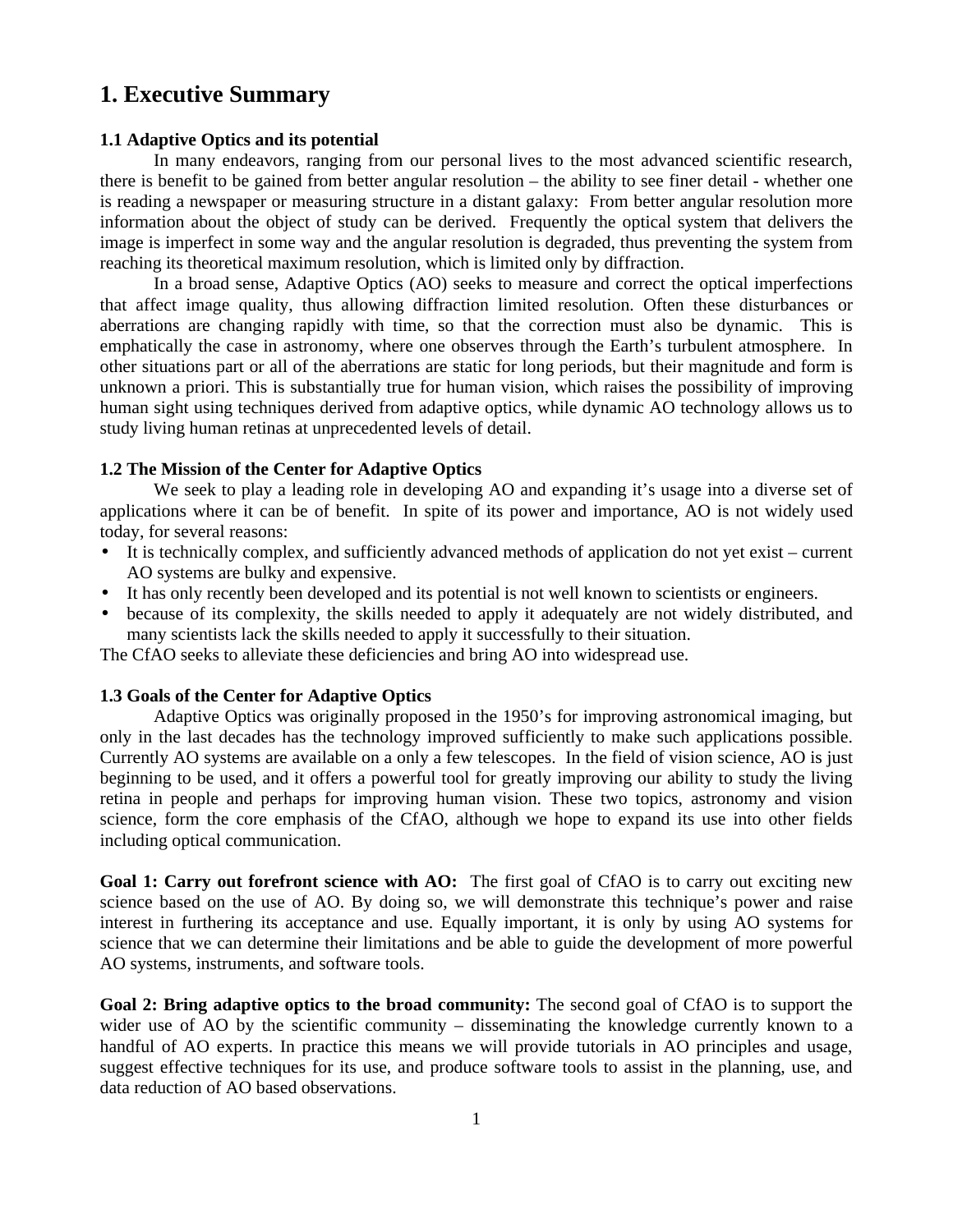# **1. Executive Summary**

### **1.1 Adaptive Optics and its potential**

In many endeavors, ranging from our personal lives to the most advanced scientific research, there is benefit to be gained from better angular resolution – the ability to see finer detail - whether one is reading a newspaper or measuring structure in a distant galaxy: From better angular resolution more information about the object of study can be derived. Frequently the optical system that delivers the image is imperfect in some way and the angular resolution is degraded, thus preventing the system from reaching its theoretical maximum resolution, which is limited only by diffraction.

In a broad sense, Adaptive Optics (AO) seeks to measure and correct the optical imperfections that affect image quality, thus allowing diffraction limited resolution. Often these disturbances or aberrations are changing rapidly with time, so that the correction must also be dynamic. This is emphatically the case in astronomy, where one observes through the Earth's turbulent atmosphere. In other situations part or all of the aberrations are static for long periods, but their magnitude and form is unknown a priori. This is substantially true for human vision, which raises the possibility of improving human sight using techniques derived from adaptive optics, while dynamic AO technology allows us to study living human retinas at unprecedented levels of detail.

#### **1.2 The Mission of the Center for Adaptive Optics**

We seek to play a leading role in developing AO and expanding it's usage into a diverse set of applications where it can be of benefit. In spite of its power and importance, AO is not widely used today, for several reasons:

- It is technically complex, and sufficiently advanced methods of application do not yet exist current AO systems are bulky and expensive.
- It has only recently been developed and its potential is not well known to scientists or engineers.
- because of its complexity, the skills needed to apply it adequately are not widely distributed, and many scientists lack the skills needed to apply it successfully to their situation.

The CfAO seeks to alleviate these deficiencies and bring AO into widespread use.

#### **1.3 Goals of the Center for Adaptive Optics**

Adaptive Optics was originally proposed in the 1950's for improving astronomical imaging, but only in the last decades has the technology improved sufficiently to make such applications possible. Currently AO systems are available on a only a few telescopes. In the field of vision science, AO is just beginning to be used, and it offers a powerful tool for greatly improving our ability to study the living retina in people and perhaps for improving human vision. These two topics, astronomy and vision science, form the core emphasis of the CfAO, although we hope to expand its use into other fields including optical communication.

**Goal 1: Carry out forefront science with AO:** The first goal of CfAO is to carry out exciting new science based on the use of AO. By doing so, we will demonstrate this technique's power and raise interest in furthering its acceptance and use. Equally important, it is only by using AO systems for science that we can determine their limitations and be able to guide the development of more powerful AO systems, instruments, and software tools.

**Goal 2: Bring adaptive optics to the broad community:** The second goal of CfAO is to support the wider use of AO by the scientific community – disseminating the knowledge currently known to a handful of AO experts. In practice this means we will provide tutorials in AO principles and usage, suggest effective techniques for its use, and produce software tools to assist in the planning, use, and data reduction of AO based observations.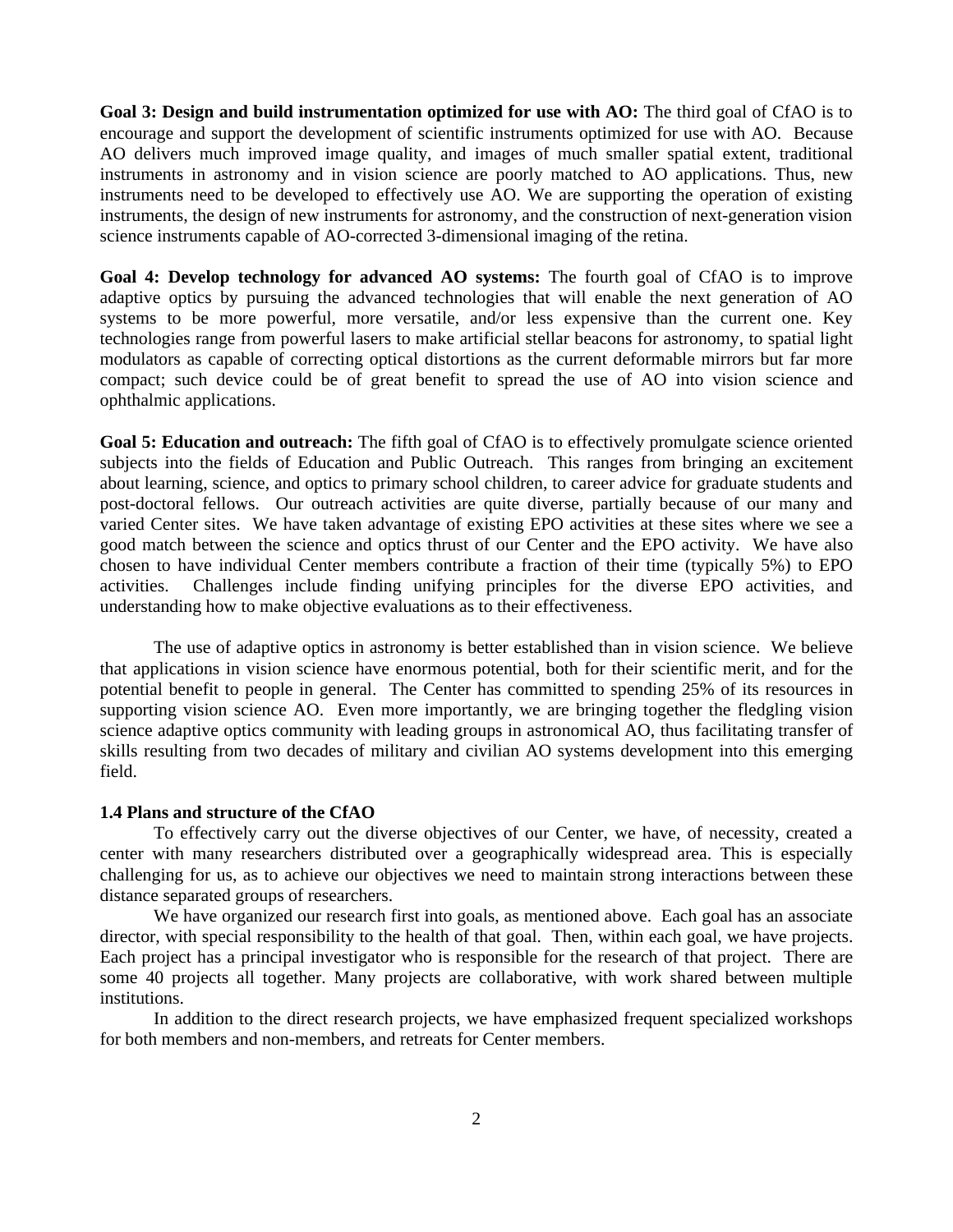**Goal 3: Design and build instrumentation optimized for use with AO:** The third goal of CfAO is to encourage and support the development of scientific instruments optimized for use with AO. Because AO delivers much improved image quality, and images of much smaller spatial extent, traditional instruments in astronomy and in vision science are poorly matched to AO applications. Thus, new instruments need to be developed to effectively use AO. We are supporting the operation of existing instruments, the design of new instruments for astronomy, and the construction of next-generation vision science instruments capable of AO-corrected 3-dimensional imaging of the retina.

**Goal 4: Develop technology for advanced AO systems:** The fourth goal of CfAO is to improve adaptive optics by pursuing the advanced technologies that will enable the next generation of AO systems to be more powerful, more versatile, and/or less expensive than the current one. Key technologies range from powerful lasers to make artificial stellar beacons for astronomy, to spatial light modulators as capable of correcting optical distortions as the current deformable mirrors but far more compact; such device could be of great benefit to spread the use of AO into vision science and ophthalmic applications.

Goal 5: Education and outreach: The fifth goal of CfAO is to effectively promulgate science oriented subjects into the fields of Education and Public Outreach. This ranges from bringing an excitement about learning, science, and optics to primary school children, to career advice for graduate students and post-doctoral fellows. Our outreach activities are quite diverse, partially because of our many and varied Center sites. We have taken advantage of existing EPO activities at these sites where we see a good match between the science and optics thrust of our Center and the EPO activity. We have also chosen to have individual Center members contribute a fraction of their time (typically 5%) to EPO activities. Challenges include finding unifying principles for the diverse EPO activities, and understanding how to make objective evaluations as to their effectiveness.

The use of adaptive optics in astronomy is better established than in vision science. We believe that applications in vision science have enormous potential, both for their scientific merit, and for the potential benefit to people in general. The Center has committed to spending 25% of its resources in supporting vision science AO. Even more importantly, we are bringing together the fledgling vision science adaptive optics community with leading groups in astronomical AO, thus facilitating transfer of skills resulting from two decades of military and civilian AO systems development into this emerging field.

### **1.4 Plans and structure of the CfAO**

To effectively carry out the diverse objectives of our Center, we have, of necessity, created a center with many researchers distributed over a geographically widespread area. This is especially challenging for us, as to achieve our objectives we need to maintain strong interactions between these distance separated groups of researchers.

We have organized our research first into goals, as mentioned above. Each goal has an associate director, with special responsibility to the health of that goal. Then, within each goal, we have projects. Each project has a principal investigator who is responsible for the research of that project. There are some 40 projects all together. Many projects are collaborative, with work shared between multiple institutions.

In addition to the direct research projects, we have emphasized frequent specialized workshops for both members and non-members, and retreats for Center members.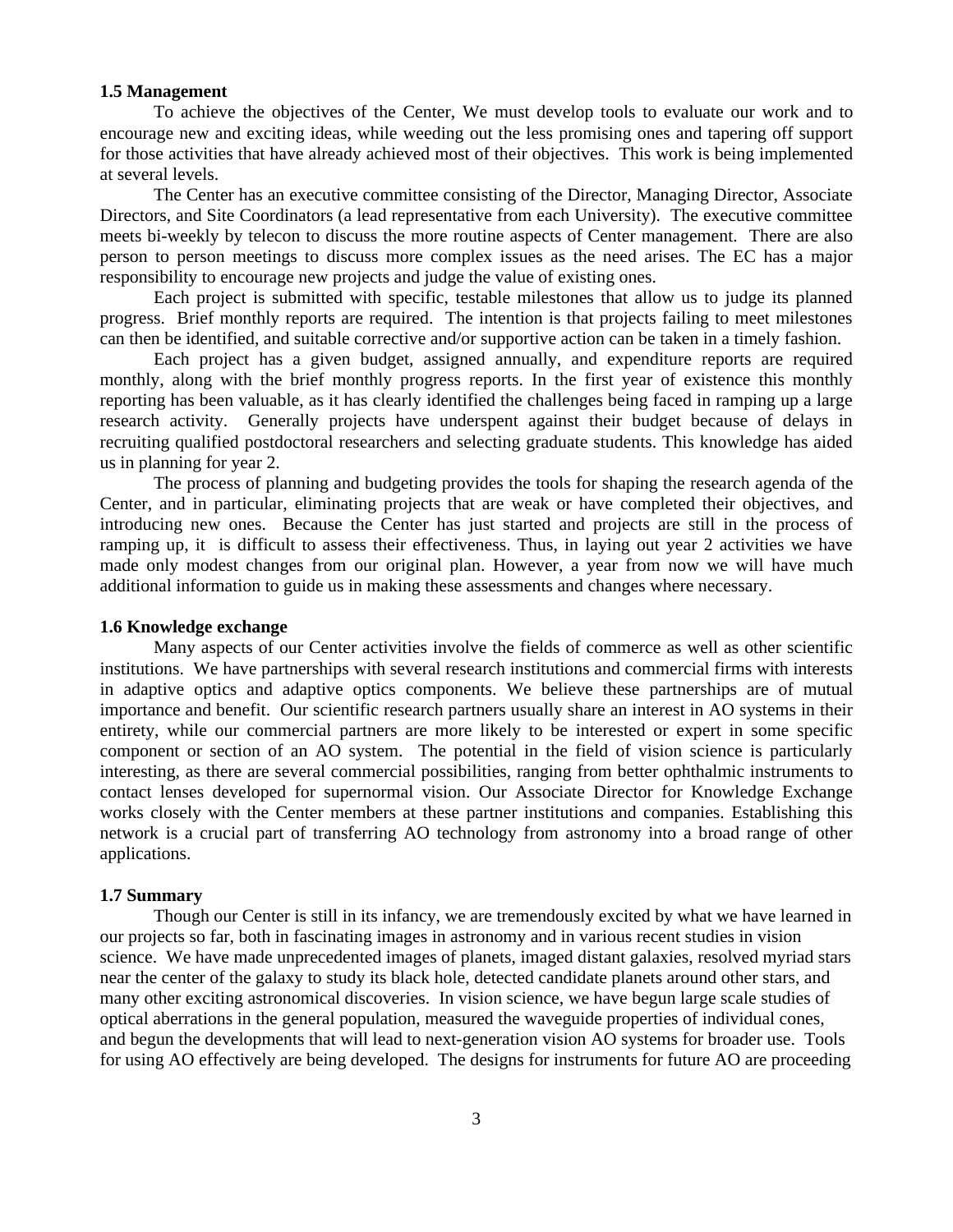#### **1.5 Management**

To achieve the objectives of the Center, We must develop tools to evaluate our work and to encourage new and exciting ideas, while weeding out the less promising ones and tapering off support for those activities that have already achieved most of their objectives. This work is being implemented at several levels.

The Center has an executive committee consisting of the Director, Managing Director, Associate Directors, and Site Coordinators (a lead representative from each University). The executive committee meets bi-weekly by telecon to discuss the more routine aspects of Center management. There are also person to person meetings to discuss more complex issues as the need arises. The EC has a major responsibility to encourage new projects and judge the value of existing ones.

Each project is submitted with specific, testable milestones that allow us to judge its planned progress. Brief monthly reports are required. The intention is that projects failing to meet milestones can then be identified, and suitable corrective and/or supportive action can be taken in a timely fashion.

Each project has a given budget, assigned annually, and expenditure reports are required monthly, along with the brief monthly progress reports. In the first year of existence this monthly reporting has been valuable, as it has clearly identified the challenges being faced in ramping up a large research activity. Generally projects have underspent against their budget because of delays in recruiting qualified postdoctoral researchers and selecting graduate students. This knowledge has aided us in planning for year 2.

The process of planning and budgeting provides the tools for shaping the research agenda of the Center, and in particular, eliminating projects that are weak or have completed their objectives, and introducing new ones. Because the Center has just started and projects are still in the process of ramping up, it is difficult to assess their effectiveness. Thus, in laying out year 2 activities we have made only modest changes from our original plan. However, a year from now we will have much additional information to guide us in making these assessments and changes where necessary.

### **1.6 Knowledge exchange**

Many aspects of our Center activities involve the fields of commerce as well as other scientific institutions. We have partnerships with several research institutions and commercial firms with interests in adaptive optics and adaptive optics components. We believe these partnerships are of mutual importance and benefit. Our scientific research partners usually share an interest in AO systems in their entirety, while our commercial partners are more likely to be interested or expert in some specific component or section of an AO system. The potential in the field of vision science is particularly interesting, as there are several commercial possibilities, ranging from better ophthalmic instruments to contact lenses developed for supernormal vision. Our Associate Director for Knowledge Exchange works closely with the Center members at these partner institutions and companies. Establishing this network is a crucial part of transferring AO technology from astronomy into a broad range of other applications.

### **1.7 Summary**

Though our Center is still in its infancy, we are tremendously excited by what we have learned in our projects so far, both in fascinating images in astronomy and in various recent studies in vision science. We have made unprecedented images of planets, imaged distant galaxies, resolved myriad stars near the center of the galaxy to study its black hole, detected candidate planets around other stars, and many other exciting astronomical discoveries. In vision science, we have begun large scale studies of optical aberrations in the general population, measured the waveguide properties of individual cones, and begun the developments that will lead to next-generation vision AO systems for broader use. Tools for using AO effectively are being developed. The designs for instruments for future AO are proceeding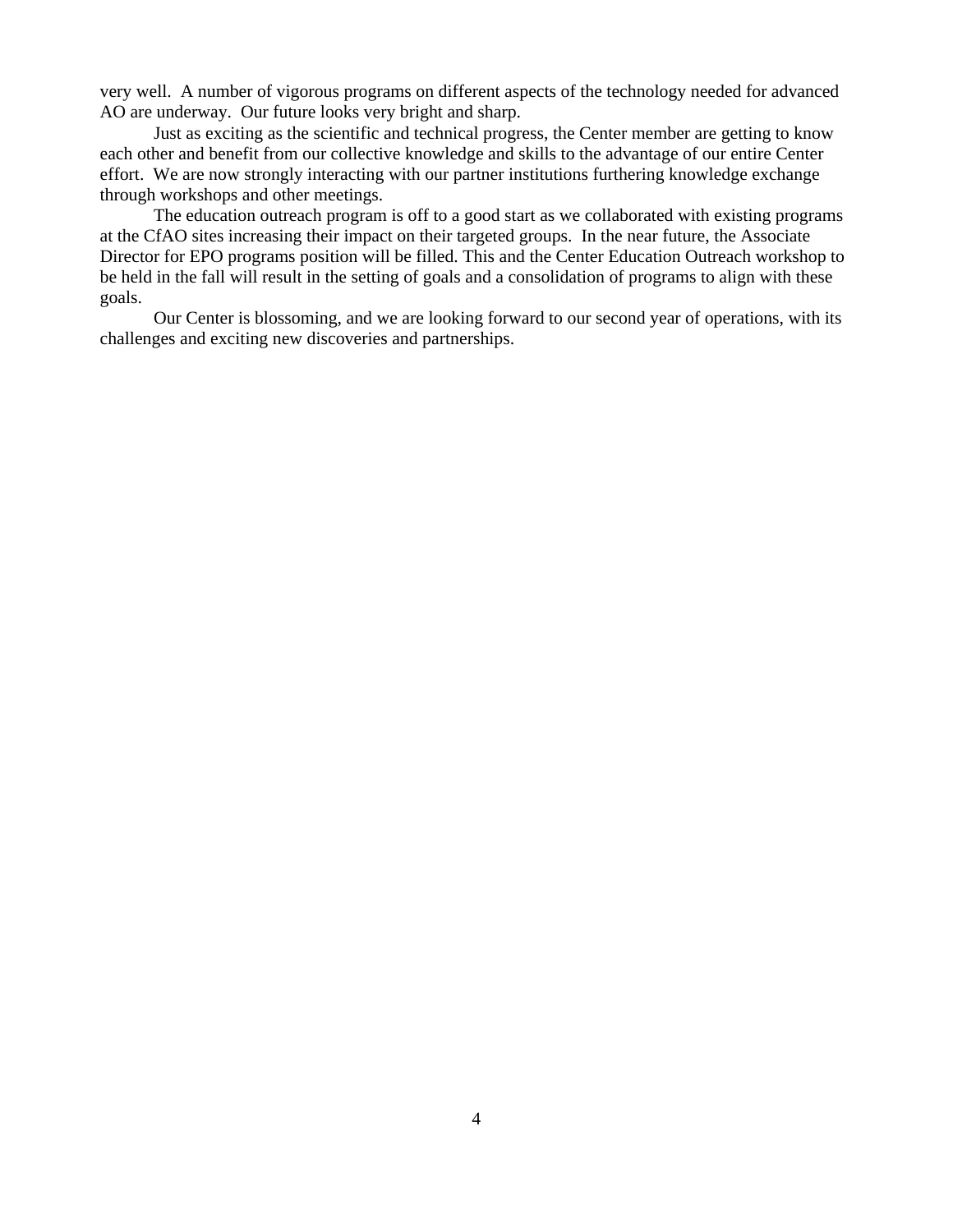very well. A number of vigorous programs on different aspects of the technology needed for advanced AO are underway. Our future looks very bright and sharp.

Just as exciting as the scientific and technical progress, the Center member are getting to know each other and benefit from our collective knowledge and skills to the advantage of our entire Center effort. We are now strongly interacting with our partner institutions furthering knowledge exchange through workshops and other meetings.

The education outreach program is off to a good start as we collaborated with existing programs at the CfAO sites increasing their impact on their targeted groups. In the near future, the Associate Director for EPO programs position will be filled. This and the Center Education Outreach workshop to be held in the fall will result in the setting of goals and a consolidation of programs to align with these goals.

Our Center is blossoming, and we are looking forward to our second year of operations, with its challenges and exciting new discoveries and partnerships.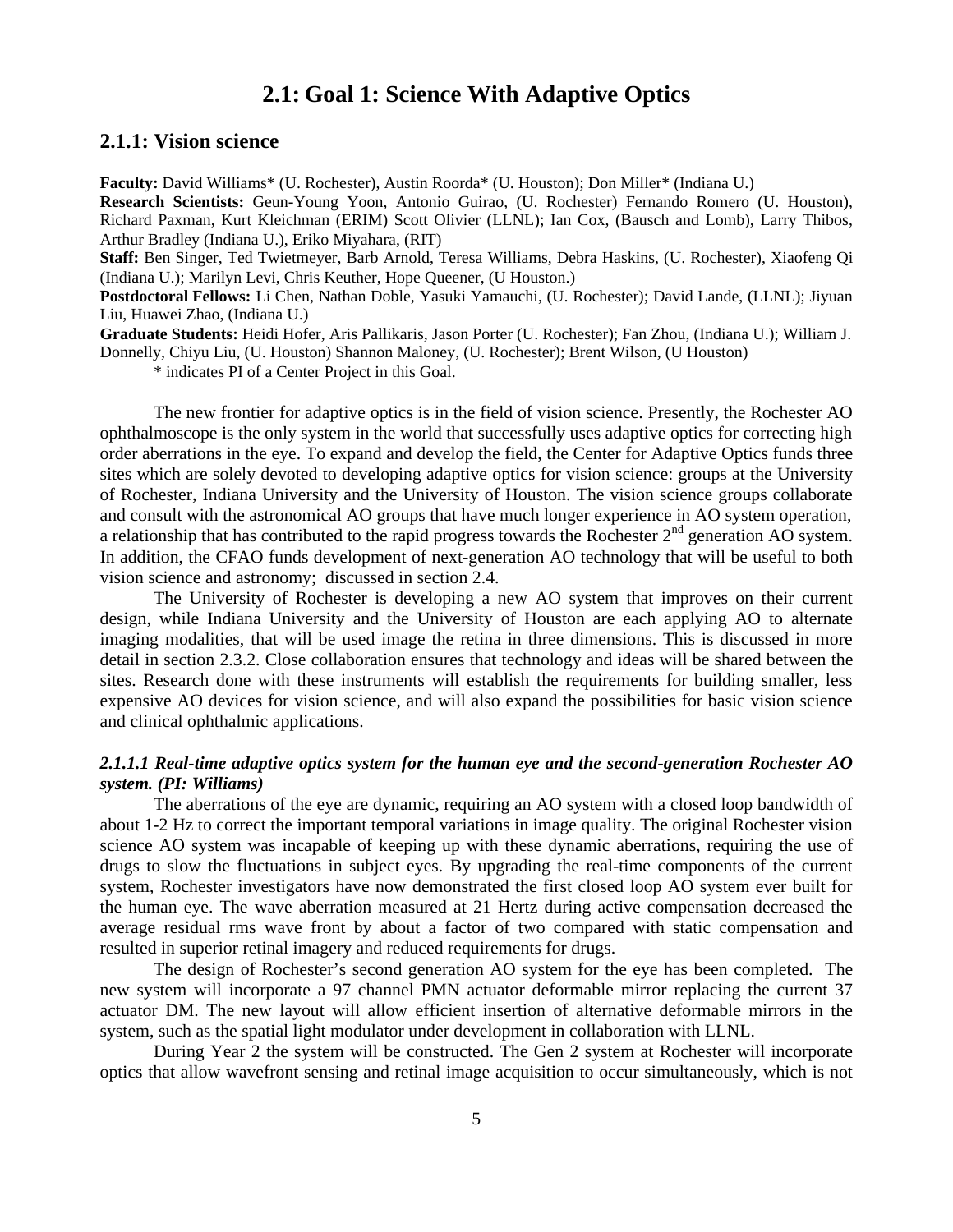# **2.1: Goal 1: Science With Adaptive Optics**

# **2.1.1: Vision science**

**Faculty:** David Williams\* (U. Rochester), Austin Roorda\* (U. Houston); Don Miller\* (Indiana U.)

**Research Scientists:** Geun-Young Yoon, Antonio Guirao, (U. Rochester) Fernando Romero (U. Houston), Richard Paxman, Kurt Kleichman (ERIM) Scott Olivier (LLNL); Ian Cox, (Bausch and Lomb), Larry Thibos, Arthur Bradley (Indiana U.), Eriko Miyahara, (RIT)

**Staff:** Ben Singer, Ted Twietmeyer, Barb Arnold, Teresa Williams, Debra Haskins, (U. Rochester), Xiaofeng Qi (Indiana U.); Marilyn Levi, Chris Keuther, Hope Queener, (U Houston.)

**Postdoctoral Fellows:** Li Chen, Nathan Doble, Yasuki Yamauchi, (U. Rochester); David Lande, (LLNL); Jiyuan Liu, Huawei Zhao, (Indiana U.)

**Graduate Students:** Heidi Hofer, Aris Pallikaris, Jason Porter (U. Rochester); Fan Zhou, (Indiana U.); William J. Donnelly, Chiyu Liu, (U. Houston) Shannon Maloney, (U. Rochester); Brent Wilson, (U Houston)

\* indicates PI of a Center Project in this Goal.

The new frontier for adaptive optics is in the field of vision science. Presently, the Rochester AO ophthalmoscope is the only system in the world that successfully uses adaptive optics for correcting high order aberrations in the eye. To expand and develop the field, the Center for Adaptive Optics funds three sites which are solely devoted to developing adaptive optics for vision science: groups at the University of Rochester, Indiana University and the University of Houston. The vision science groups collaborate and consult with the astronomical AO groups that have much longer experience in AO system operation, a relationship that has contributed to the rapid progress towards the Rochester  $2<sup>nd</sup>$  generation AO system. In addition, the CFAO funds development of next-generation AO technology that will be useful to both vision science and astronomy; discussed in section 2.4.

The University of Rochester is developing a new AO system that improves on their current design, while Indiana University and the University of Houston are each applying AO to alternate imaging modalities, that will be used image the retina in three dimensions. This is discussed in more detail in section 2.3.2. Close collaboration ensures that technology and ideas will be shared between the sites. Research done with these instruments will establish the requirements for building smaller, less expensive AO devices for vision science, and will also expand the possibilities for basic vision science and clinical ophthalmic applications.

### *2.1.1.1 Real-time adaptive optics system for the human eye and the second-generation Rochester AO system. (PI: Williams)*

The aberrations of the eye are dynamic, requiring an AO system with a closed loop bandwidth of about 1-2 Hz to correct the important temporal variations in image quality. The original Rochester vision science AO system was incapable of keeping up with these dynamic aberrations, requiring the use of drugs to slow the fluctuations in subject eyes. By upgrading the real-time components of the current system, Rochester investigators have now demonstrated the first closed loop AO system ever built for the human eye. The wave aberration measured at 21 Hertz during active compensation decreased the average residual rms wave front by about a factor of two compared with static compensation and resulted in superior retinal imagery and reduced requirements for drugs.

The design of Rochester's second generation AO system for the eye has been completed. The new system will incorporate a 97 channel PMN actuator deformable mirror replacing the current 37 actuator DM. The new layout will allow efficient insertion of alternative deformable mirrors in the system, such as the spatial light modulator under development in collaboration with LLNL.

During Year 2 the system will be constructed. The Gen 2 system at Rochester will incorporate optics that allow wavefront sensing and retinal image acquisition to occur simultaneously, which is not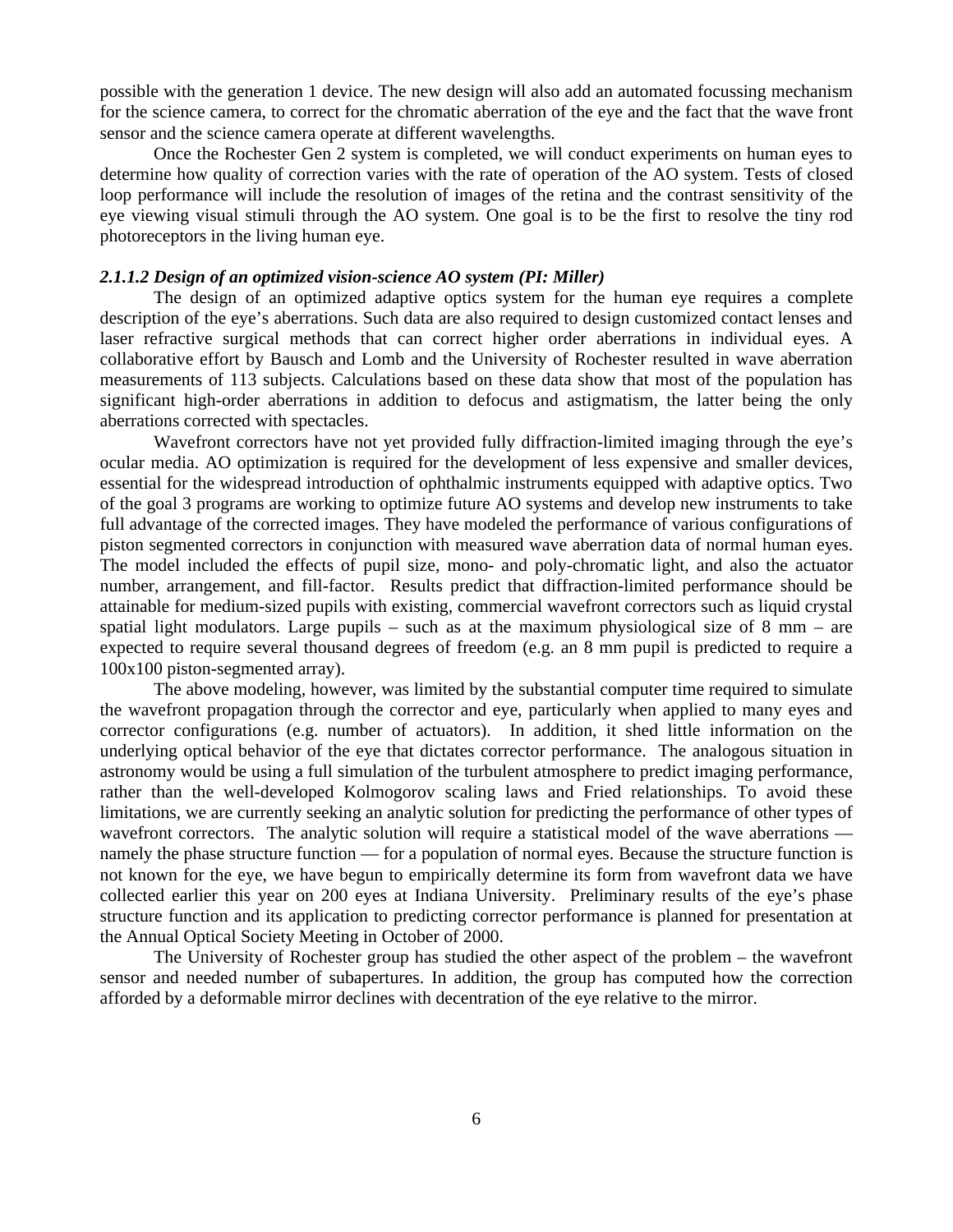possible with the generation 1 device. The new design will also add an automated focussing mechanism for the science camera, to correct for the chromatic aberration of the eye and the fact that the wave front sensor and the science camera operate at different wavelengths.

Once the Rochester Gen 2 system is completed, we will conduct experiments on human eyes to determine how quality of correction varies with the rate of operation of the AO system. Tests of closed loop performance will include the resolution of images of the retina and the contrast sensitivity of the eye viewing visual stimuli through the AO system. One goal is to be the first to resolve the tiny rod photoreceptors in the living human eye.

### *2.1.1.2 Design of an optimized vision-science AO system (PI: Miller)*

The design of an optimized adaptive optics system for the human eye requires a complete description of the eye's aberrations. Such data are also required to design customized contact lenses and laser refractive surgical methods that can correct higher order aberrations in individual eyes. A collaborative effort by Bausch and Lomb and the University of Rochester resulted in wave aberration measurements of 113 subjects. Calculations based on these data show that most of the population has significant high-order aberrations in addition to defocus and astigmatism, the latter being the only aberrations corrected with spectacles.

Wavefront correctors have not yet provided fully diffraction-limited imaging through the eye's ocular media. AO optimization is required for the development of less expensive and smaller devices, essential for the widespread introduction of ophthalmic instruments equipped with adaptive optics. Two of the goal 3 programs are working to optimize future AO systems and develop new instruments to take full advantage of the corrected images. They have modeled the performance of various configurations of piston segmented correctors in conjunction with measured wave aberration data of normal human eyes. The model included the effects of pupil size, mono- and poly-chromatic light, and also the actuator number, arrangement, and fill-factor. Results predict that diffraction-limited performance should be attainable for medium-sized pupils with existing, commercial wavefront correctors such as liquid crystal spatial light modulators. Large pupils – such as at the maximum physiological size of  $8 \text{ mm}$  – are expected to require several thousand degrees of freedom (e.g. an 8 mm pupil is predicted to require a 100x100 piston-segmented array).

The above modeling, however, was limited by the substantial computer time required to simulate the wavefront propagation through the corrector and eye, particularly when applied to many eyes and corrector configurations (e.g. number of actuators). In addition, it shed little information on the underlying optical behavior of the eye that dictates corrector performance. The analogous situation in astronomy would be using a full simulation of the turbulent atmosphere to predict imaging performance, rather than the well-developed Kolmogorov scaling laws and Fried relationships. To avoid these limitations, we are currently seeking an analytic solution for predicting the performance of other types of wavefront correctors. The analytic solution will require a statistical model of the wave aberrations namely the phase structure function — for a population of normal eyes. Because the structure function is not known for the eye, we have begun to empirically determine its form from wavefront data we have collected earlier this year on 200 eyes at Indiana University. Preliminary results of the eye's phase structure function and its application to predicting corrector performance is planned for presentation at the Annual Optical Society Meeting in October of 2000.

The University of Rochester group has studied the other aspect of the problem – the wavefront sensor and needed number of subapertures. In addition, the group has computed how the correction afforded by a deformable mirror declines with decentration of the eye relative to the mirror.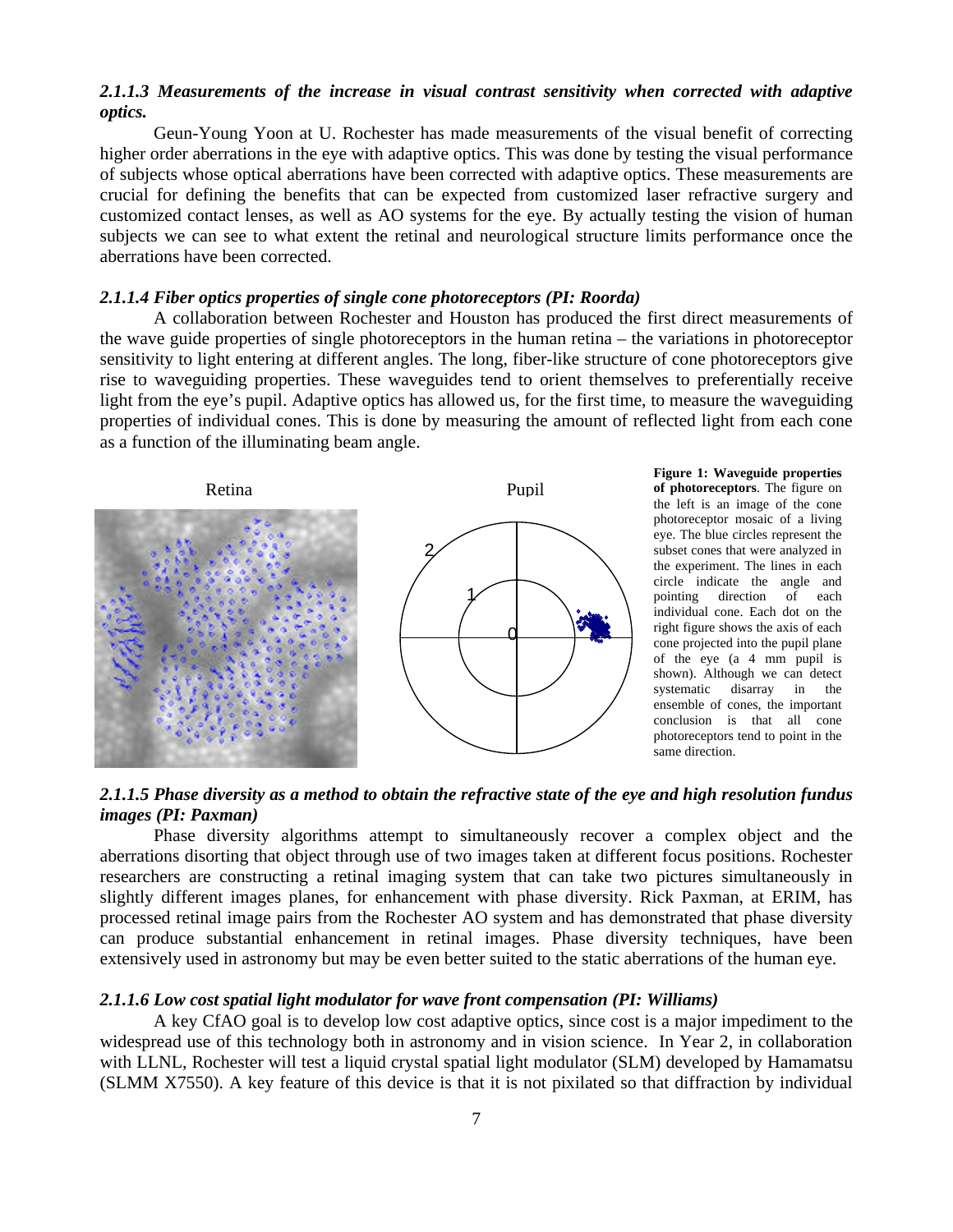### *2.1.1.3 Measurements of the increase in visual contrast sensitivity when corrected with adaptive optics.*

Geun-Young Yoon at U. Rochester has made measurements of the visual benefit of correcting higher order aberrations in the eye with adaptive optics. This was done by testing the visual performance of subjects whose optical aberrations have been corrected with adaptive optics. These measurements are crucial for defining the benefits that can be expected from customized laser refractive surgery and customized contact lenses, as well as AO systems for the eye. By actually testing the vision of human subjects we can see to what extent the retinal and neurological structure limits performance once the aberrations have been corrected.

### *2.1.1.4 Fiber optics properties of single cone photoreceptors (PI: Roorda)*

A collaboration between Rochester and Houston has produced the first direct measurements of the wave guide properties of single photoreceptors in the human retina – the variations in photoreceptor sensitivity to light entering at different angles. The long, fiber-like structure of cone photoreceptors give rise to waveguiding properties. These waveguides tend to orient themselves to preferentially receive light from the eye's pupil. Adaptive optics has allowed us, for the first time, to measure the waveguiding properties of individual cones. This is done by measuring the amount of reflected light from each cone as a function of the illuminating beam angle.



**Figure 1: Waveguide properties of photoreceptors**. The figure on the left is an image of the cone photoreceptor mosaic of a living eye. The blue circles represent the subset cones that were analyzed in the experiment. The lines in each circle indicate the angle and pointing direction of each individual cone. Each dot on the right figure shows the axis of each cone projected into the pupil plane of the eye (a 4 mm pupil is shown). Although we can detect systematic disarray in the ensemble of cones, the important conclusion is that all cone photoreceptors tend to point in the same direction.

# *2.1.1.5 Phase diversity as a method to obtain the refractive state of the eye and high resolution fundus images (PI: Paxman)*

Phase diversity algorithms attempt to simultaneously recover a complex object and the aberrations disorting that object through use of two images taken at different focus positions. Rochester researchers are constructing a retinal imaging system that can take two pictures simultaneously in slightly different images planes, for enhancement with phase diversity. Rick Paxman, at ERIM, has processed retinal image pairs from the Rochester AO system and has demonstrated that phase diversity can produce substantial enhancement in retinal images. Phase diversity techniques, have been extensively used in astronomy but may be even better suited to the static aberrations of the human eye.

### *2.1.1.6 Low cost spatial light modulator for wave front compensation (PI: Williams)*

A key CfAO goal is to develop low cost adaptive optics, since cost is a major impediment to the widespread use of this technology both in astronomy and in vision science. In Year 2, in collaboration with LLNL, Rochester will test a liquid crystal spatial light modulator (SLM) developed by Hamamatsu (SLMM X7550). A key feature of this device is that it is not pixilated so that diffraction by individual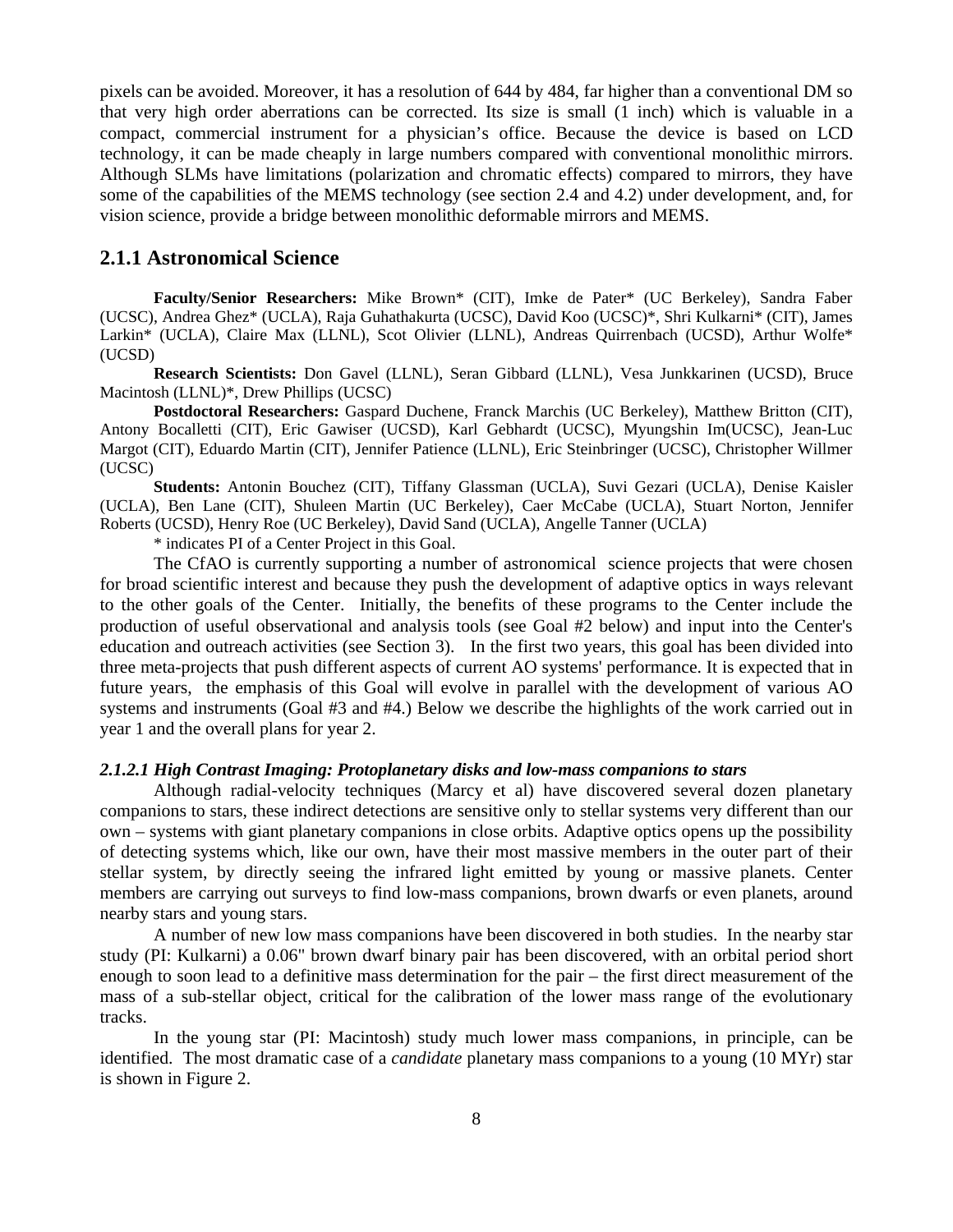pixels can be avoided. Moreover, it has a resolution of 644 by 484, far higher than a conventional DM so that very high order aberrations can be corrected. Its size is small (1 inch) which is valuable in a compact, commercial instrument for a physician's office. Because the device is based on LCD technology, it can be made cheaply in large numbers compared with conventional monolithic mirrors. Although SLMs have limitations (polarization and chromatic effects) compared to mirrors, they have some of the capabilities of the MEMS technology (see section 2.4 and 4.2) under development, and, for vision science, provide a bridge between monolithic deformable mirrors and MEMS.

### **2.1.1 Astronomical Science**

**Faculty/Senior Researchers:** Mike Brown\* (CIT), Imke de Pater\* (UC Berkeley), Sandra Faber (UCSC), Andrea Ghez\* (UCLA), Raja Guhathakurta (UCSC), David Koo (UCSC)\*, Shri Kulkarni\* (CIT), James Larkin\* (UCLA), Claire Max (LLNL), Scot Olivier (LLNL), Andreas Quirrenbach (UCSD), Arthur Wolfe\* (UCSD)

**Research Scientists:** Don Gavel (LLNL), Seran Gibbard (LLNL), Vesa Junkkarinen (UCSD), Bruce Macintosh (LLNL)\*, Drew Phillips (UCSC)

**Postdoctoral Researchers:** Gaspard Duchene, Franck Marchis (UC Berkeley), Matthew Britton (CIT), Antony Bocalletti (CIT), Eric Gawiser (UCSD), Karl Gebhardt (UCSC), Myungshin Im(UCSC), Jean-Luc Margot (CIT), Eduardo Martin (CIT), Jennifer Patience (LLNL), Eric Steinbringer (UCSC), Christopher Willmer (UCSC)

**Students:** Antonin Bouchez (CIT), Tiffany Glassman (UCLA), Suvi Gezari (UCLA), Denise Kaisler (UCLA), Ben Lane (CIT), Shuleen Martin (UC Berkeley), Caer McCabe (UCLA), Stuart Norton, Jennifer Roberts (UCSD), Henry Roe (UC Berkeley), David Sand (UCLA), Angelle Tanner (UCLA)

\* indicates PI of a Center Project in this Goal.

The CfAO is currently supporting a number of astronomical science projects that were chosen for broad scientific interest and because they push the development of adaptive optics in ways relevant to the other goals of the Center. Initially, the benefits of these programs to the Center include the production of useful observational and analysis tools (see Goal #2 below) and input into the Center's education and outreach activities (see Section 3). In the first two years, this goal has been divided into three meta-projects that push different aspects of current AO systems' performance. It is expected that in future years, the emphasis of this Goal will evolve in parallel with the development of various AO systems and instruments (Goal #3 and #4.) Below we describe the highlights of the work carried out in year 1 and the overall plans for year 2.

### *2.1.2.1 High Contrast Imaging: Protoplanetary disks and low-mass companions to stars*

Although radial-velocity techniques (Marcy et al) have discovered several dozen planetary companions to stars, these indirect detections are sensitive only to stellar systems very different than our own – systems with giant planetary companions in close orbits. Adaptive optics opens up the possibility of detecting systems which, like our own, have their most massive members in the outer part of their stellar system, by directly seeing the infrared light emitted by young or massive planets. Center members are carrying out surveys to find low-mass companions, brown dwarfs or even planets, around nearby stars and young stars.

A number of new low mass companions have been discovered in both studies. In the nearby star study (PI: Kulkarni) a 0.06" brown dwarf binary pair has been discovered, with an orbital period short enough to soon lead to a definitive mass determination for the pair – the first direct measurement of the mass of a sub-stellar object, critical for the calibration of the lower mass range of the evolutionary tracks.

In the young star (PI: Macintosh) study much lower mass companions, in principle, can be identified. The most dramatic case of a *candidate* planetary mass companions to a young (10 MYr) star is shown in Figure 2.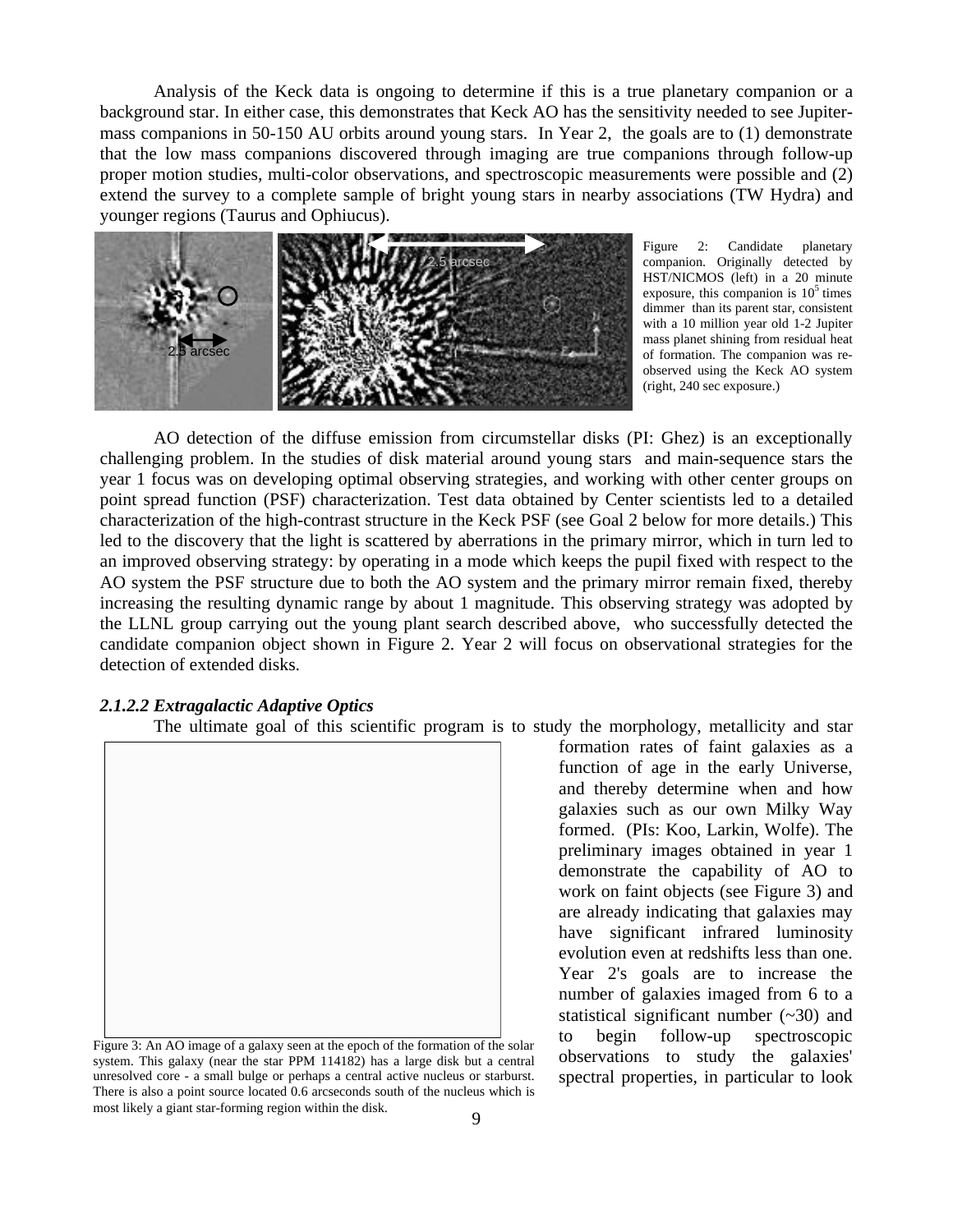Analysis of the Keck data is ongoing to determine if this is a true planetary companion or a background star. In either case, this demonstrates that Keck AO has the sensitivity needed to see Jupitermass companions in 50-150 AU orbits around young stars. In Year 2, the goals are to (1) demonstrate that the low mass companions discovered through imaging are true companions through follow-up proper motion studies, multi-color observations, and spectroscopic measurements were possible and (2) extend the survey to a complete sample of bright young stars in nearby associations (TW Hydra) and younger regions (Taurus and Ophiucus).



Figure 2: Candidate planetary companion. Originally detected by HST/NICMOS (left) in a 20 minute exposure, this companion is  $10<sup>5</sup>$  times dimmer than its parent star, consistent with a 10 million year old 1-2 Jupiter mass planet shining from residual heat of formation. The companion was reobserved using the Keck AO system (right, 240 sec exposure.)

AO detection of the diffuse emission from circumstellar disks (PI: Ghez) is an exceptionally challenging problem. In the studies of disk material around young stars and main-sequence stars the year 1 focus was on developing optimal observing strategies, and working with other center groups on point spread function (PSF) characterization. Test data obtained by Center scientists led to a detailed characterization of the high-contrast structure in the Keck PSF (see Goal 2 below for more details.) This led to the discovery that the light is scattered by aberrations in the primary mirror, which in turn led to an improved observing strategy: by operating in a mode which keeps the pupil fixed with respect to the AO system the PSF structure due to both the AO system and the primary mirror remain fixed, thereby increasing the resulting dynamic range by about 1 magnitude. This observing strategy was adopted by the LLNL group carrying out the young plant search described above, who successfully detected the candidate companion object shown in Figure 2. Year 2 will focus on observational strategies for the detection of extended disks.

### *2.1.2.2 Extragalactic Adaptive Optics*

The ultimate goal of this scientific program is to study the morphology, metallicity and star



Figure 3: An AO image of a galaxy seen at the epoch of the formation of the solar system. This galaxy (near the star PPM 114182) has a large disk but a central unresolved core - a small bulge or perhaps a central active nucleus or starburst. There is also a point source located 0.6 arcseconds south of the nucleus which is most likely a giant star-forming region within the disk.

formation rates of faint galaxies as a function of age in the early Universe, and thereby determine when and how galaxies such as our own Milky Way formed. (PIs: Koo, Larkin, Wolfe). The preliminary images obtained in year 1 demonstrate the capability of AO to work on faint objects (see Figure 3) and are already indicating that galaxies may have significant infrared luminosity evolution even at redshifts less than one. Year 2's goals are to increase the number of galaxies imaged from 6 to a statistical significant number  $(-30)$  and to begin follow-up spectroscopic observations to study the galaxies' spectral properties, in particular to look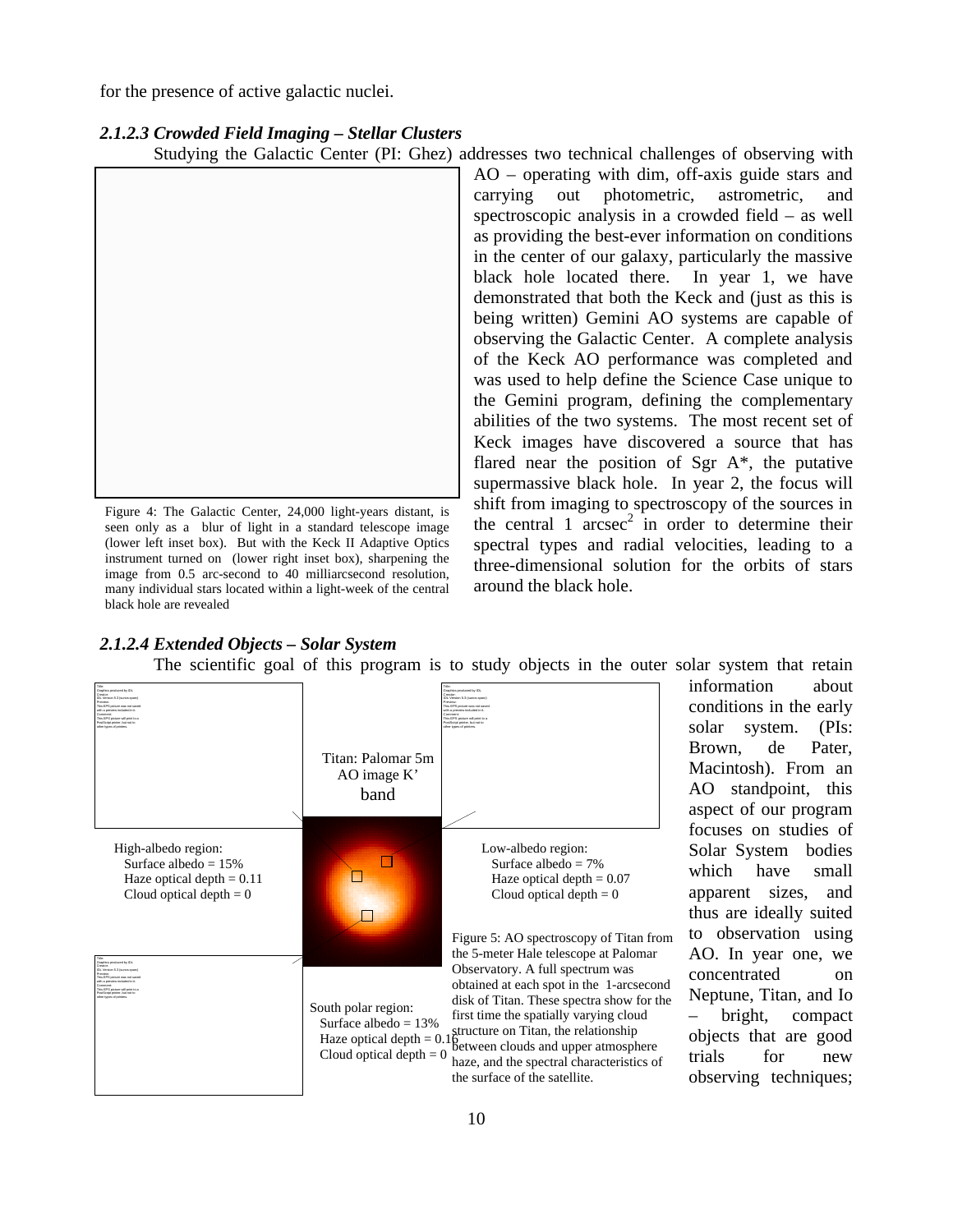for the presence of active galactic nuclei.

|  |  |  | 2.1.2.3 Crowded Field Imaging - Stellar Clusters |  |  |
|--|--|--|--------------------------------------------------|--|--|
|--|--|--|--------------------------------------------------|--|--|

Studying the Galactic Center (PI: Ghez) addresses two technical challenges of observing with



Figure 4: The Galactic Center, 24,000 light-years distant, is seen only as a blur of light in a standard telescope image (lower left inset box). But with the Keck II Adaptive Optics instrument turned on (lower right inset box), sharpening the image from 0.5 arc-second to 40 milliarcsecond resolution, many individual stars located within a light-week of the central black hole are revealed

AO – operating with dim, off-axis guide stars and carrying out photometric, astrometric, and spectroscopic analysis in a crowded field – as well as providing the best-ever information on conditions in the center of our galaxy, particularly the massive black hole located there. In year 1, we have demonstrated that both the Keck and (just as this is being written) Gemini AO systems are capable of observing the Galactic Center. A complete analysis of the Keck AO performance was completed and was used to help define the Science Case unique to the Gemini program, defining the complementary abilities of the two systems. The most recent set of Keck images have discovered a source that has flared near the position of Sgr A\*, the putative supermassive black hole. In year 2, the focus will shift from imaging to spectroscopy of the sources in the central  $1 \arccosce^2$  in order to determine their spectral types and radial velocities, leading to a three-dimensional solution for the orbits of stars around the black hole.

### *2.1.2.4 Extended Objects – Solar System*



The scientific goal of this program is to study objects in the outer solar system that retain

information about conditions in the early solar system. (PIs: Brown, de Pater, Macintosh). From an AO standpoint, this aspect of our program focuses on studies of Solar System bodies which have small apparent sizes, and thus are ideally suited to observation using AO. In year one, we concentrated on Neptune, Titan, and Io – bright, compact objects that are good trials for new observing techniques;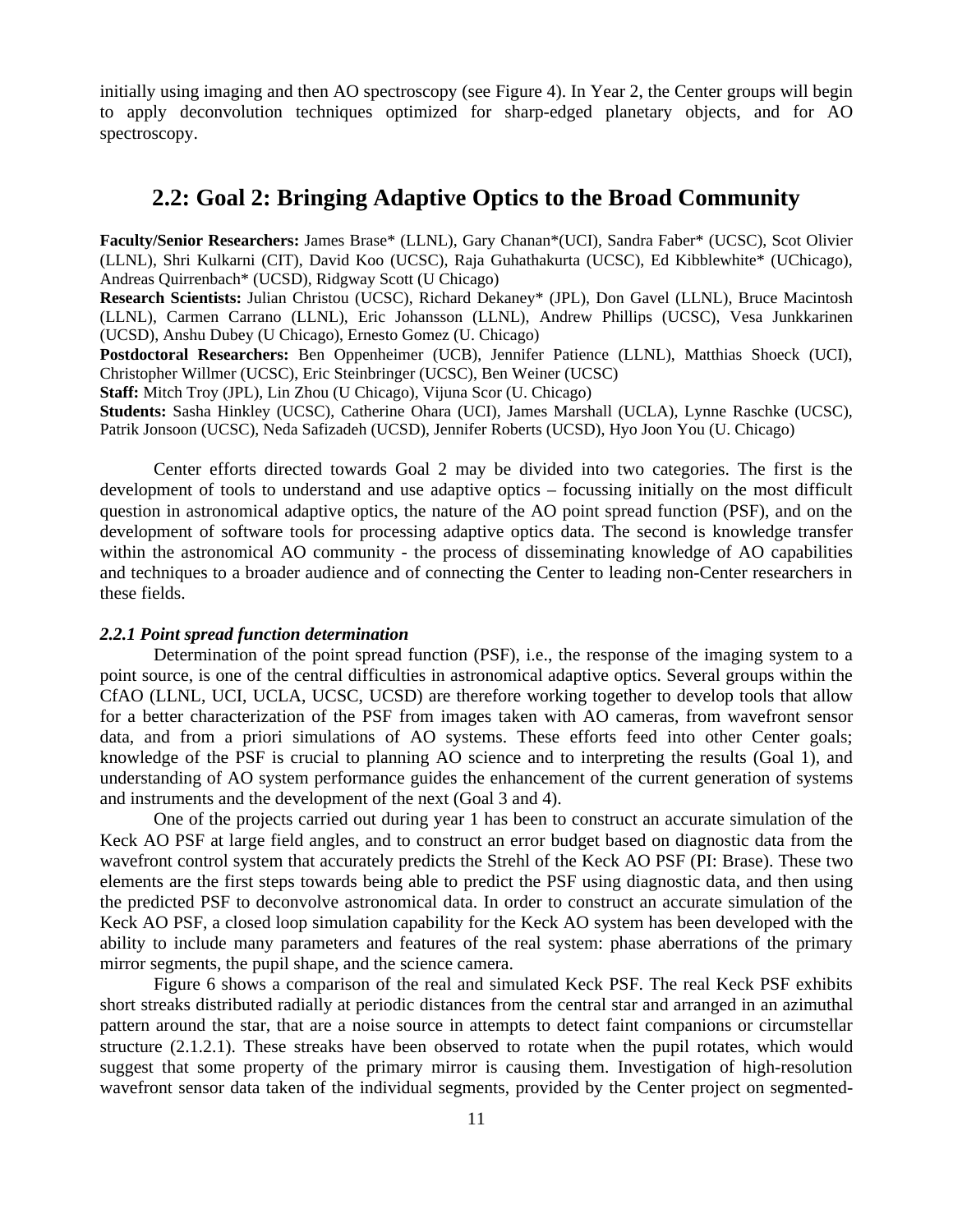initially using imaging and then AO spectroscopy (see Figure 4). In Year 2, the Center groups will begin to apply deconvolution techniques optimized for sharp-edged planetary objects, and for AO spectroscopy.

# **2.2: Goal 2: Bringing Adaptive Optics to the Broad Community**

**Faculty/Senior Researchers:** James Brase\* (LLNL), Gary Chanan\*(UCI), Sandra Faber\* (UCSC), Scot Olivier (LLNL), Shri Kulkarni (CIT), David Koo (UCSC), Raja Guhathakurta (UCSC), Ed Kibblewhite\* (UChicago), Andreas Quirrenbach\* (UCSD), Ridgway Scott (U Chicago)

**Research Scientists:** Julian Christou (UCSC), Richard Dekaney\* (JPL), Don Gavel (LLNL), Bruce Macintosh (LLNL), Carmen Carrano (LLNL), Eric Johansson (LLNL), Andrew Phillips (UCSC), Vesa Junkkarinen (UCSD), Anshu Dubey (U Chicago), Ernesto Gomez (U. Chicago)

**Postdoctoral Researchers:** Ben Oppenheimer (UCB), Jennifer Patience (LLNL), Matthias Shoeck (UCI), Christopher Willmer (UCSC), Eric Steinbringer (UCSC), Ben Weiner (UCSC)

**Staff:** Mitch Troy (JPL), Lin Zhou (U Chicago), Vijuna Scor (U. Chicago)

**Students:** Sasha Hinkley (UCSC), Catherine Ohara (UCI), James Marshall (UCLA), Lynne Raschke (UCSC), Patrik Jonsoon (UCSC), Neda Safizadeh (UCSD), Jennifer Roberts (UCSD), Hyo Joon You (U. Chicago)

Center efforts directed towards Goal 2 may be divided into two categories. The first is the development of tools to understand and use adaptive optics – focussing initially on the most difficult question in astronomical adaptive optics, the nature of the AO point spread function (PSF), and on the development of software tools for processing adaptive optics data. The second is knowledge transfer within the astronomical AO community - the process of disseminating knowledge of AO capabilities and techniques to a broader audience and of connecting the Center to leading non-Center researchers in these fields.

### *2.2.1 Point spread function determination*

Determination of the point spread function (PSF), i.e., the response of the imaging system to a point source, is one of the central difficulties in astronomical adaptive optics. Several groups within the CfAO (LLNL, UCI, UCLA, UCSC, UCSD) are therefore working together to develop tools that allow for a better characterization of the PSF from images taken with AO cameras, from wavefront sensor data, and from a priori simulations of AO systems. These efforts feed into other Center goals; knowledge of the PSF is crucial to planning AO science and to interpreting the results (Goal 1), and understanding of AO system performance guides the enhancement of the current generation of systems and instruments and the development of the next (Goal 3 and 4).

One of the projects carried out during year 1 has been to construct an accurate simulation of the Keck AO PSF at large field angles, and to construct an error budget based on diagnostic data from the wavefront control system that accurately predicts the Strehl of the Keck AO PSF (PI: Brase). These two elements are the first steps towards being able to predict the PSF using diagnostic data, and then using the predicted PSF to deconvolve astronomical data. In order to construct an accurate simulation of the Keck AO PSF, a closed loop simulation capability for the Keck AO system has been developed with the ability to include many parameters and features of the real system: phase aberrations of the primary mirror segments, the pupil shape, and the science camera.

Figure 6 shows a comparison of the real and simulated Keck PSF. The real Keck PSF exhibits short streaks distributed radially at periodic distances from the central star and arranged in an azimuthal pattern around the star, that are a noise source in attempts to detect faint companions or circumstellar structure (2.1.2.1). These streaks have been observed to rotate when the pupil rotates, which would suggest that some property of the primary mirror is causing them. Investigation of high-resolution wavefront sensor data taken of the individual segments, provided by the Center project on segmented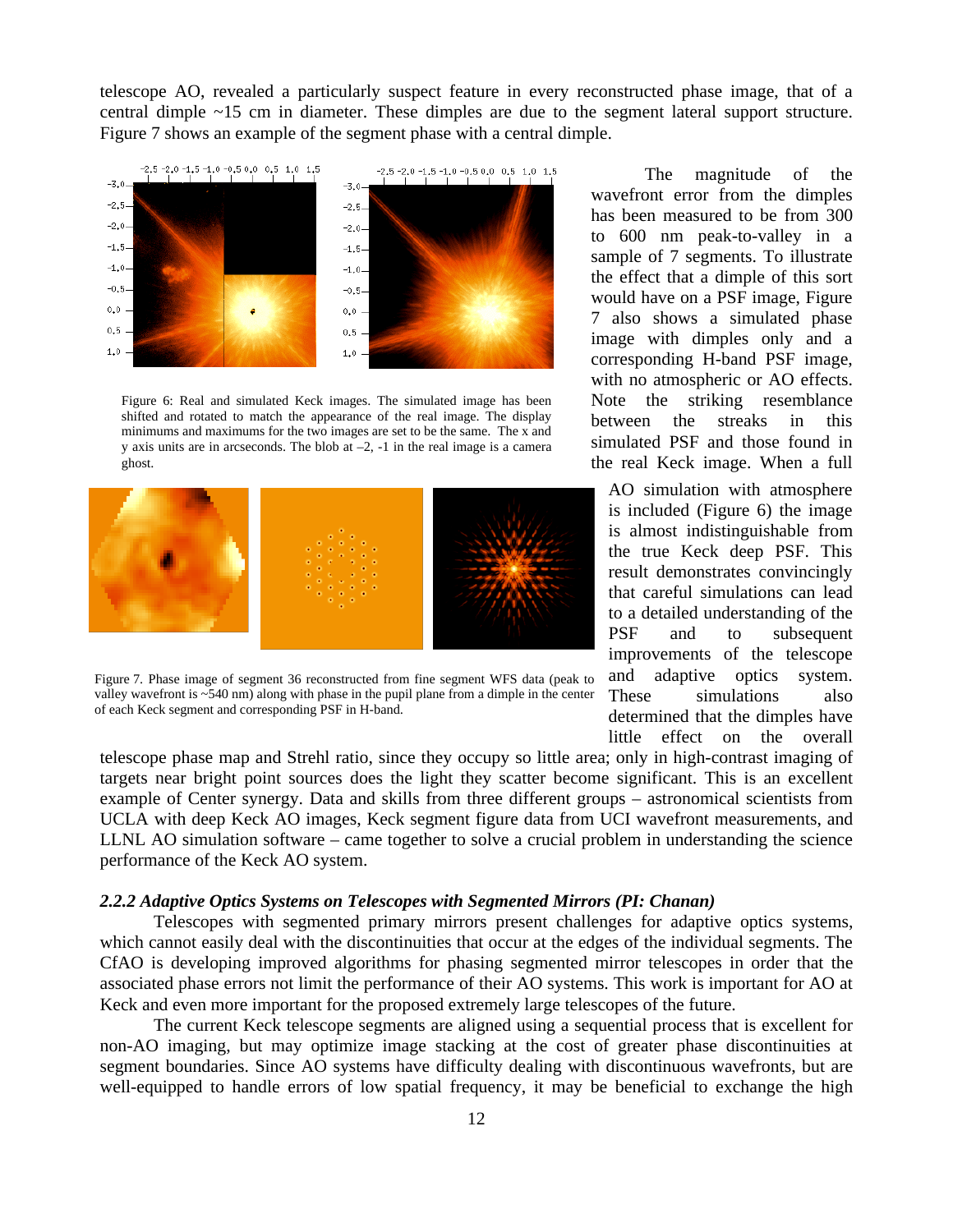telescope AO, revealed a particularly suspect feature in every reconstructed phase image, that of a central dimple ~15 cm in diameter. These dimples are due to the segment lateral support structure. Figure 7 shows an example of the segment phase with a central dimple.



Figure 6: Real and simulated Keck images. The simulated image has been shifted and rotated to match the appearance of the real image. The display minimums and maximums for the two images are set to be the same. The x and y axis units are in arcseconds. The blob at  $-2$ ,  $-1$  in the real image is a camera ghost.



Figure 7. Phase image of segment 36 reconstructed from fine segment WFS data (peak to valley wavefront is ~540 nm) along with phase in the pupil plane from a dimple in the center of each Keck segment and corresponding PSF in H-band.

The magnitude of the wavefront error from the dimples has been measured to be from 300 to 600 nm peak-to-valley in a sample of 7 segments. To illustrate the effect that a dimple of this sort would have on a PSF image, Figure 7 also shows a simulated phase image with dimples only and a corresponding H-band PSF image, with no atmospheric or AO effects. Note the striking resemblance between the streaks in this simulated PSF and those found in the real Keck image. When a full

AO simulation with atmosphere is included (Figure 6) the image is almost indistinguishable from the true Keck deep PSF. This result demonstrates convincingly that careful simulations can lead to a detailed understanding of the PSF and to subsequent improvements of the telescope and adaptive optics system. These simulations also determined that the dimples have little effect on the overall

telescope phase map and Strehl ratio, since they occupy so little area; only in high-contrast imaging of targets near bright point sources does the light they scatter become significant. This is an excellent example of Center synergy. Data and skills from three different groups – astronomical scientists from UCLA with deep Keck AO images, Keck segment figure data from UCI wavefront measurements, and LLNL AO simulation software – came together to solve a crucial problem in understanding the science performance of the Keck AO system.

### *2.2.2 Adaptive Optics Systems on Telescopes with Segmented Mirrors (PI: Chanan)*

Telescopes with segmented primary mirrors present challenges for adaptive optics systems, which cannot easily deal with the discontinuities that occur at the edges of the individual segments. The CfAO is developing improved algorithms for phasing segmented mirror telescopes in order that the associated phase errors not limit the performance of their AO systems. This work is important for AO at Keck and even more important for the proposed extremely large telescopes of the future.

The current Keck telescope segments are aligned using a sequential process that is excellent for non-AO imaging, but may optimize image stacking at the cost of greater phase discontinuities at segment boundaries. Since AO systems have difficulty dealing with discontinuous wavefronts, but are well-equipped to handle errors of low spatial frequency, it may be beneficial to exchange the high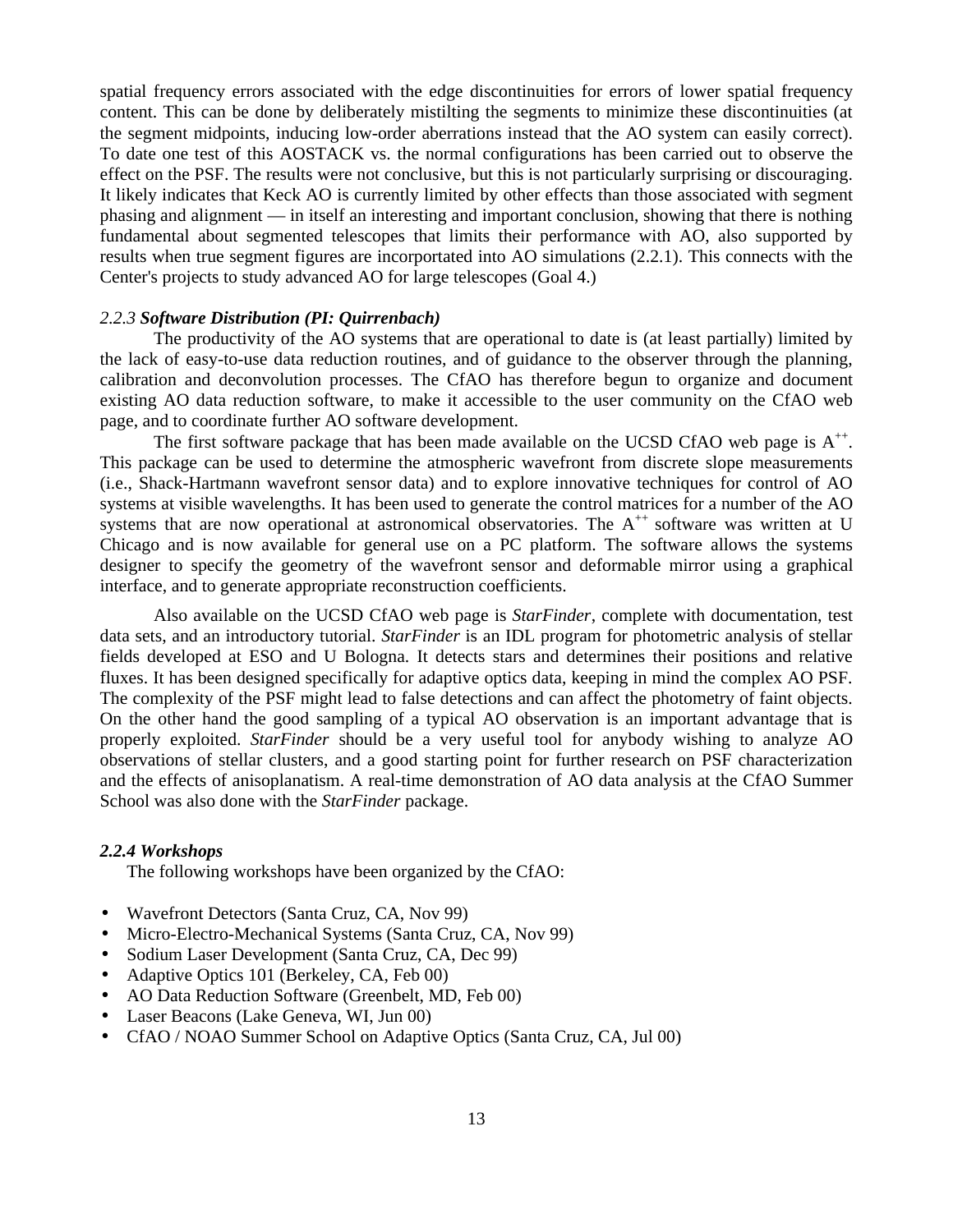spatial frequency errors associated with the edge discontinuities for errors of lower spatial frequency content. This can be done by deliberately mistilting the segments to minimize these discontinuities (at the segment midpoints, inducing low-order aberrations instead that the AO system can easily correct). To date one test of this AOSTACK vs. the normal configurations has been carried out to observe the effect on the PSF. The results were not conclusive, but this is not particularly surprising or discouraging. It likely indicates that Keck AO is currently limited by other effects than those associated with segment phasing and alignment — in itself an interesting and important conclusion, showing that there is nothing fundamental about segmented telescopes that limits their performance with AO, also supported by results when true segment figures are incorportated into AO simulations (2.2.1). This connects with the Center's projects to study advanced AO for large telescopes (Goal 4.)

### *2.2.3 Software Distribution (PI: Quirrenbach)*

The productivity of the AO systems that are operational to date is (at least partially) limited by the lack of easy-to-use data reduction routines, and of guidance to the observer through the planning, calibration and deconvolution processes. The CfAO has therefore begun to organize and document existing AO data reduction software, to make it accessible to the user community on the CfAO web page, and to coordinate further AO software development.

The first software package that has been made available on the UCSD CfAO web page is  $A^{++}$ . This package can be used to determine the atmospheric wavefront from discrete slope measurements (i.e., Shack-Hartmann wavefront sensor data) and to explore innovative techniques for control of AO systems at visible wavelengths. It has been used to generate the control matrices for a number of the AO systems that are now operational at astronomical observatories. The  $A^{++}$  software was written at U Chicago and is now available for general use on a PC platform. The software allows the systems designer to specify the geometry of the wavefront sensor and deformable mirror using a graphical interface, and to generate appropriate reconstruction coefficients.

Also available on the UCSD CfAO web page is *StarFinder*, complete with documentation, test data sets, and an introductory tutorial. *StarFinder* is an IDL program for photometric analysis of stellar fields developed at ESO and U Bologna. It detects stars and determines their positions and relative fluxes. It has been designed specifically for adaptive optics data, keeping in mind the complex AO PSF. The complexity of the PSF might lead to false detections and can affect the photometry of faint objects. On the other hand the good sampling of a typical AO observation is an important advantage that is properly exploited. *StarFinder* should be a very useful tool for anybody wishing to analyze AO observations of stellar clusters, and a good starting point for further research on PSF characterization and the effects of anisoplanatism. A real-time demonstration of AO data analysis at the CfAO Summer School was also done with the *StarFinder* package.

#### *2.2.4 Workshops*

The following workshops have been organized by the CfAO:

- Wavefront Detectors (Santa Cruz, CA, Nov 99)
- Micro-Electro-Mechanical Systems (Santa Cruz, CA, Nov 99)
- Sodium Laser Development (Santa Cruz, CA, Dec 99)
- Adaptive Optics 101 (Berkeley, CA, Feb 00)
- AO Data Reduction Software (Greenbelt, MD, Feb 00)
- Laser Beacons (Lake Geneva, WI, Jun 00)
- CfAO / NOAO Summer School on Adaptive Optics (Santa Cruz, CA, Jul 00)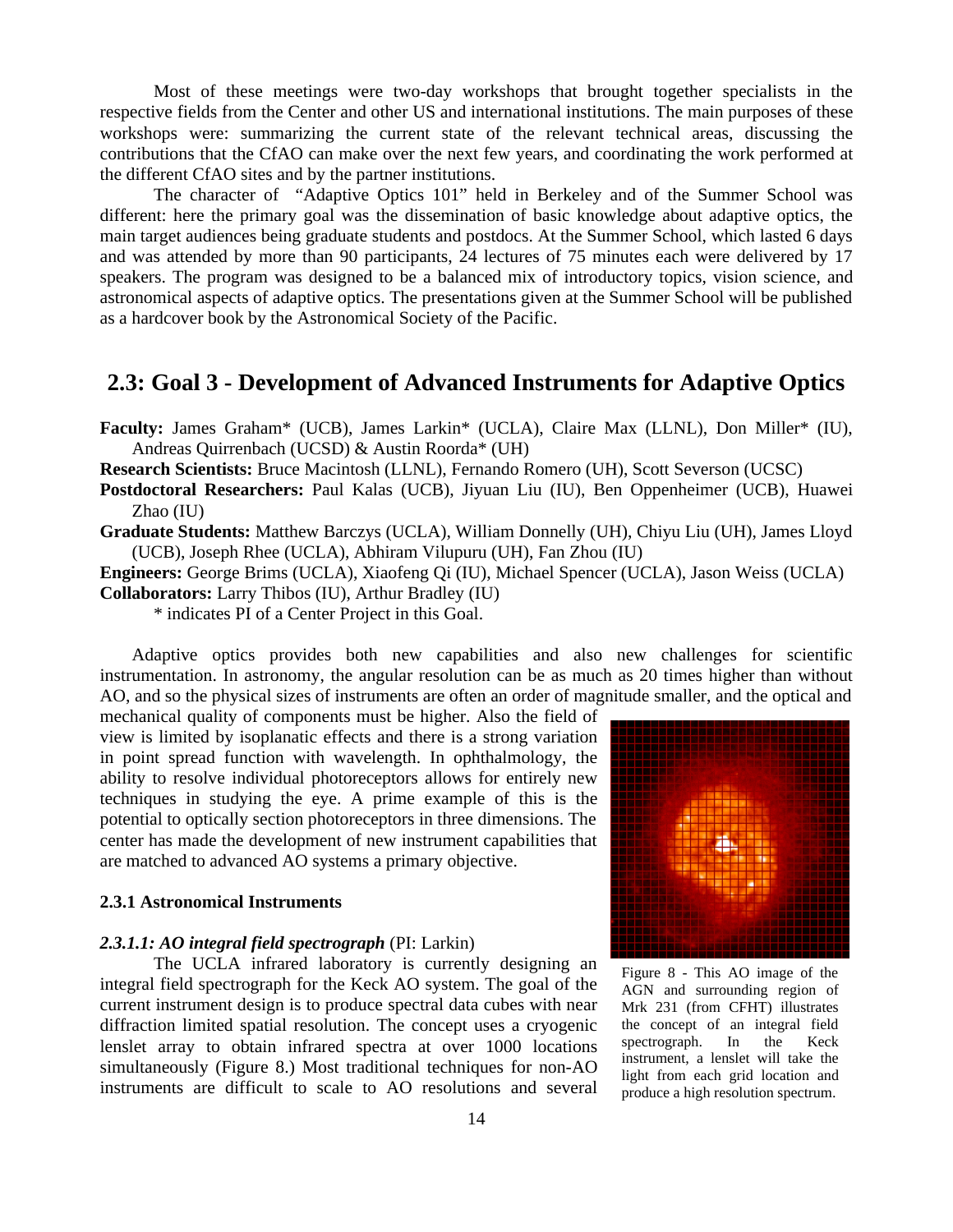Most of these meetings were two-day workshops that brought together specialists in the respective fields from the Center and other US and international institutions. The main purposes of these workshops were: summarizing the current state of the relevant technical areas, discussing the contributions that the CfAO can make over the next few years, and coordinating the work performed at the different CfAO sites and by the partner institutions.

The character of "Adaptive Optics 101" held in Berkeley and of the Summer School was different: here the primary goal was the dissemination of basic knowledge about adaptive optics, the main target audiences being graduate students and postdocs. At the Summer School, which lasted 6 days and was attended by more than 90 participants, 24 lectures of 75 minutes each were delivered by 17 speakers. The program was designed to be a balanced mix of introductory topics, vision science, and astronomical aspects of adaptive optics. The presentations given at the Summer School will be published as a hardcover book by the Astronomical Society of the Pacific.

# **2.3: Goal 3 - Development of Advanced Instruments for Adaptive Optics**

**Faculty:** James Graham\* (UCB), James Larkin\* (UCLA), Claire Max (LLNL), Don Miller\* (IU), Andreas Quirrenbach (UCSD) & Austin Roorda\* (UH)

**Research Scientists:** Bruce Macintosh (LLNL), Fernando Romero (UH), Scott Severson (UCSC)

- **Postdoctoral Researchers:** Paul Kalas (UCB), Jiyuan Liu (IU), Ben Oppenheimer (UCB), Huawei Zhao (IU)
- **Graduate Students:** Matthew Barczys (UCLA), William Donnelly (UH), Chiyu Liu (UH), James Lloyd (UCB), Joseph Rhee (UCLA), Abhiram Vilupuru (UH), Fan Zhou (IU)

**Engineers:** George Brims (UCLA), Xiaofeng Qi (IU), Michael Spencer (UCLA), Jason Weiss (UCLA)

**Collaborators:** Larry Thibos (IU), Arthur Bradley (IU)

\* indicates PI of a Center Project in this Goal.

Adaptive optics provides both new capabilities and also new challenges for scientific instrumentation. In astronomy, the angular resolution can be as much as 20 times higher than without AO, and so the physical sizes of instruments are often an order of magnitude smaller, and the optical and

mechanical quality of components must be higher. Also the field of view is limited by isoplanatic effects and there is a strong variation in point spread function with wavelength. In ophthalmology, the ability to resolve individual photoreceptors allows for entirely new techniques in studying the eye. A prime example of this is the potential to optically section photoreceptors in three dimensions. The center has made the development of new instrument capabilities that are matched to advanced AO systems a primary objective.

### **2.3.1 Astronomical Instruments**

#### *2.3.1.1: AO integral field spectrograph* (PI: Larkin)

The UCLA infrared laboratory is currently designing an integral field spectrograph for the Keck AO system. The goal of the current instrument design is to produce spectral data cubes with near diffraction limited spatial resolution. The concept uses a cryogenic lenslet array to obtain infrared spectra at over 1000 locations simultaneously (Figure 8.) Most traditional techniques for non-AO instruments are difficult to scale to AO resolutions and several



Figure 8 - This AO image of the AGN and surrounding region of Mrk 231 (from CFHT) illustrates the concept of an integral field spectrograph. In the Keck instrument, a lenslet will take the light from each grid location and produce a high resolution spectrum.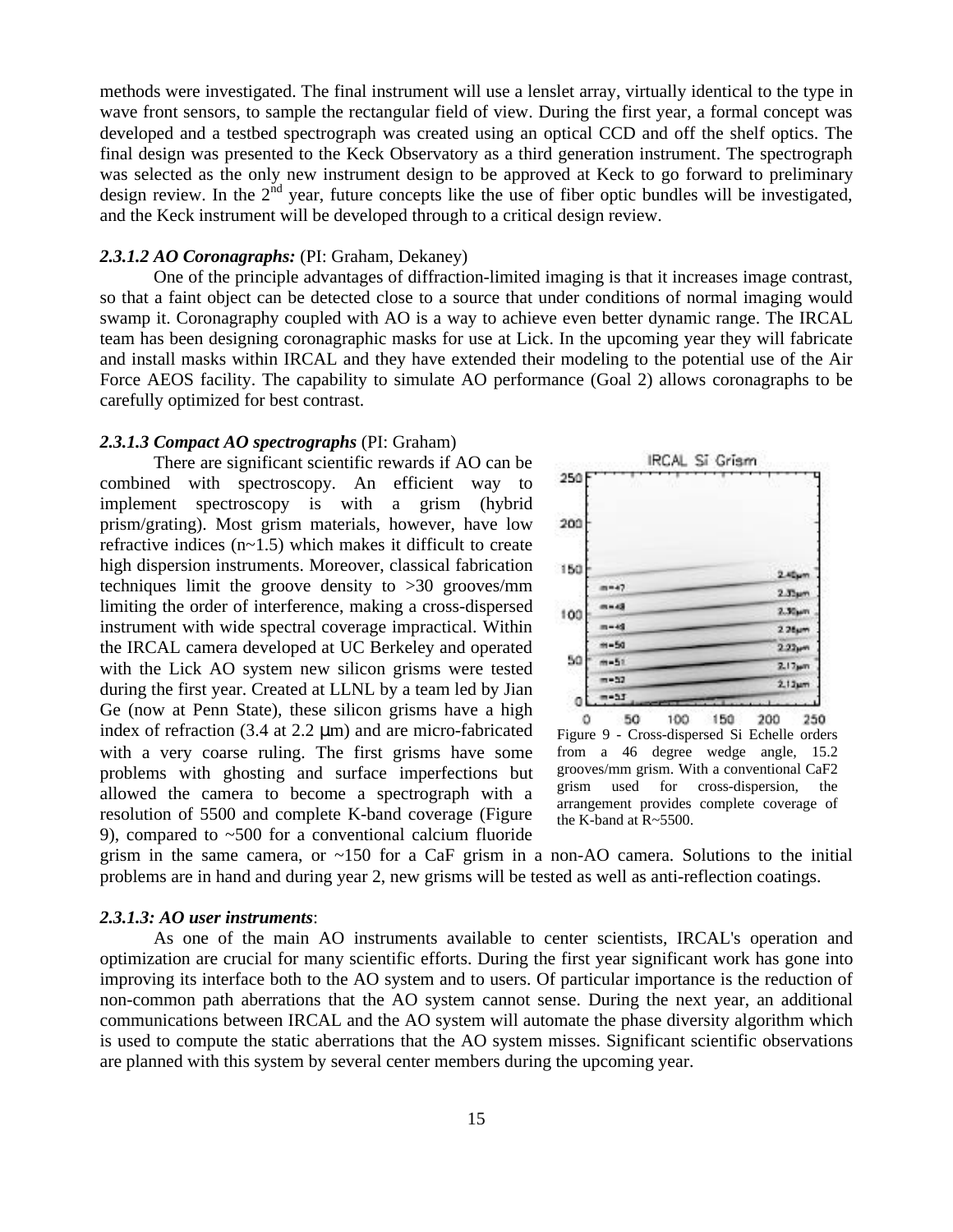methods were investigated. The final instrument will use a lenslet array, virtually identical to the type in wave front sensors, to sample the rectangular field of view. During the first year, a formal concept was developed and a testbed spectrograph was created using an optical CCD and off the shelf optics. The final design was presented to the Keck Observatory as a third generation instrument. The spectrograph was selected as the only new instrument design to be approved at Keck to go forward to preliminary design review. In the  $2<sup>nd</sup>$  year, future concepts like the use of fiber optic bundles will be investigated, and the Keck instrument will be developed through to a critical design review.

### *2.3.1.2 AO Coronagraphs:* (PI: Graham, Dekaney)

One of the principle advantages of diffraction-limited imaging is that it increases image contrast, so that a faint object can be detected close to a source that under conditions of normal imaging would swamp it. Coronagraphy coupled with AO is a way to achieve even better dynamic range. The IRCAL team has been designing coronagraphic masks for use at Lick. In the upcoming year they will fabricate and install masks within IRCAL and they have extended their modeling to the potential use of the Air Force AEOS facility. The capability to simulate AO performance (Goal 2) allows coronagraphs to be carefully optimized for best contrast.

#### *2.3.1.3 Compact AO spectrographs* (PI: Graham)

There are significant scientific rewards if AO can be combined with spectroscopy. An efficient way to implement spectroscopy is with a grism (hybrid prism/grating). Most grism materials, however, have low refractive indices (n~1.5) which makes it difficult to create high dispersion instruments. Moreover, classical fabrication techniques limit the groove density to >30 grooves/mm limiting the order of interference, making a cross-dispersed instrument with wide spectral coverage impractical. Within the IRCAL camera developed at UC Berkeley and operated with the Lick AO system new silicon grisms were tested during the first year. Created at LLNL by a team led by Jian Ge (now at Penn State), these silicon grisms have a high index of refraction (3.4 at  $2.2 \mu$ m) and are micro-fabricated with a very coarse ruling. The first grisms have some problems with ghosting and surface imperfections but allowed the camera to become a spectrograph with a resolution of 5500 and complete K-band coverage (Figure 9), compared to ~500 for a conventional calcium fluoride



Figure 9 - Cross-dispersed Si Echelle orders from a 46 degree wedge angle, 15.2 grooves/mm grism. With a conventional CaF2 grism used for cross-dispersion, the arrangement provides complete coverage of the K-band at R~5500.

grism in the same camera, or  $\sim$ 150 for a CaF grism in a non-AO camera. Solutions to the initial problems are in hand and during year 2, new grisms will be tested as well as anti-reflection coatings.

### *2.3.1.3: AO user instruments*:

As one of the main AO instruments available to center scientists, IRCAL's operation and optimization are crucial for many scientific efforts. During the first year significant work has gone into improving its interface both to the AO system and to users. Of particular importance is the reduction of non-common path aberrations that the AO system cannot sense. During the next year, an additional communications between IRCAL and the AO system will automate the phase diversity algorithm which is used to compute the static aberrations that the AO system misses. Significant scientific observations are planned with this system by several center members during the upcoming year.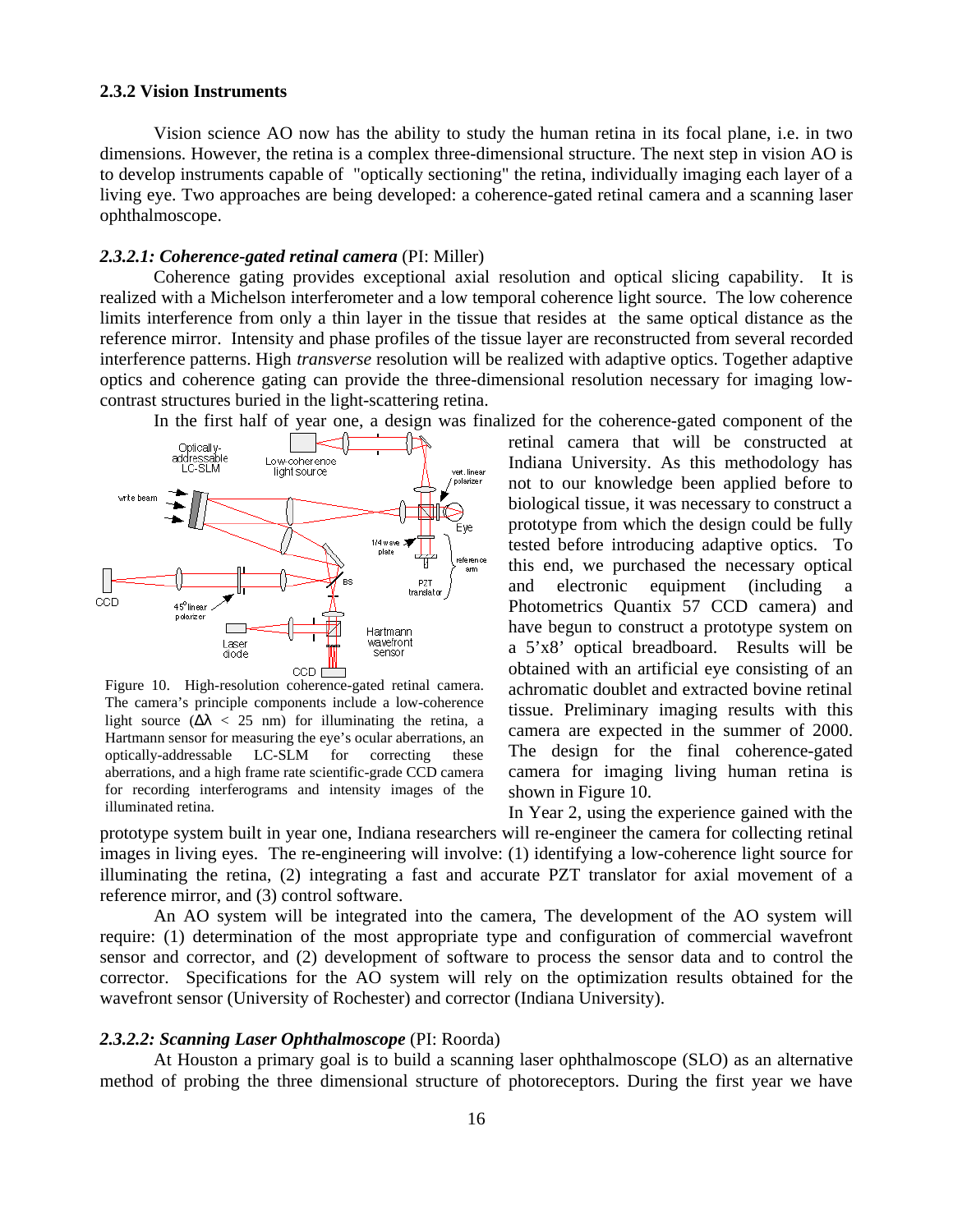#### **2.3.2 Vision Instruments**

Vision science AO now has the ability to study the human retina in its focal plane, i.e. in two dimensions. However, the retina is a complex three-dimensional structure. The next step in vision AO is to develop instruments capable of "optically sectioning" the retina, individually imaging each layer of a living eye. Two approaches are being developed: a coherence-gated retinal camera and a scanning laser ophthalmoscope.

### *2.3.2.1: Coherence-gated retinal camera* (PI: Miller)

Coherence gating provides exceptional axial resolution and optical slicing capability. It is realized with a Michelson interferometer and a low temporal coherence light source. The low coherence limits interference from only a thin layer in the tissue that resides at the same optical distance as the reference mirror. Intensity and phase profiles of the tissue layer are reconstructed from several recorded interference patterns. High *transverse* resolution will be realized with adaptive optics. Together adaptive optics and coherence gating can provide the three-dimensional resolution necessary for imaging lowcontrast structures buried in the light-scattering retina.



Figure 10. High-resolution coherence-gated retinal camera. The camera's principle components include a low-coherence light source  $($   $\lt$  25 nm) for illuminating the retina, a Hartmann sensor for measuring the eye's ocular aberrations, an optically-addressable LC-SLM for correcting these aberrations, and a high frame rate scientific-grade CCD camera for recording interferograms and intensity images of the illuminated retina.

retinal camera that will be constructed at Indiana University. As this methodology has not to our knowledge been applied before to biological tissue, it was necessary to construct a prototype from which the design could be fully tested before introducing adaptive optics. To this end, we purchased the necessary optical and electronic equipment (including a Photometrics Quantix 57 CCD camera) and have begun to construct a prototype system on a 5'x8' optical breadboard. Results will be obtained with an artificial eye consisting of an achromatic doublet and extracted bovine retinal tissue. Preliminary imaging results with this camera are expected in the summer of 2000. The design for the final coherence-gated camera for imaging living human retina is shown in Figure 10.

In Year 2, using the experience gained with the prototype system built in year one, Indiana researchers will re-engineer the camera for collecting retinal images in living eyes. The re-engineering will involve: (1) identifying a low-coherence light source for illuminating the retina, (2) integrating a fast and accurate PZT translator for axial movement of a reference mirror, and (3) control software.

An AO system will be integrated into the camera, The development of the AO system will require: (1) determination of the most appropriate type and configuration of commercial wavefront sensor and corrector, and (2) development of software to process the sensor data and to control the corrector. Specifications for the AO system will rely on the optimization results obtained for the wavefront sensor (University of Rochester) and corrector (Indiana University).

### *2.3.2.2: Scanning Laser Ophthalmoscope* (PI: Roorda)

At Houston a primary goal is to build a scanning laser ophthalmoscope (SLO) as an alternative method of probing the three dimensional structure of photoreceptors. During the first year we have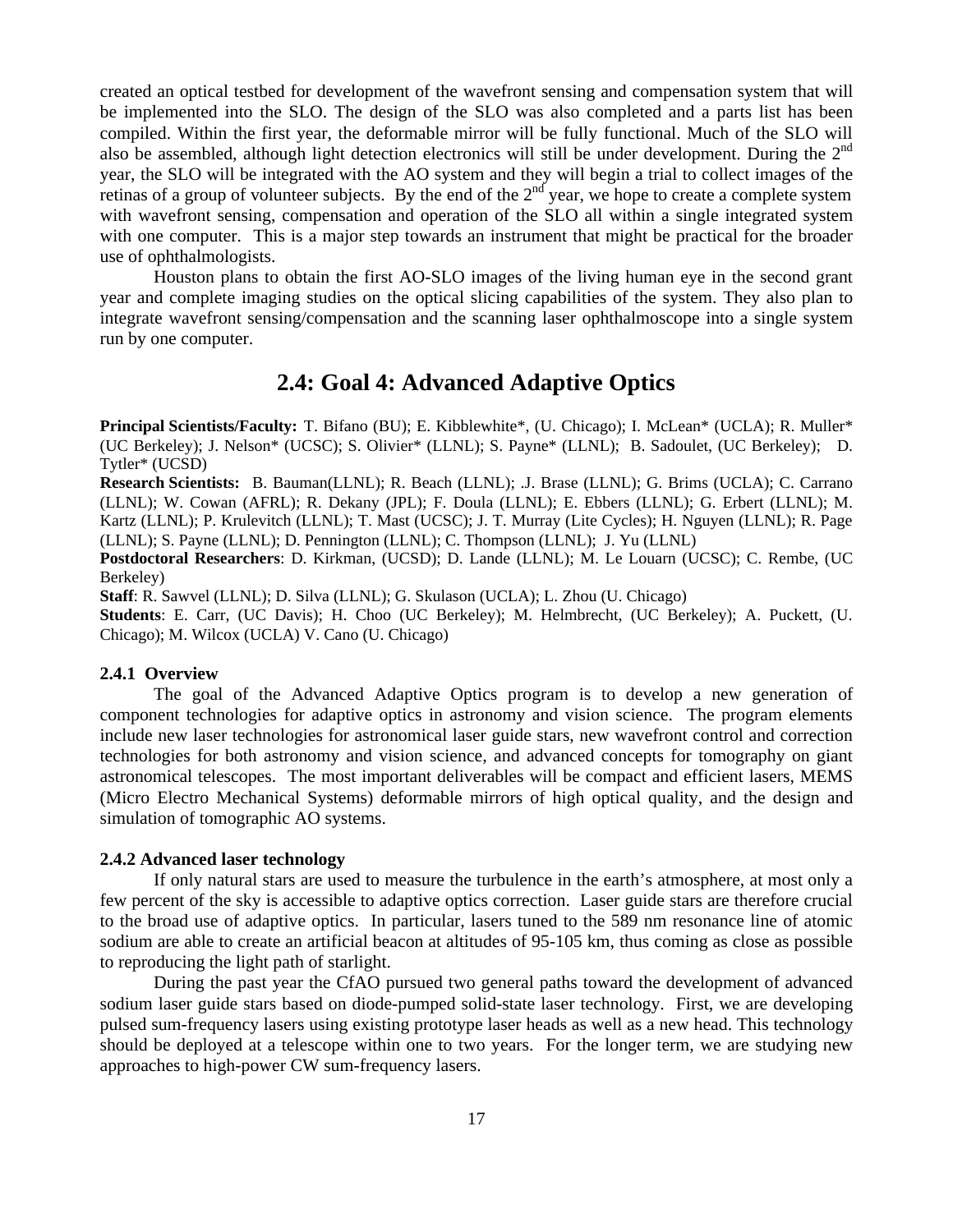created an optical testbed for development of the wavefront sensing and compensation system that will be implemented into the SLO. The design of the SLO was also completed and a parts list has been compiled. Within the first year, the deformable mirror will be fully functional. Much of the SLO will also be assembled, although light detection electronics will still be under development. During the 2<sup>nd</sup> year, the SLO will be integrated with the AO system and they will begin a trial to collect images of the retinas of a group of volunteer subjects. By the end of the  $2<sup>nd</sup>$  year, we hope to create a complete system with wavefront sensing, compensation and operation of the SLO all within a single integrated system with one computer. This is a major step towards an instrument that might be practical for the broader use of ophthalmologists.

Houston plans to obtain the first AO-SLO images of the living human eye in the second grant year and complete imaging studies on the optical slicing capabilities of the system. They also plan to integrate wavefront sensing/compensation and the scanning laser ophthalmoscope into a single system run by one computer.

# **2.4: Goal 4: Advanced Adaptive Optics**

**Principal Scientists/Faculty:** T. Bifano (BU); E. Kibblewhite\*, (U. Chicago); I. McLean\* (UCLA); R. Muller\* (UC Berkeley); J. Nelson\* (UCSC); S. Olivier\* (LLNL); S. Payne\* (LLNL); B. Sadoulet, (UC Berkeley); D. Tytler\* (UCSD)

**Research Scientists:** B. Bauman(LLNL); R. Beach (LLNL); .J. Brase (LLNL); G. Brims (UCLA); C. Carrano (LLNL); W. Cowan (AFRL); R. Dekany (JPL); F. Doula (LLNL); E. Ebbers (LLNL); G. Erbert (LLNL); M. Kartz (LLNL); P. Krulevitch (LLNL); T. Mast (UCSC); J. T. Murray (Lite Cycles); H. Nguyen (LLNL); R. Page (LLNL); S. Payne (LLNL); D. Pennington (LLNL); C. Thompson (LLNL); J. Yu (LLNL)

**Postdoctoral Researchers**: D. Kirkman, (UCSD); D. Lande (LLNL); M. Le Louarn (UCSC); C. Rembe, (UC Berkeley)

**Staff**: R. Sawvel (LLNL); D. Silva (LLNL); G. Skulason (UCLA); L. Zhou (U. Chicago)

**Students**: E. Carr, (UC Davis); H. Choo (UC Berkeley); M. Helmbrecht, (UC Berkeley); A. Puckett, (U. Chicago); M. Wilcox (UCLA) V. Cano (U. Chicago)

#### **2.4.1 Overview**

The goal of the Advanced Adaptive Optics program is to develop a new generation of component technologies for adaptive optics in astronomy and vision science. The program elements include new laser technologies for astronomical laser guide stars, new wavefront control and correction technologies for both astronomy and vision science, and advanced concepts for tomography on giant astronomical telescopes. The most important deliverables will be compact and efficient lasers, MEMS (Micro Electro Mechanical Systems) deformable mirrors of high optical quality, and the design and simulation of tomographic AO systems.

### **2.4.2 Advanced laser technology**

If only natural stars are used to measure the turbulence in the earth's atmosphere, at most only a few percent of the sky is accessible to adaptive optics correction. Laser guide stars are therefore crucial to the broad use of adaptive optics. In particular, lasers tuned to the 589 nm resonance line of atomic sodium are able to create an artificial beacon at altitudes of 95-105 km, thus coming as close as possible to reproducing the light path of starlight.

During the past year the CfAO pursued two general paths toward the development of advanced sodium laser guide stars based on diode-pumped solid-state laser technology. First, we are developing pulsed sum-frequency lasers using existing prototype laser heads as well as a new head. This technology should be deployed at a telescope within one to two years. For the longer term, we are studying new approaches to high-power CW sum-frequency lasers.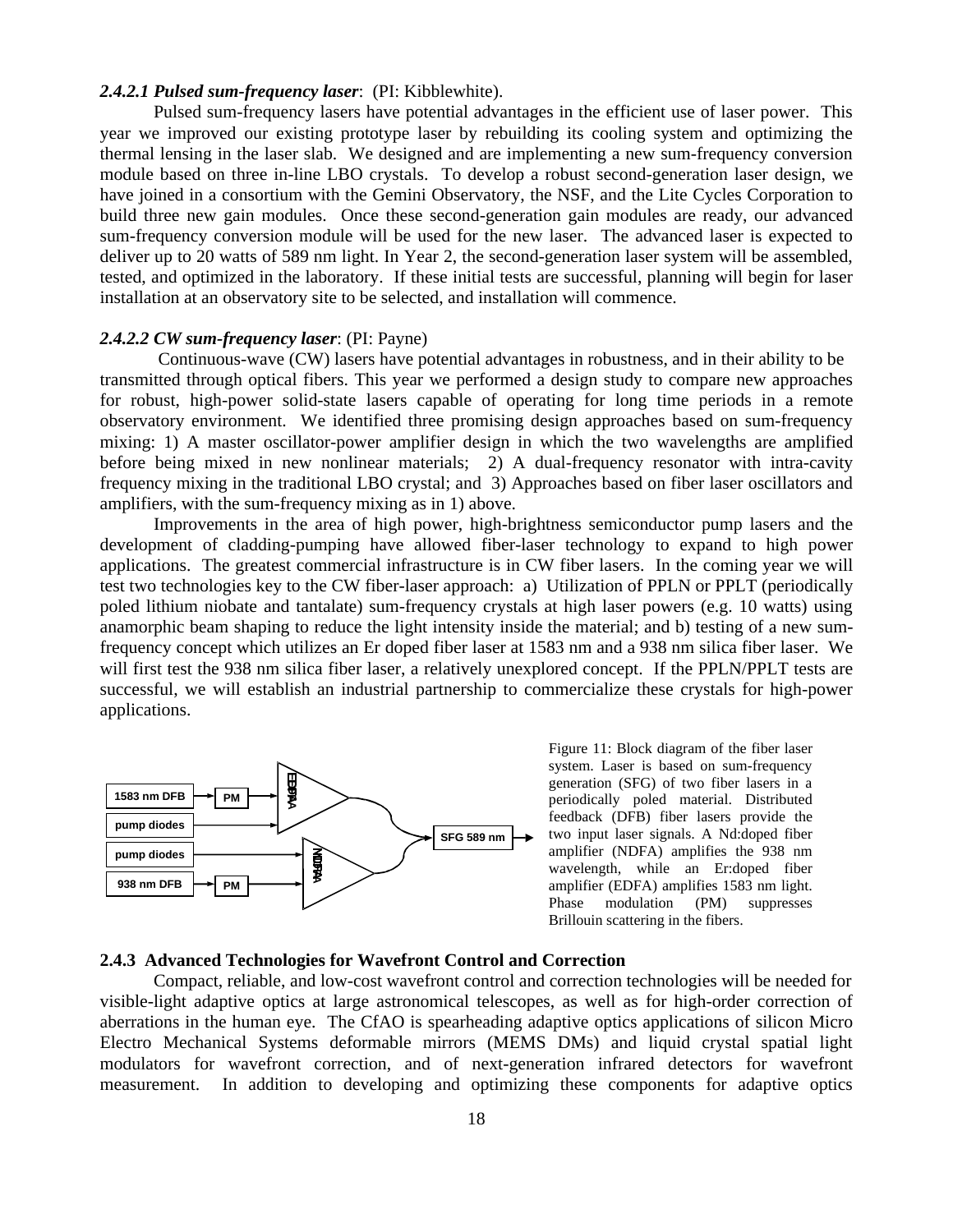### *2.4.2.1 Pulsed sum-frequency laser*: (PI: Kibblewhite).

Pulsed sum-frequency lasers have potential advantages in the efficient use of laser power. This year we improved our existing prototype laser by rebuilding its cooling system and optimizing the thermal lensing in the laser slab. We designed and are implementing a new sum-frequency conversion module based on three in-line LBO crystals. To develop a robust second-generation laser design, we have joined in a consortium with the Gemini Observatory, the NSF, and the Lite Cycles Corporation to build three new gain modules. Once these second-generation gain modules are ready, our advanced sum-frequency conversion module will be used for the new laser. The advanced laser is expected to deliver up to 20 watts of 589 nm light. In Year 2, the second-generation laser system will be assembled, tested, and optimized in the laboratory. If these initial tests are successful, planning will begin for laser installation at an observatory site to be selected, and installation will commence.

#### *2.4.2.2 CW sum-frequency laser*: (PI: Payne)

 Continuous-wave (CW) lasers have potential advantages in robustness, and in their ability to be transmitted through optical fibers. This year we performed a design study to compare new approaches for robust, high-power solid-state lasers capable of operating for long time periods in a remote observatory environment. We identified three promising design approaches based on sum-frequency mixing: 1) A master oscillator-power amplifier design in which the two wavelengths are amplified before being mixed in new nonlinear materials; 2) A dual-frequency resonator with intra-cavity frequency mixing in the traditional LBO crystal; and 3) Approaches based on fiber laser oscillators and amplifiers, with the sum-frequency mixing as in 1) above.

Improvements in the area of high power, high-brightness semiconductor pump lasers and the development of cladding-pumping have allowed fiber-laser technology to expand to high power applications. The greatest commercial infrastructure is in CW fiber lasers. In the coming year we will test two technologies key to the CW fiber-laser approach: a) Utilization of PPLN or PPLT (periodically poled lithium niobate and tantalate) sum-frequency crystals at high laser powers (e.g. 10 watts) using anamorphic beam shaping to reduce the light intensity inside the material; and b) testing of a new sumfrequency concept which utilizes an Er doped fiber laser at 1583 nm and a 938 nm silica fiber laser. We will first test the 938 nm silica fiber laser, a relatively unexplored concept. If the PPLN/PPLT tests are successful, we will establish an industrial partnership to commercialize these crystals for high-power applications.



Figure 11: Block diagram of the fiber laser system. Laser is based on sum-frequency generation (SFG) of two fiber lasers in a periodically poled material. Distributed feedback (DFB) fiber lasers provide the two input laser signals. A Nd:doped fiber amplifier (NDFA) amplifies the 938 nm wavelength, while an Er:doped fiber amplifier (EDFA) amplifies 1583 nm light. Phase modulation (PM) suppresses Brillouin scattering in the fibers.

### **2.4.3 Advanced Technologies for Wavefront Control and Correction**

Compact, reliable, and low-cost wavefront control and correction technologies will be needed for visible-light adaptive optics at large astronomical telescopes, as well as for high-order correction of aberrations in the human eye. The CfAO is spearheading adaptive optics applications of silicon Micro Electro Mechanical Systems deformable mirrors (MEMS DMs) and liquid crystal spatial light modulators for wavefront correction, and of next-generation infrared detectors for wavefront measurement. In addition to developing and optimizing these components for adaptive optics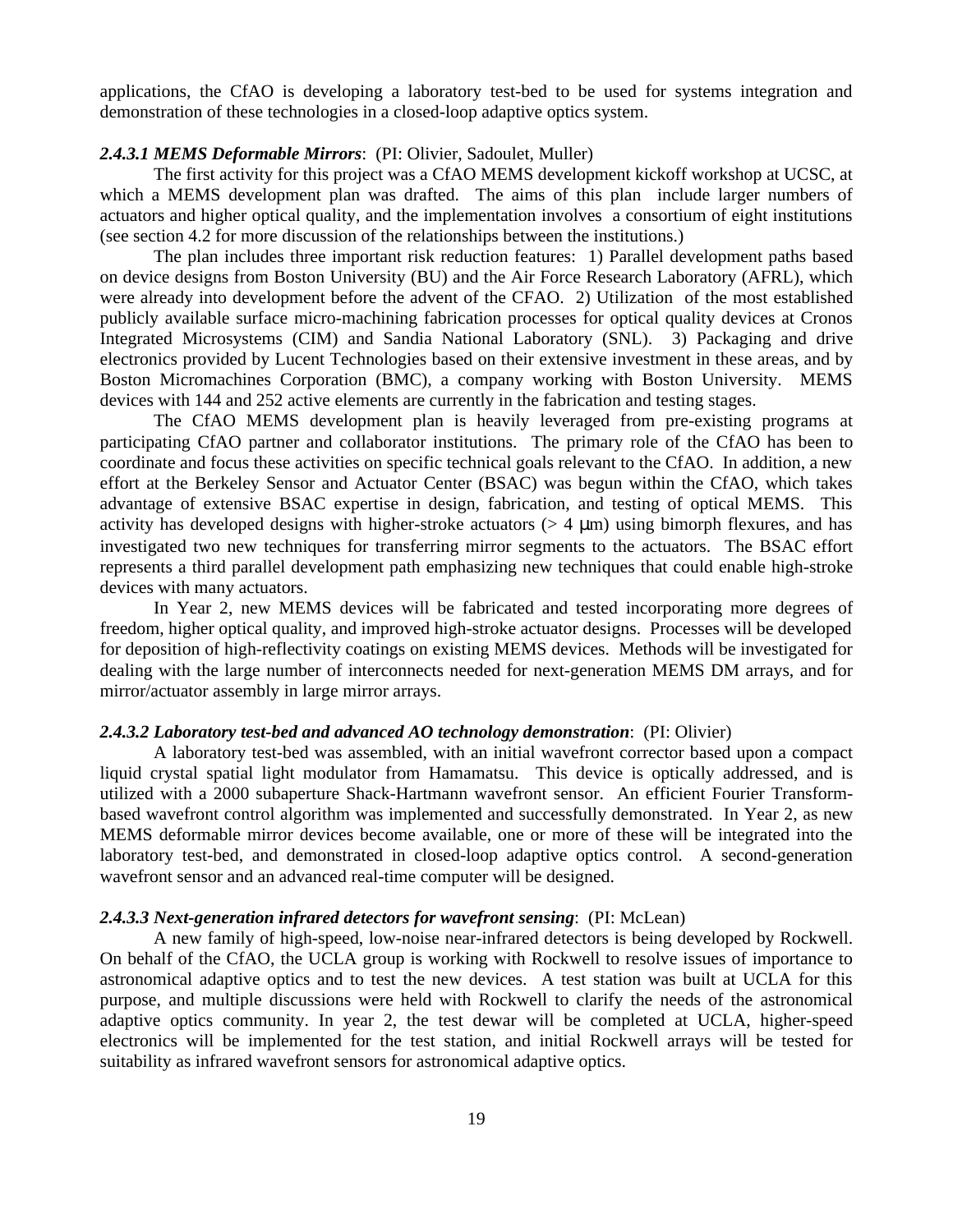applications, the CfAO is developing a laboratory test-bed to be used for systems integration and demonstration of these technologies in a closed-loop adaptive optics system.

# *2.4.3.1 MEMS Deformable Mirrors*: (PI: Olivier, Sadoulet, Muller)

The first activity for this project was a CfAO MEMS development kickoff workshop at UCSC, at which a MEMS development plan was drafted. The aims of this plan include larger numbers of actuators and higher optical quality, and the implementation involves a consortium of eight institutions (see section 4.2 for more discussion of the relationships between the institutions.)

The plan includes three important risk reduction features: 1) Parallel development paths based on device designs from Boston University (BU) and the Air Force Research Laboratory (AFRL), which were already into development before the advent of the CFAO. 2) Utilization of the most established publicly available surface micro-machining fabrication processes for optical quality devices at Cronos Integrated Microsystems (CIM) and Sandia National Laboratory (SNL). 3) Packaging and drive electronics provided by Lucent Technologies based on their extensive investment in these areas, and by Boston Micromachines Corporation (BMC), a company working with Boston University. MEMS devices with 144 and 252 active elements are currently in the fabrication and testing stages.

The CfAO MEMS development plan is heavily leveraged from pre-existing programs at participating CfAO partner and collaborator institutions. The primary role of the CfAO has been to coordinate and focus these activities on specific technical goals relevant to the CfAO. In addition, a new effort at the Berkeley Sensor and Actuator Center (BSAC) was begun within the CfAO, which takes advantage of extensive BSAC expertise in design, fabrication, and testing of optical MEMS. This activity has developed designs with higher-stroke actuators ( $> 4 \mu$ m) using bimorph flexures, and has investigated two new techniques for transferring mirror segments to the actuators. The BSAC effort represents a third parallel development path emphasizing new techniques that could enable high-stroke devices with many actuators.

In Year 2, new MEMS devices will be fabricated and tested incorporating more degrees of freedom, higher optical quality, and improved high-stroke actuator designs. Processes will be developed for deposition of high-reflectivity coatings on existing MEMS devices. Methods will be investigated for dealing with the large number of interconnects needed for next-generation MEMS DM arrays, and for mirror/actuator assembly in large mirror arrays.

#### *2.4.3.2 Laboratory test-bed and advanced AO technology demonstration*: (PI: Olivier)

A laboratory test-bed was assembled, with an initial wavefront corrector based upon a compact liquid crystal spatial light modulator from Hamamatsu. This device is optically addressed, and is utilized with a 2000 subaperture Shack-Hartmann wavefront sensor. An efficient Fourier Transformbased wavefront control algorithm was implemented and successfully demonstrated. In Year 2, as new MEMS deformable mirror devices become available, one or more of these will be integrated into the laboratory test-bed, and demonstrated in closed-loop adaptive optics control. A second-generation wavefront sensor and an advanced real-time computer will be designed.

### *2.4.3.3 Next-generation infrared detectors for wavefront sensing*: (PI: McLean)

A new family of high-speed, low-noise near-infrared detectors is being developed by Rockwell. On behalf of the CfAO, the UCLA group is working with Rockwell to resolve issues of importance to astronomical adaptive optics and to test the new devices. A test station was built at UCLA for this purpose, and multiple discussions were held with Rockwell to clarify the needs of the astronomical adaptive optics community. In year 2, the test dewar will be completed at UCLA, higher-speed electronics will be implemented for the test station, and initial Rockwell arrays will be tested for suitability as infrared wavefront sensors for astronomical adaptive optics.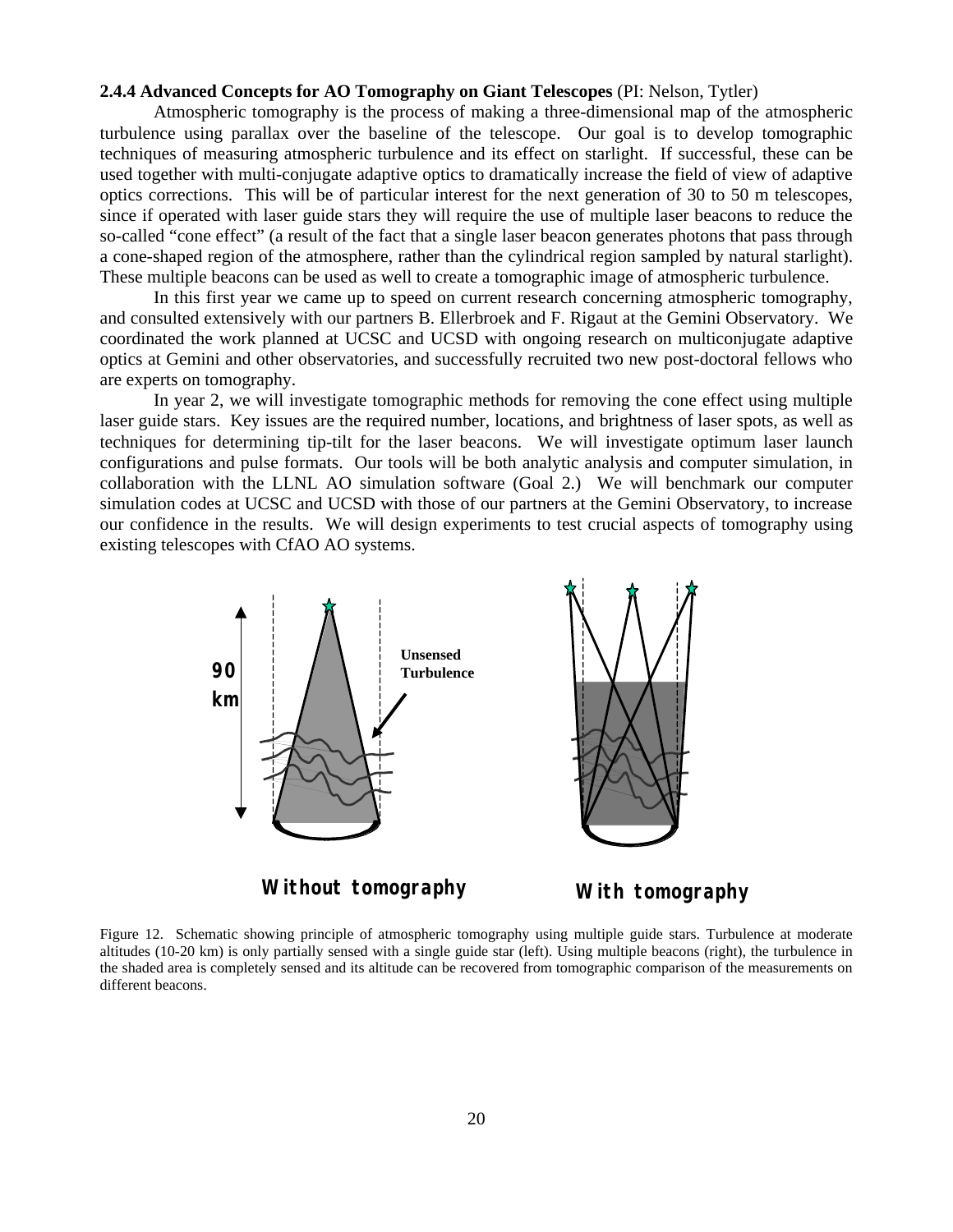#### **2.4.4 Advanced Concepts for AO Tomography on Giant Telescopes** (PI: Nelson, Tytler)

Atmospheric tomography is the process of making a three-dimensional map of the atmospheric turbulence using parallax over the baseline of the telescope. Our goal is to develop tomographic techniques of measuring atmospheric turbulence and its effect on starlight. If successful, these can be used together with multi-conjugate adaptive optics to dramatically increase the field of view of adaptive optics corrections. This will be of particular interest for the next generation of 30 to 50 m telescopes, since if operated with laser guide stars they will require the use of multiple laser beacons to reduce the so-called "cone effect" (a result of the fact that a single laser beacon generates photons that pass through a cone-shaped region of the atmosphere, rather than the cylindrical region sampled by natural starlight). These multiple beacons can be used as well to create a tomographic image of atmospheric turbulence.

In this first year we came up to speed on current research concerning atmospheric tomography, and consulted extensively with our partners B. Ellerbroek and F. Rigaut at the Gemini Observatory. We coordinated the work planned at UCSC and UCSD with ongoing research on multiconjugate adaptive optics at Gemini and other observatories, and successfully recruited two new post-doctoral fellows who are experts on tomography.

In year 2, we will investigate tomographic methods for removing the cone effect using multiple laser guide stars. Key issues are the required number, locations, and brightness of laser spots, as well as techniques for determining tip-tilt for the laser beacons. We will investigate optimum laser launch configurations and pulse formats. Our tools will be both analytic analysis and computer simulation, in collaboration with the LLNL AO simulation software (Goal 2.) We will benchmark our computer simulation codes at UCSC and UCSD with those of our partners at the Gemini Observatory, to increase our confidence in the results. We will design experiments to test crucial aspects of tomography using existing telescopes with CfAO AO systems.



**Without tomography With tomography**

Figure 12. Schematic showing principle of atmospheric tomography using multiple guide stars. Turbulence at moderate altitudes (10-20 km) is only partially sensed with a single guide star (left). Using multiple beacons (right), the turbulence in the shaded area is completely sensed and its altitude can be recovered from tomographic comparison of the measurements on different beacons.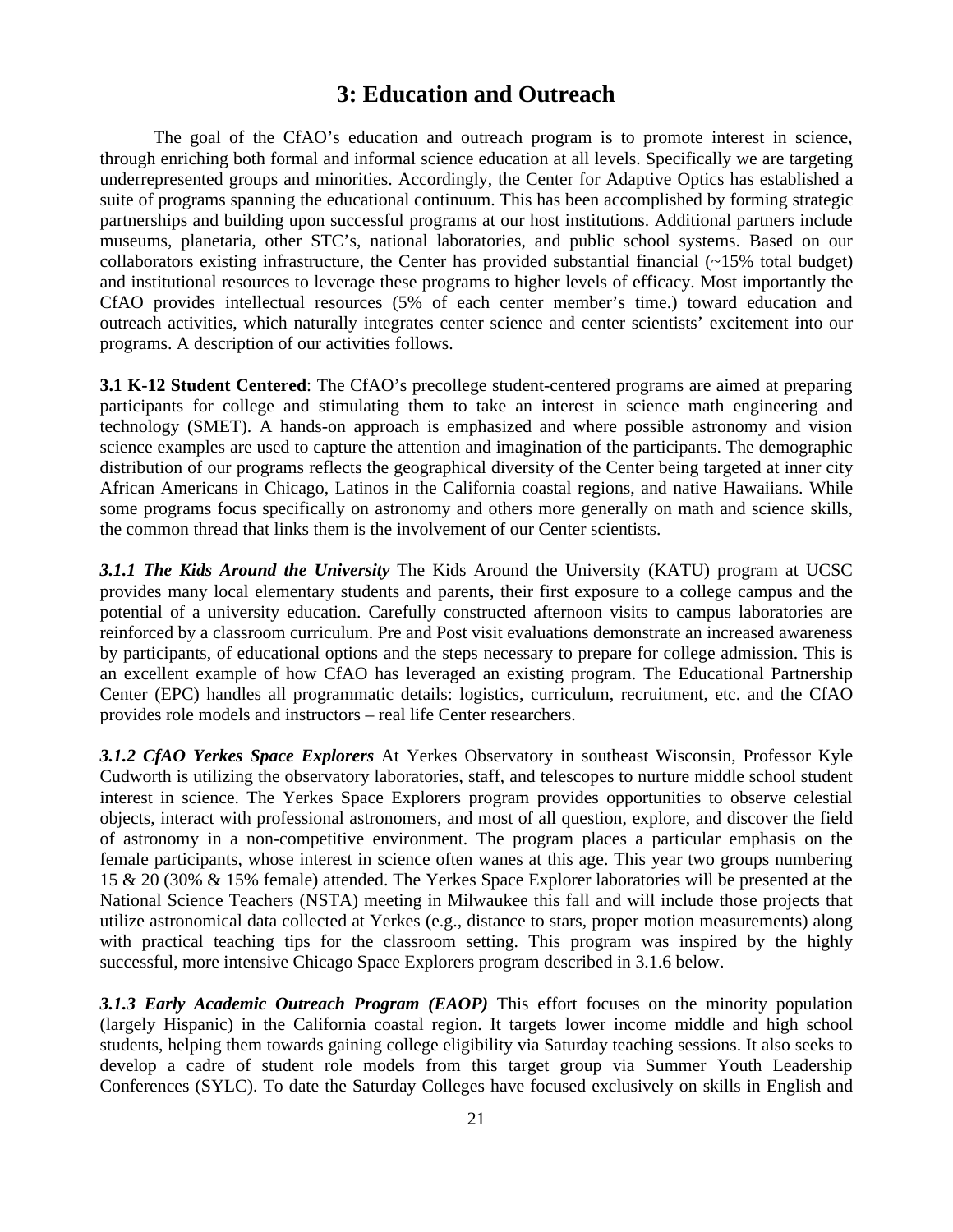# **3: Education and Outreach**

The goal of the CfAO's education and outreach program is to promote interest in science, through enriching both formal and informal science education at all levels. Specifically we are targeting underrepresented groups and minorities. Accordingly, the Center for Adaptive Optics has established a suite of programs spanning the educational continuum. This has been accomplished by forming strategic partnerships and building upon successful programs at our host institutions. Additional partners include museums, planetaria, other STC's, national laboratories, and public school systems. Based on our collaborators existing infrastructure, the Center has provided substantial financial  $\left(\sim 15\% \right)$  total budget) and institutional resources to leverage these programs to higher levels of efficacy. Most importantly the CfAO provides intellectual resources (5% of each center member's time.) toward education and outreach activities, which naturally integrates center science and center scientists' excitement into our programs. A description of our activities follows.

**3.1 K-12 Student Centered**: The CfAO's precollege student-centered programs are aimed at preparing participants for college and stimulating them to take an interest in science math engineering and technology (SMET). A hands-on approach is emphasized and where possible astronomy and vision science examples are used to capture the attention and imagination of the participants. The demographic distribution of our programs reflects the geographical diversity of the Center being targeted at inner city African Americans in Chicago, Latinos in the California coastal regions, and native Hawaiians. While some programs focus specifically on astronomy and others more generally on math and science skills, the common thread that links them is the involvement of our Center scientists.

*3.1.1 The Kids Around the University* The Kids Around the University (KATU) program at UCSC provides many local elementary students and parents, their first exposure to a college campus and the potential of a university education. Carefully constructed afternoon visits to campus laboratories are reinforced by a classroom curriculum. Pre and Post visit evaluations demonstrate an increased awareness by participants, of educational options and the steps necessary to prepare for college admission. This is an excellent example of how CfAO has leveraged an existing program. The Educational Partnership Center (EPC) handles all programmatic details: logistics, curriculum, recruitment, etc. and the CfAO provides role models and instructors – real life Center researchers.

*3.1.2 CfAO Yerkes Space Explorers* At Yerkes Observatory in southeast Wisconsin, Professor Kyle Cudworth is utilizing the observatory laboratories, staff, and telescopes to nurture middle school student interest in science. The Yerkes Space Explorers program provides opportunities to observe celestial objects, interact with professional astronomers, and most of all question, explore, and discover the field of astronomy in a non-competitive environment. The program places a particular emphasis on the female participants, whose interest in science often wanes at this age. This year two groups numbering 15 & 20 (30% & 15% female) attended. The Yerkes Space Explorer laboratories will be presented at the National Science Teachers (NSTA) meeting in Milwaukee this fall and will include those projects that utilize astronomical data collected at Yerkes (e.g., distance to stars, proper motion measurements) along with practical teaching tips for the classroom setting. This program was inspired by the highly successful, more intensive Chicago Space Explorers program described in 3.1.6 below.

*3.1.3 Early Academic Outreach Program (EAOP)* This effort focuses on the minority population (largely Hispanic) in the California coastal region. It targets lower income middle and high school students, helping them towards gaining college eligibility via Saturday teaching sessions. It also seeks to develop a cadre of student role models from this target group via Summer Youth Leadership Conferences (SYLC). To date the Saturday Colleges have focused exclusively on skills in English and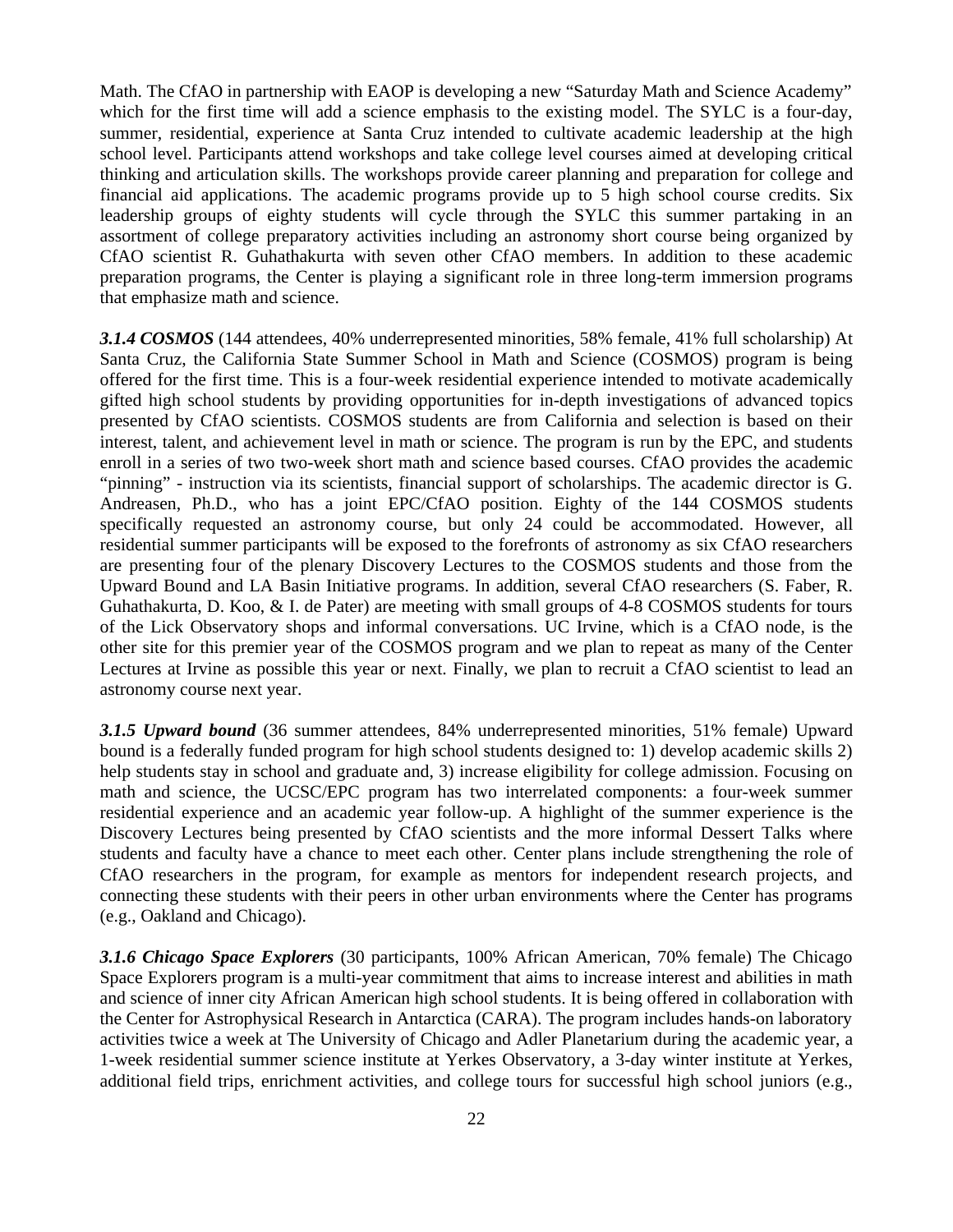Math. The CfAO in partnership with EAOP is developing a new "Saturday Math and Science Academy" which for the first time will add a science emphasis to the existing model. The SYLC is a four-day, summer, residential, experience at Santa Cruz intended to cultivate academic leadership at the high school level. Participants attend workshops and take college level courses aimed at developing critical thinking and articulation skills. The workshops provide career planning and preparation for college and financial aid applications. The academic programs provide up to 5 high school course credits. Six leadership groups of eighty students will cycle through the SYLC this summer partaking in an assortment of college preparatory activities including an astronomy short course being organized by CfAO scientist R. Guhathakurta with seven other CfAO members. In addition to these academic preparation programs, the Center is playing a significant role in three long-term immersion programs that emphasize math and science.

*3.1.4 COSMOS* (144 attendees, 40% underrepresented minorities, 58% female, 41% full scholarship) At Santa Cruz, the California State Summer School in Math and Science (COSMOS) program is being offered for the first time. This is a four-week residential experience intended to motivate academically gifted high school students by providing opportunities for in-depth investigations of advanced topics presented by CfAO scientists. COSMOS students are from California and selection is based on their interest, talent, and achievement level in math or science. The program is run by the EPC, and students enroll in a series of two two-week short math and science based courses. CfAO provides the academic "pinning" - instruction via its scientists, financial support of scholarships. The academic director is G. Andreasen, Ph.D., who has a joint EPC/CfAO position. Eighty of the 144 COSMOS students specifically requested an astronomy course, but only 24 could be accommodated. However, all residential summer participants will be exposed to the forefronts of astronomy as six CfAO researchers are presenting four of the plenary Discovery Lectures to the COSMOS students and those from the Upward Bound and LA Basin Initiative programs. In addition, several CfAO researchers (S. Faber, R. Guhathakurta, D. Koo, & I. de Pater) are meeting with small groups of 4-8 COSMOS students for tours of the Lick Observatory shops and informal conversations. UC Irvine, which is a CfAO node, is the other site for this premier year of the COSMOS program and we plan to repeat as many of the Center Lectures at Irvine as possible this year or next. Finally, we plan to recruit a CfAO scientist to lead an astronomy course next year.

*3.1.5 Upward bound* (36 summer attendees, 84% underrepresented minorities, 51% female) Upward bound is a federally funded program for high school students designed to: 1) develop academic skills 2) help students stay in school and graduate and, 3) increase eligibility for college admission. Focusing on math and science, the UCSC/EPC program has two interrelated components: a four-week summer residential experience and an academic year follow-up. A highlight of the summer experience is the Discovery Lectures being presented by CfAO scientists and the more informal Dessert Talks where students and faculty have a chance to meet each other. Center plans include strengthening the role of CfAO researchers in the program, for example as mentors for independent research projects, and connecting these students with their peers in other urban environments where the Center has programs (e.g., Oakland and Chicago).

*3.1.6 Chicago Space Explorers* (30 participants, 100% African American, 70% female) The Chicago Space Explorers program is a multi-year commitment that aims to increase interest and abilities in math and science of inner city African American high school students. It is being offered in collaboration with the Center for Astrophysical Research in Antarctica (CARA). The program includes hands-on laboratory activities twice a week at The University of Chicago and Adler Planetarium during the academic year, a 1-week residential summer science institute at Yerkes Observatory, a 3-day winter institute at Yerkes, additional field trips, enrichment activities, and college tours for successful high school juniors (e.g.,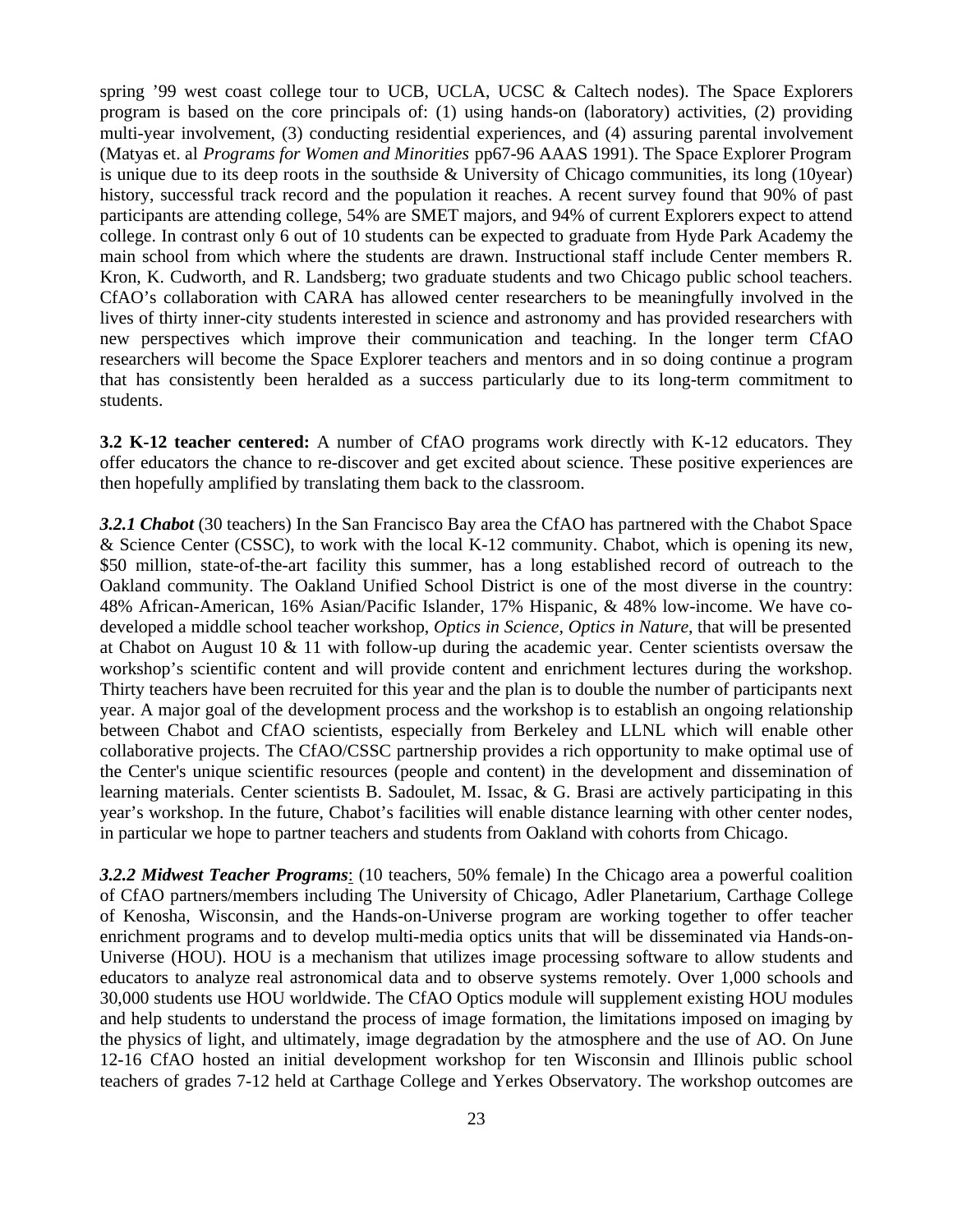spring '99 west coast college tour to UCB, UCLA, UCSC & Caltech nodes). The Space Explorers program is based on the core principals of: (1) using hands-on (laboratory) activities, (2) providing multi-year involvement, (3) conducting residential experiences, and (4) assuring parental involvement (Matyas et. al *Programs for Women and Minorities* pp67-96 AAAS 1991). The Space Explorer Program is unique due to its deep roots in the southside & University of Chicago communities, its long (10year) history, successful track record and the population it reaches. A recent survey found that 90% of past participants are attending college, 54% are SMET majors, and 94% of current Explorers expect to attend college. In contrast only 6 out of 10 students can be expected to graduate from Hyde Park Academy the main school from which where the students are drawn. Instructional staff include Center members R. Kron, K. Cudworth, and R. Landsberg; two graduate students and two Chicago public school teachers. CfAO's collaboration with CARA has allowed center researchers to be meaningfully involved in the lives of thirty inner-city students interested in science and astronomy and has provided researchers with new perspectives which improve their communication and teaching. In the longer term CfAO researchers will become the Space Explorer teachers and mentors and in so doing continue a program that has consistently been heralded as a success particularly due to its long-term commitment to students.

**3.2 K-12 teacher centered:** A number of CfAO programs work directly with K-12 educators. They offer educators the chance to re-discover and get excited about science. These positive experiences are then hopefully amplified by translating them back to the classroom.

*3.2.1 Chabot* (30 teachers) In the San Francisco Bay area the CfAO has partnered with the Chabot Space & Science Center (CSSC), to work with the local K-12 community. Chabot, which is opening its new, \$50 million, state-of-the-art facility this summer, has a long established record of outreach to the Oakland community. The Oakland Unified School District is one of the most diverse in the country: 48% African-American, 16% Asian/Pacific Islander, 17% Hispanic, & 48% low-income. We have codeveloped a middle school teacher workshop, *Optics in Science, Optics in Nature*, that will be presented at Chabot on August 10 & 11 with follow-up during the academic year. Center scientists oversaw the workshop's scientific content and will provide content and enrichment lectures during the workshop. Thirty teachers have been recruited for this year and the plan is to double the number of participants next year. A major goal of the development process and the workshop is to establish an ongoing relationship between Chabot and CfAO scientists, especially from Berkeley and LLNL which will enable other collaborative projects. The CfAO/CSSC partnership provides a rich opportunity to make optimal use of the Center's unique scientific resources (people and content) in the development and dissemination of learning materials. Center scientists B. Sadoulet, M. Issac, & G. Brasi are actively participating in this year's workshop. In the future, Chabot's facilities will enable distance learning with other center nodes, in particular we hope to partner teachers and students from Oakland with cohorts from Chicago.

*3.2.2 Midwest Teacher Programs*: (10 teachers, 50% female) In the Chicago area a powerful coalition of CfAO partners/members including The University of Chicago, Adler Planetarium, Carthage College of Kenosha, Wisconsin, and the Hands-on-Universe program are working together to offer teacher enrichment programs and to develop multi-media optics units that will be disseminated via Hands-on-Universe (HOU). HOU is a mechanism that utilizes image processing software to allow students and educators to analyze real astronomical data and to observe systems remotely. Over 1,000 schools and 30,000 students use HOU worldwide. The CfAO Optics module will supplement existing HOU modules and help students to understand the process of image formation, the limitations imposed on imaging by the physics of light, and ultimately, image degradation by the atmosphere and the use of AO. On June 12-16 CfAO hosted an initial development workshop for ten Wisconsin and Illinois public school teachers of grades 7-12 held at Carthage College and Yerkes Observatory. The workshop outcomes are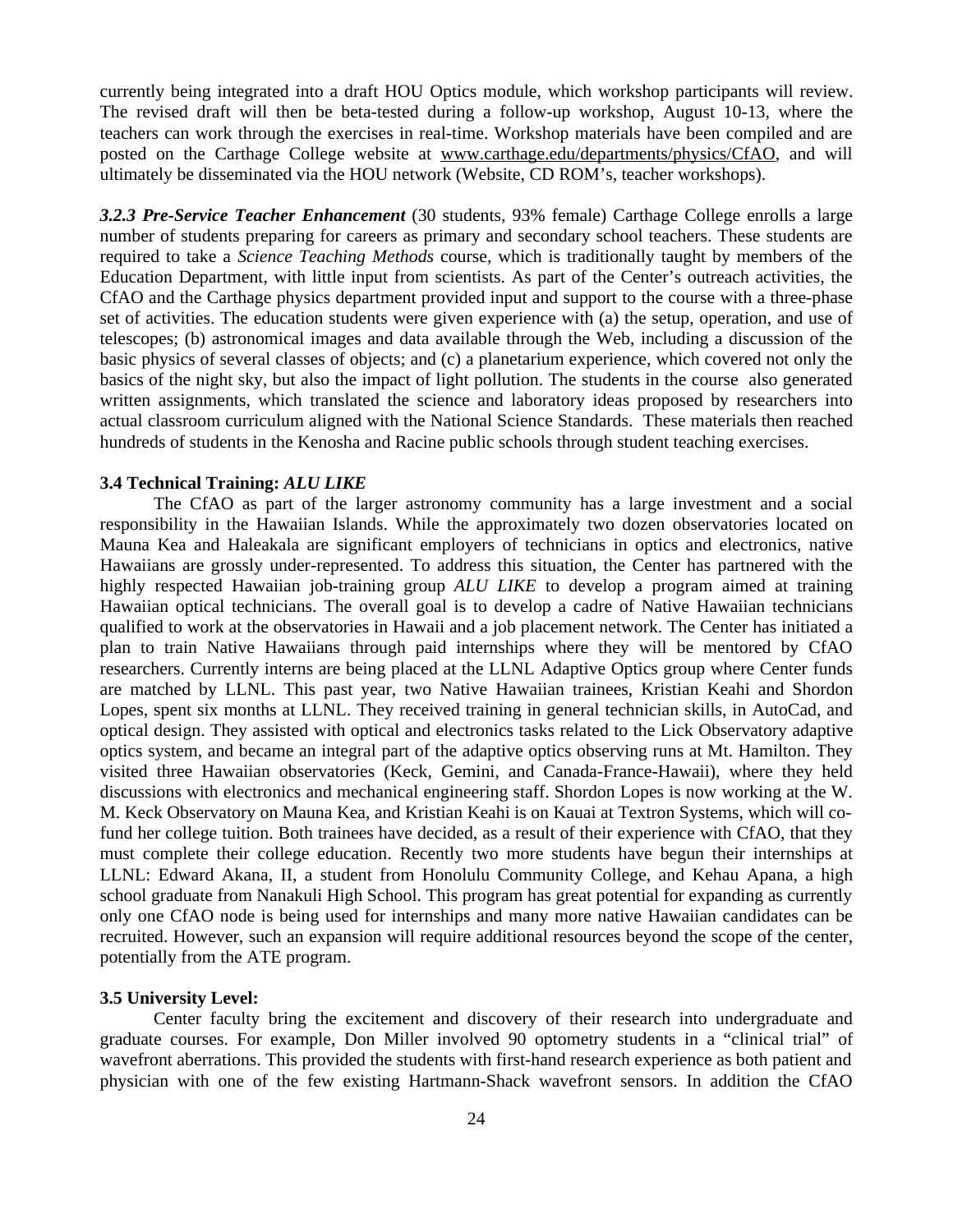currently being integrated into a draft HOU Optics module, which workshop participants will review. The revised draft will then be beta-tested during a follow-up workshop, August 10-13, where the teachers can work through the exercises in real-time. Workshop materials have been compiled and are posted on the Carthage College website at www.carthage.edu/departments/physics/CfAO, and will ultimately be disseminated via the HOU network (Website, CD ROM's, teacher workshops).

*3.2.3 Pre-Service Teacher Enhancement* (30 students, 93% female) Carthage College enrolls a large number of students preparing for careers as primary and secondary school teachers. These students are required to take a *Science Teaching Methods* course, which is traditionally taught by members of the Education Department, with little input from scientists. As part of the Center's outreach activities, the CfAO and the Carthage physics department provided input and support to the course with a three-phase set of activities. The education students were given experience with (a) the setup, operation, and use of telescopes; (b) astronomical images and data available through the Web, including a discussion of the basic physics of several classes of objects; and (c) a planetarium experience, which covered not only the basics of the night sky, but also the impact of light pollution. The students in the course also generated written assignments, which translated the science and laboratory ideas proposed by researchers into actual classroom curriculum aligned with the National Science Standards. These materials then reached hundreds of students in the Kenosha and Racine public schools through student teaching exercises.

### **3.4 Technical Training:** *ALU LIKE*

The CfAO as part of the larger astronomy community has a large investment and a social responsibility in the Hawaiian Islands. While the approximately two dozen observatories located on Mauna Kea and Haleakala are significant employers of technicians in optics and electronics, native Hawaiians are grossly under-represented. To address this situation, the Center has partnered with the highly respected Hawaiian job-training group *ALU LIKE* to develop a program aimed at training Hawaiian optical technicians. The overall goal is to develop a cadre of Native Hawaiian technicians qualified to work at the observatories in Hawaii and a job placement network. The Center has initiated a plan to train Native Hawaiians through paid internships where they will be mentored by CfAO researchers. Currently interns are being placed at the LLNL Adaptive Optics group where Center funds are matched by LLNL. This past year, two Native Hawaiian trainees, Kristian Keahi and Shordon Lopes, spent six months at LLNL. They received training in general technician skills, in AutoCad, and optical design. They assisted with optical and electronics tasks related to the Lick Observatory adaptive optics system, and became an integral part of the adaptive optics observing runs at Mt. Hamilton. They visited three Hawaiian observatories (Keck, Gemini, and Canada-France-Hawaii), where they held discussions with electronics and mechanical engineering staff. Shordon Lopes is now working at the W. M. Keck Observatory on Mauna Kea, and Kristian Keahi is on Kauai at Textron Systems, which will cofund her college tuition. Both trainees have decided, as a result of their experience with CfAO, that they must complete their college education. Recently two more students have begun their internships at LLNL: Edward Akana, II, a student from Honolulu Community College, and Kehau Apana, a high school graduate from Nanakuli High School. This program has great potential for expanding as currently only one CfAO node is being used for internships and many more native Hawaiian candidates can be recruited. However, such an expansion will require additional resources beyond the scope of the center, potentially from the ATE program.

#### **3.5 University Level:**

Center faculty bring the excitement and discovery of their research into undergraduate and graduate courses. For example, Don Miller involved 90 optometry students in a "clinical trial" of wavefront aberrations. This provided the students with first-hand research experience as both patient and physician with one of the few existing Hartmann-Shack wavefront sensors. In addition the CfAO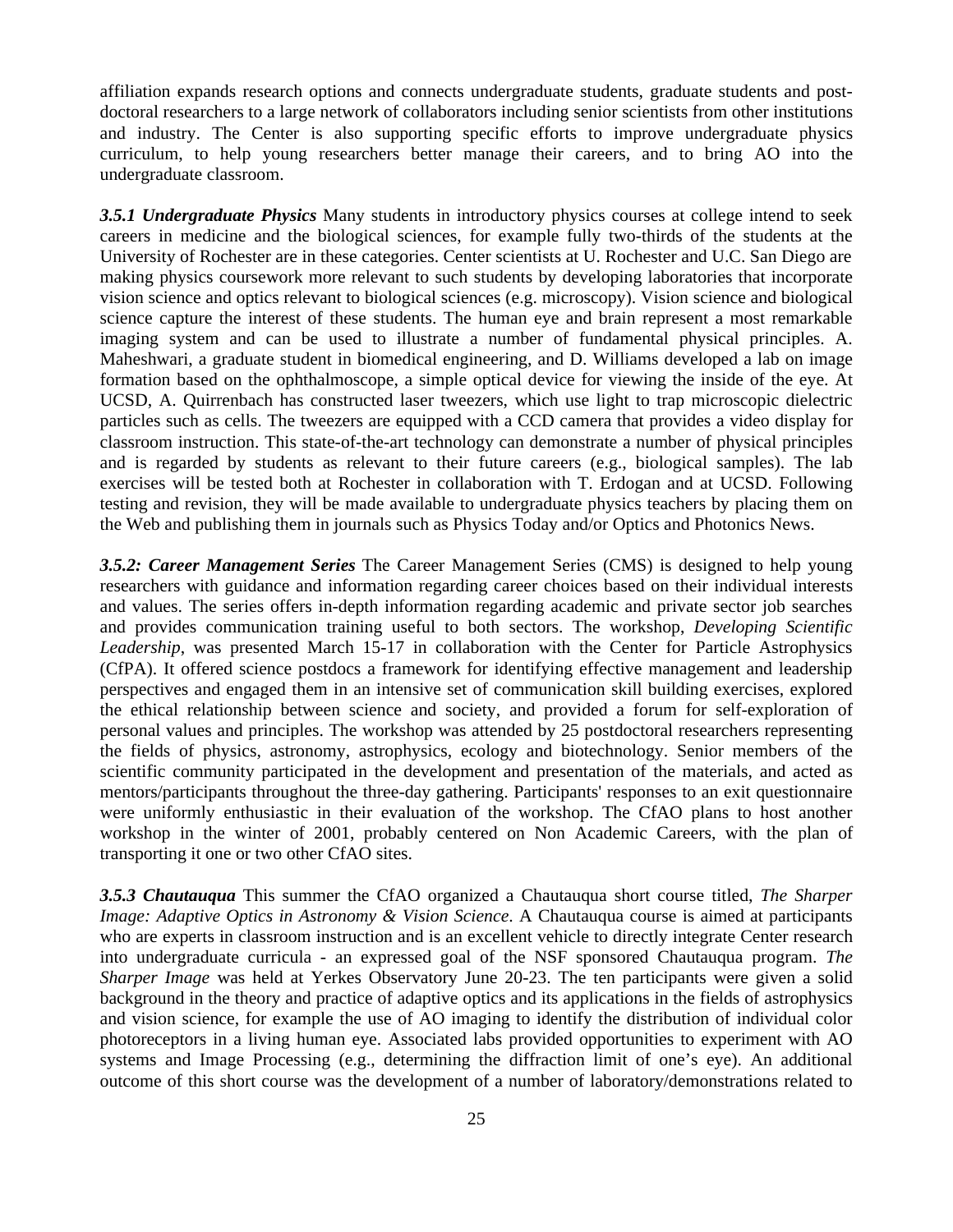affiliation expands research options and connects undergraduate students, graduate students and postdoctoral researchers to a large network of collaborators including senior scientists from other institutions and industry. The Center is also supporting specific efforts to improve undergraduate physics curriculum, to help young researchers better manage their careers, and to bring AO into the undergraduate classroom.

*3.5.1 Undergraduate Physics* Many students in introductory physics courses at college intend to seek careers in medicine and the biological sciences, for example fully two-thirds of the students at the University of Rochester are in these categories. Center scientists at U. Rochester and U.C. San Diego are making physics coursework more relevant to such students by developing laboratories that incorporate vision science and optics relevant to biological sciences (e.g. microscopy). Vision science and biological science capture the interest of these students. The human eye and brain represent a most remarkable imaging system and can be used to illustrate a number of fundamental physical principles. A. Maheshwari, a graduate student in biomedical engineering, and D. Williams developed a lab on image formation based on the ophthalmoscope, a simple optical device for viewing the inside of the eye. At UCSD, A. Quirrenbach has constructed laser tweezers, which use light to trap microscopic dielectric particles such as cells. The tweezers are equipped with a CCD camera that provides a video display for classroom instruction. This state-of-the-art technology can demonstrate a number of physical principles and is regarded by students as relevant to their future careers (e.g., biological samples). The lab exercises will be tested both at Rochester in collaboration with T. Erdogan and at UCSD. Following testing and revision, they will be made available to undergraduate physics teachers by placing them on the Web and publishing them in journals such as Physics Today and/or Optics and Photonics News.

*3.5.2: Career Management Series* The Career Management Series (CMS) is designed to help young researchers with guidance and information regarding career choices based on their individual interests and values. The series offers in-depth information regarding academic and private sector job searches and provides communication training useful to both sectors. The workshop, *Developing Scientific Leadership*, was presented March 15-17 in collaboration with the Center for Particle Astrophysics (CfPA). It offered science postdocs a framework for identifying effective management and leadership perspectives and engaged them in an intensive set of communication skill building exercises, explored the ethical relationship between science and society, and provided a forum for self-exploration of personal values and principles. The workshop was attended by 25 postdoctoral researchers representing the fields of physics, astronomy, astrophysics, ecology and biotechnology. Senior members of the scientific community participated in the development and presentation of the materials, and acted as mentors/participants throughout the three-day gathering. Participants' responses to an exit questionnaire were uniformly enthusiastic in their evaluation of the workshop. The CfAO plans to host another workshop in the winter of 2001, probably centered on Non Academic Careers, with the plan of transporting it one or two other CfAO sites.

*3.5.3 Chautauqua* This summer the CfAO organized a Chautauqua short course titled, *The Sharper Image: Adaptive Optics in Astronomy & Vision Science*. A Chautauqua course is aimed at participants who are experts in classroom instruction and is an excellent vehicle to directly integrate Center research into undergraduate curricula - an expressed goal of the NSF sponsored Chautauqua program. *The Sharper Image* was held at Yerkes Observatory June 20-23. The ten participants were given a solid background in the theory and practice of adaptive optics and its applications in the fields of astrophysics and vision science, for example the use of AO imaging to identify the distribution of individual color photoreceptors in a living human eye. Associated labs provided opportunities to experiment with AO systems and Image Processing (e.g., determining the diffraction limit of one's eye). An additional outcome of this short course was the development of a number of laboratory/demonstrations related to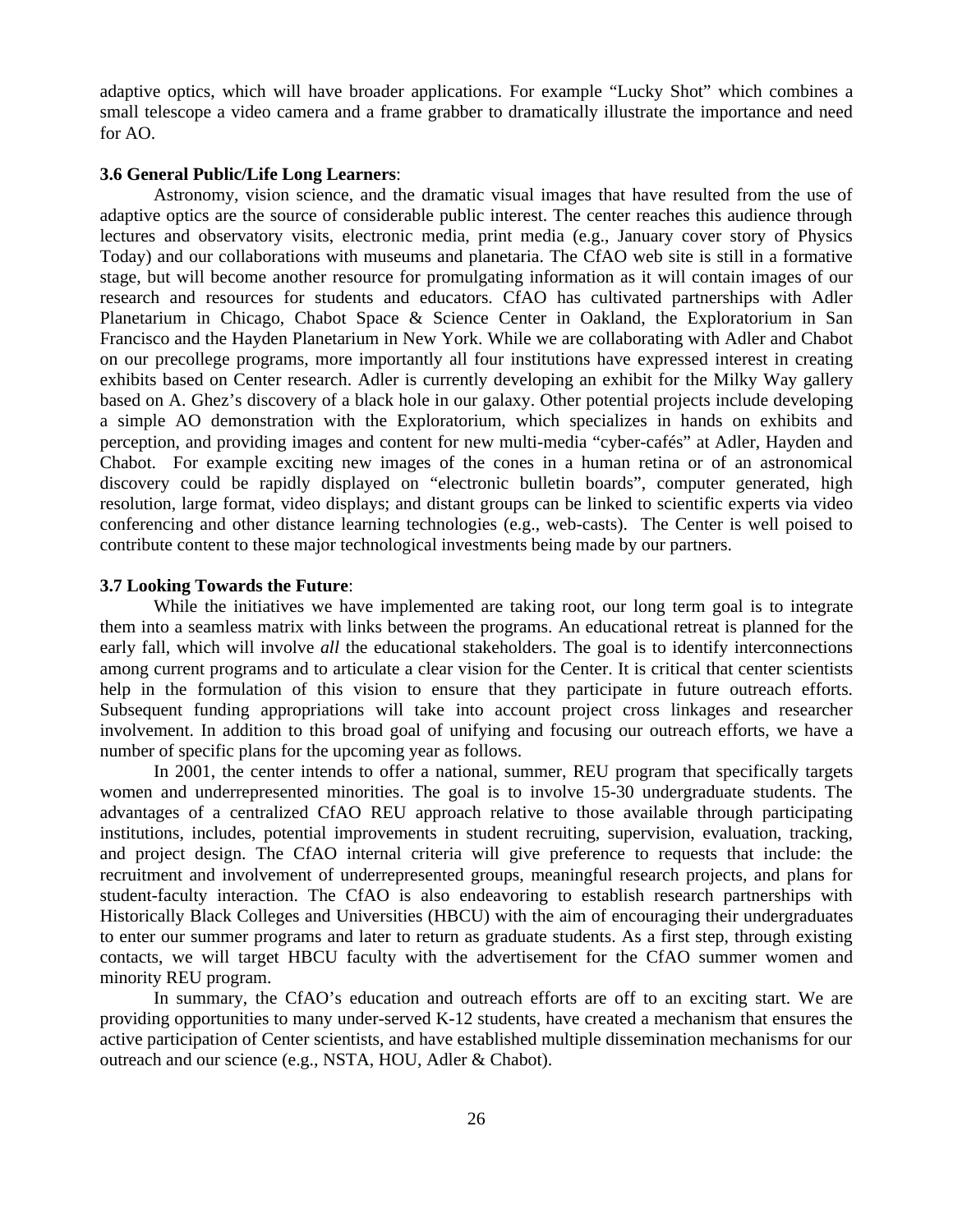adaptive optics, which will have broader applications. For example "Lucky Shot" which combines a small telescope a video camera and a frame grabber to dramatically illustrate the importance and need for AO.

### **3.6 General Public/Life Long Learners**:

Astronomy, vision science, and the dramatic visual images that have resulted from the use of adaptive optics are the source of considerable public interest. The center reaches this audience through lectures and observatory visits, electronic media, print media (e.g., January cover story of Physics Today) and our collaborations with museums and planetaria. The CfAO web site is still in a formative stage, but will become another resource for promulgating information as it will contain images of our research and resources for students and educators. CfAO has cultivated partnerships with Adler Planetarium in Chicago, Chabot Space & Science Center in Oakland, the Exploratorium in San Francisco and the Hayden Planetarium in New York. While we are collaborating with Adler and Chabot on our precollege programs, more importantly all four institutions have expressed interest in creating exhibits based on Center research. Adler is currently developing an exhibit for the Milky Way gallery based on A. Ghez's discovery of a black hole in our galaxy. Other potential projects include developing a simple AO demonstration with the Exploratorium, which specializes in hands on exhibits and perception, and providing images and content for new multi-media "cyber-cafés" at Adler, Hayden and Chabot. For example exciting new images of the cones in a human retina or of an astronomical discovery could be rapidly displayed on "electronic bulletin boards", computer generated, high resolution, large format, video displays; and distant groups can be linked to scientific experts via video conferencing and other distance learning technologies (e.g., web-casts). The Center is well poised to contribute content to these major technological investments being made by our partners.

#### **3.7 Looking Towards the Future**:

While the initiatives we have implemented are taking root, our long term goal is to integrate them into a seamless matrix with links between the programs. An educational retreat is planned for the early fall, which will involve *all* the educational stakeholders. The goal is to identify interconnections among current programs and to articulate a clear vision for the Center. It is critical that center scientists help in the formulation of this vision to ensure that they participate in future outreach efforts. Subsequent funding appropriations will take into account project cross linkages and researcher involvement. In addition to this broad goal of unifying and focusing our outreach efforts, we have a number of specific plans for the upcoming year as follows.

In 2001, the center intends to offer a national, summer, REU program that specifically targets women and underrepresented minorities. The goal is to involve 15-30 undergraduate students. The advantages of a centralized CfAO REU approach relative to those available through participating institutions, includes, potential improvements in student recruiting, supervision, evaluation, tracking, and project design. The CfAO internal criteria will give preference to requests that include: the recruitment and involvement of underrepresented groups, meaningful research projects, and plans for student-faculty interaction. The CfAO is also endeavoring to establish research partnerships with Historically Black Colleges and Universities (HBCU) with the aim of encouraging their undergraduates to enter our summer programs and later to return as graduate students. As a first step, through existing contacts, we will target HBCU faculty with the advertisement for the CfAO summer women and minority REU program.

In summary, the CfAO's education and outreach efforts are off to an exciting start. We are providing opportunities to many under-served K-12 students, have created a mechanism that ensures the active participation of Center scientists, and have established multiple dissemination mechanisms for our outreach and our science (e.g., NSTA, HOU, Adler & Chabot).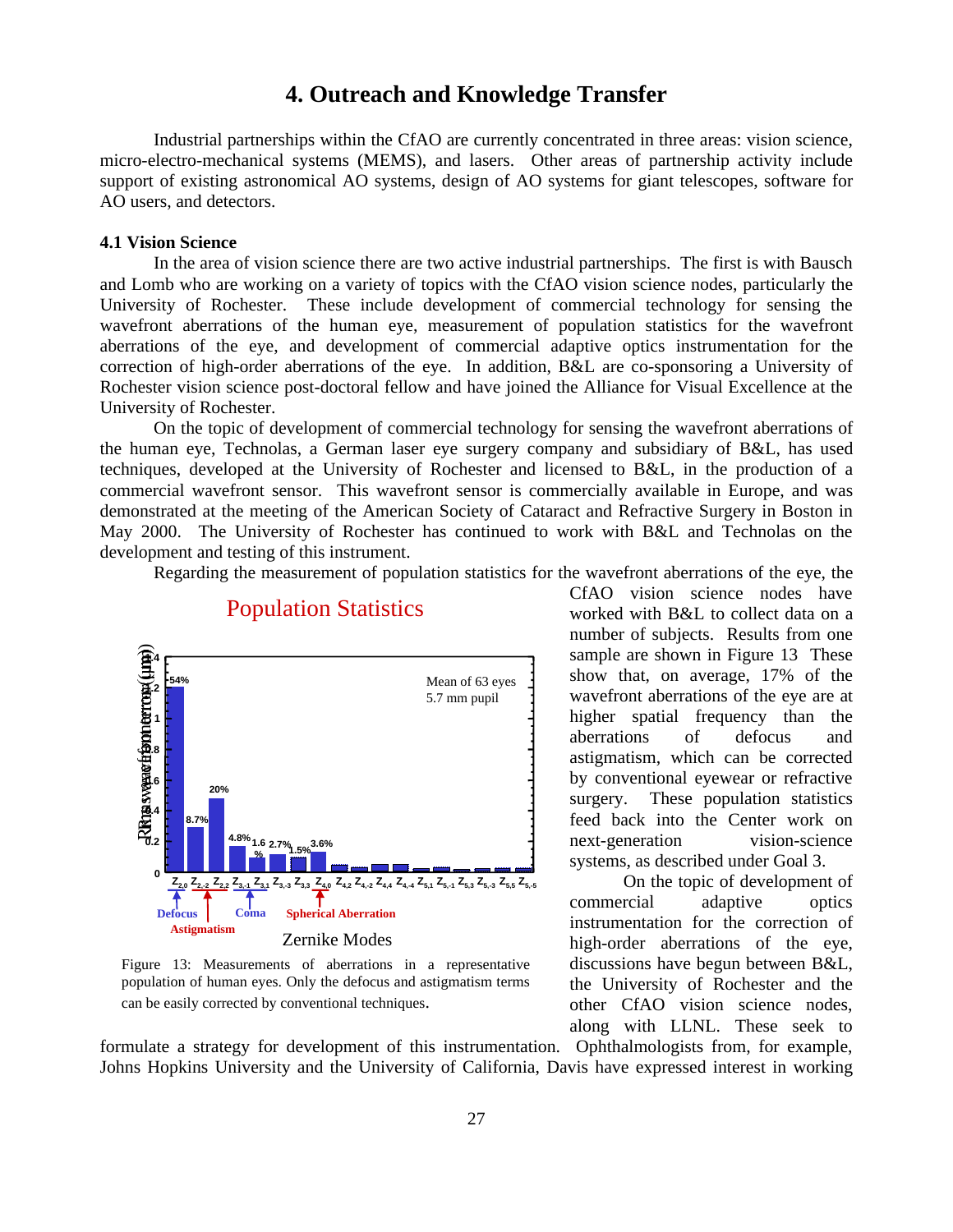# **4. Outreach and Knowledge Transfer**

Industrial partnerships within the CfAO are currently concentrated in three areas: vision science, micro-electro-mechanical systems (MEMS), and lasers. Other areas of partnership activity include support of existing astronomical AO systems, design of AO systems for giant telescopes, software for AO users, and detectors.

### **4.1 Vision Science**

In the area of vision science there are two active industrial partnerships. The first is with Bausch and Lomb who are working on a variety of topics with the CfAO vision science nodes, particularly the University of Rochester. These include development of commercial technology for sensing the wavefront aberrations of the human eye, measurement of population statistics for the wavefront aberrations of the eye, and development of commercial adaptive optics instrumentation for the correction of high-order aberrations of the eye. In addition, B&L are co-sponsoring a University of Rochester vision science post-doctoral fellow and have joined the Alliance for Visual Excellence at the University of Rochester.

On the topic of development of commercial technology for sensing the wavefront aberrations of the human eye, Technolas, a German laser eye surgery company and subsidiary of B&L, has used techniques, developed at the University of Rochester and licensed to B&L, in the production of a commercial wavefront sensor. This wavefront sensor is commercially available in Europe, and was demonstrated at the meeting of the American Society of Cataract and Refractive Surgery in Boston in May 2000. The University of Rochester has continued to work with B&L and Technolas on the development and testing of this instrument.

Regarding the measurement of population statistics for the wavefront aberrations of the eye, the



# Population Statistics

Figure 13: Measurements of aberrations in a representative population of human eyes. Only the defocus and astigmatism terms can be easily corrected by conventional techniques.

formulate a strategy for development of this instrumentation. Ophthalmologists from, for example, Johns Hopkins University and the University of California, Davis have expressed interest in working

CfAO vision science nodes have worked with B&L to collect data on a number of subjects. Results from one sample are shown in Figure 13 These show that, on average, 17% of the wavefront aberrations of the eye are at higher spatial frequency than the aberrations of defocus and astigmatism, which can be corrected by conventional eyewear or refractive surgery. These population statistics feed back into the Center work on next-generation vision-science systems, as described under Goal 3.

On the topic of development of commercial adaptive optics instrumentation for the correction of high-order aberrations of the eye, discussions have begun between B&L, the University of Rochester and the other CfAO vision science nodes, along with LLNL. These seek to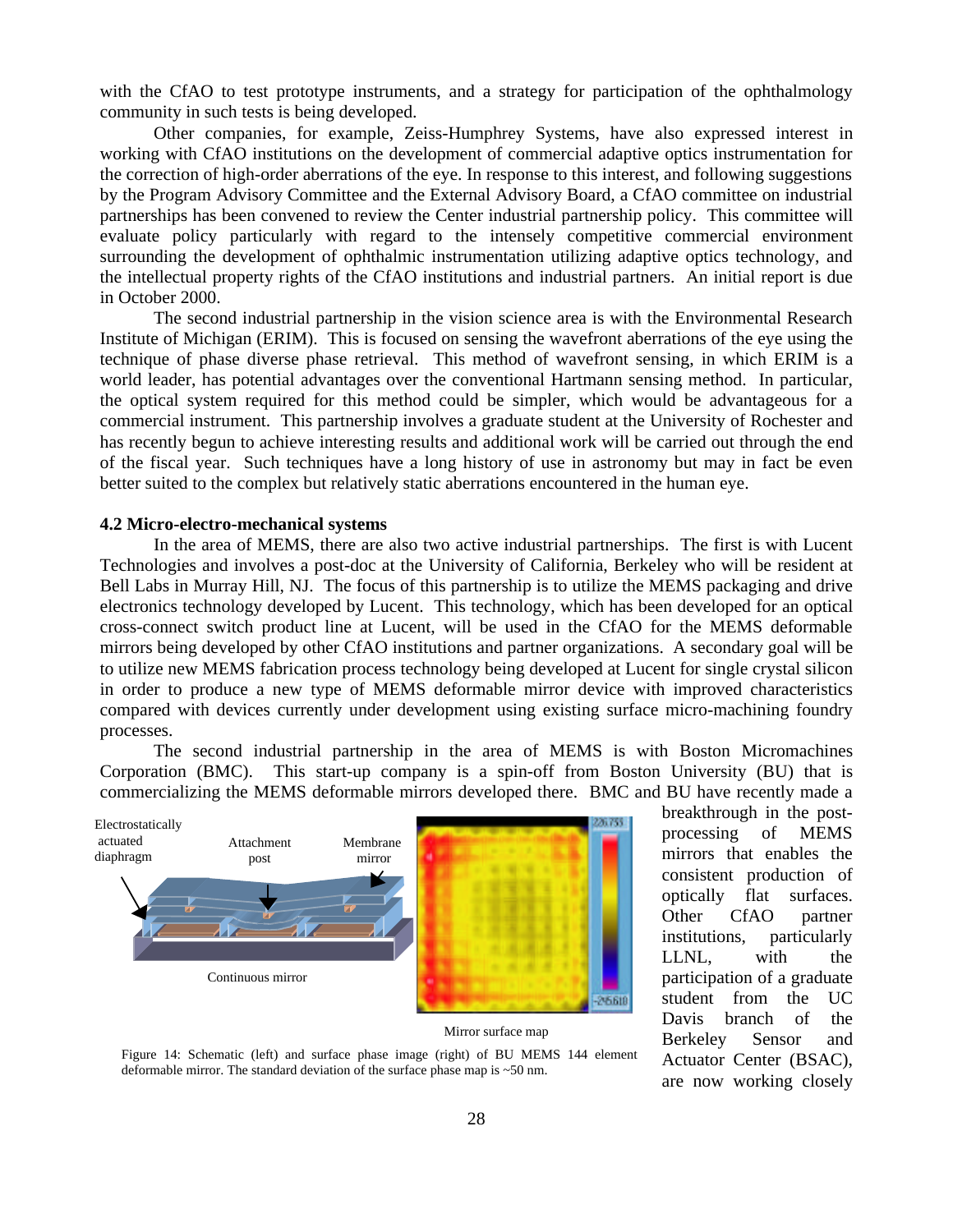with the CfAO to test prototype instruments, and a strategy for participation of the ophthalmology community in such tests is being developed.

Other companies, for example, Zeiss-Humphrey Systems, have also expressed interest in working with CfAO institutions on the development of commercial adaptive optics instrumentation for the correction of high-order aberrations of the eye. In response to this interest, and following suggestions by the Program Advisory Committee and the External Advisory Board, a CfAO committee on industrial partnerships has been convened to review the Center industrial partnership policy. This committee will evaluate policy particularly with regard to the intensely competitive commercial environment surrounding the development of ophthalmic instrumentation utilizing adaptive optics technology, and the intellectual property rights of the CfAO institutions and industrial partners. An initial report is due in October 2000.

The second industrial partnership in the vision science area is with the Environmental Research Institute of Michigan (ERIM). This is focused on sensing the wavefront aberrations of the eye using the technique of phase diverse phase retrieval. This method of wavefront sensing, in which ERIM is a world leader, has potential advantages over the conventional Hartmann sensing method. In particular, the optical system required for this method could be simpler, which would be advantageous for a commercial instrument. This partnership involves a graduate student at the University of Rochester and has recently begun to achieve interesting results and additional work will be carried out through the end of the fiscal year. Such techniques have a long history of use in astronomy but may in fact be even better suited to the complex but relatively static aberrations encountered in the human eye.

#### **4.2 Micro-electro-mechanical systems**

In the area of MEMS, there are also two active industrial partnerships. The first is with Lucent Technologies and involves a post-doc at the University of California, Berkeley who will be resident at Bell Labs in Murray Hill, NJ. The focus of this partnership is to utilize the MEMS packaging and drive electronics technology developed by Lucent. This technology, which has been developed for an optical cross-connect switch product line at Lucent, will be used in the CfAO for the MEMS deformable mirrors being developed by other CfAO institutions and partner organizations. A secondary goal will be to utilize new MEMS fabrication process technology being developed at Lucent for single crystal silicon in order to produce a new type of MEMS deformable mirror device with improved characteristics compared with devices currently under development using existing surface micro-machining foundry processes.

The second industrial partnership in the area of MEMS is with Boston Micromachines Corporation (BMC). This start-up company is a spin-off from Boston University (BU) that is commercializing the MEMS deformable mirrors developed there. BMC and BU have recently made a



Mirror surface map

Figure 14: Schematic (left) and surface phase image (right) of BU MEMS 144 element deformable mirror. The standard deviation of the surface phase map is ~50 nm.

breakthrough in the postprocessing of MEMS mirrors that enables the consistent production of optically flat surfaces. Other CfAO partner institutions, particularly LLNL, with the participation of a graduate student from the UC Davis branch of the Berkeley Sensor and Actuator Center (BSAC), are now working closely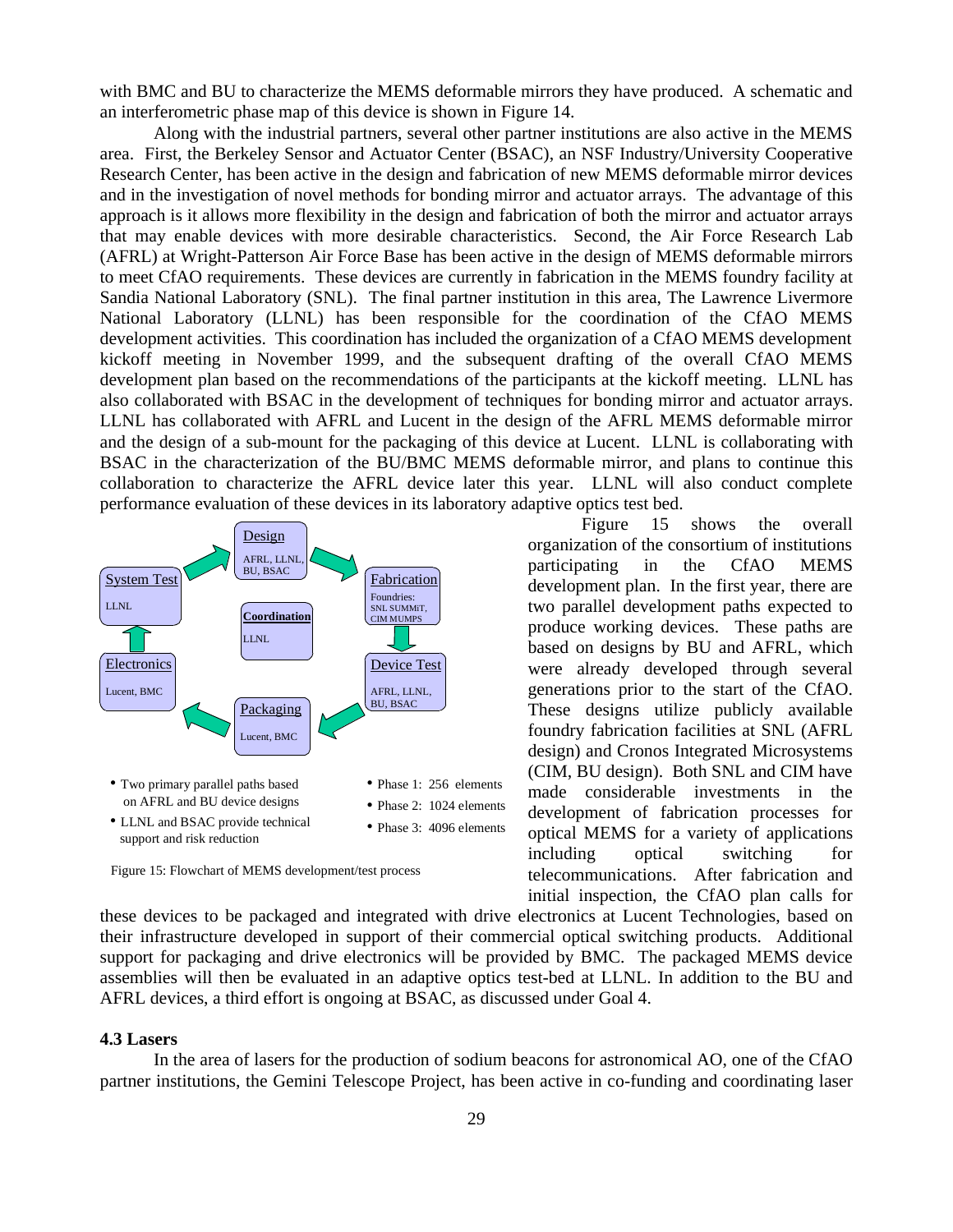with BMC and BU to characterize the MEMS deformable mirrors they have produced. A schematic and an interferometric phase map of this device is shown in Figure 14.

Along with the industrial partners, several other partner institutions are also active in the MEMS area. First, the Berkeley Sensor and Actuator Center (BSAC), an NSF Industry/University Cooperative Research Center, has been active in the design and fabrication of new MEMS deformable mirror devices and in the investigation of novel methods for bonding mirror and actuator arrays. The advantage of this approach is it allows more flexibility in the design and fabrication of both the mirror and actuator arrays that may enable devices with more desirable characteristics. Second, the Air Force Research Lab (AFRL) at Wright-Patterson Air Force Base has been active in the design of MEMS deformable mirrors to meet CfAO requirements. These devices are currently in fabrication in the MEMS foundry facility at Sandia National Laboratory (SNL). The final partner institution in this area, The Lawrence Livermore National Laboratory (LLNL) has been responsible for the coordination of the CfAO MEMS development activities. This coordination has included the organization of a CfAO MEMS development kickoff meeting in November 1999, and the subsequent drafting of the overall CfAO MEMS development plan based on the recommendations of the participants at the kickoff meeting. LLNL has also collaborated with BSAC in the development of techniques for bonding mirror and actuator arrays. LLNL has collaborated with AFRL and Lucent in the design of the AFRL MEMS deformable mirror and the design of a sub-mount for the packaging of this device at Lucent. LLNL is collaborating with BSAC in the characterization of the BU/BMC MEMS deformable mirror, and plans to continue this collaboration to characterize the AFRL device later this year. LLNL will also conduct complete performance evaluation of these devices in its laboratory adaptive optics test bed.



Figure 15: Flowchart of MEMS development/test process

Figure 15 shows the overall organization of the consortium of institutions participating in the CfAO MEMS development plan. In the first year, there are two parallel development paths expected to produce working devices. These paths are based on designs by BU and AFRL, which were already developed through several generations prior to the start of the CfAO. These designs utilize publicly available foundry fabrication facilities at SNL (AFRL design) and Cronos Integrated Microsystems (CIM, BU design). Both SNL and CIM have made considerable investments in the development of fabrication processes for optical MEMS for a variety of applications including optical switching for telecommunications. After fabrication and initial inspection, the CfAO plan calls for

these devices to be packaged and integrated with drive electronics at Lucent Technologies, based on their infrastructure developed in support of their commercial optical switching products. Additional support for packaging and drive electronics will be provided by BMC. The packaged MEMS device assemblies will then be evaluated in an adaptive optics test-bed at LLNL. In addition to the BU and AFRL devices, a third effort is ongoing at BSAC, as discussed under Goal 4.

#### **4.3 Lasers**

In the area of lasers for the production of sodium beacons for astronomical AO, one of the CfAO partner institutions, the Gemini Telescope Project, has been active in co-funding and coordinating laser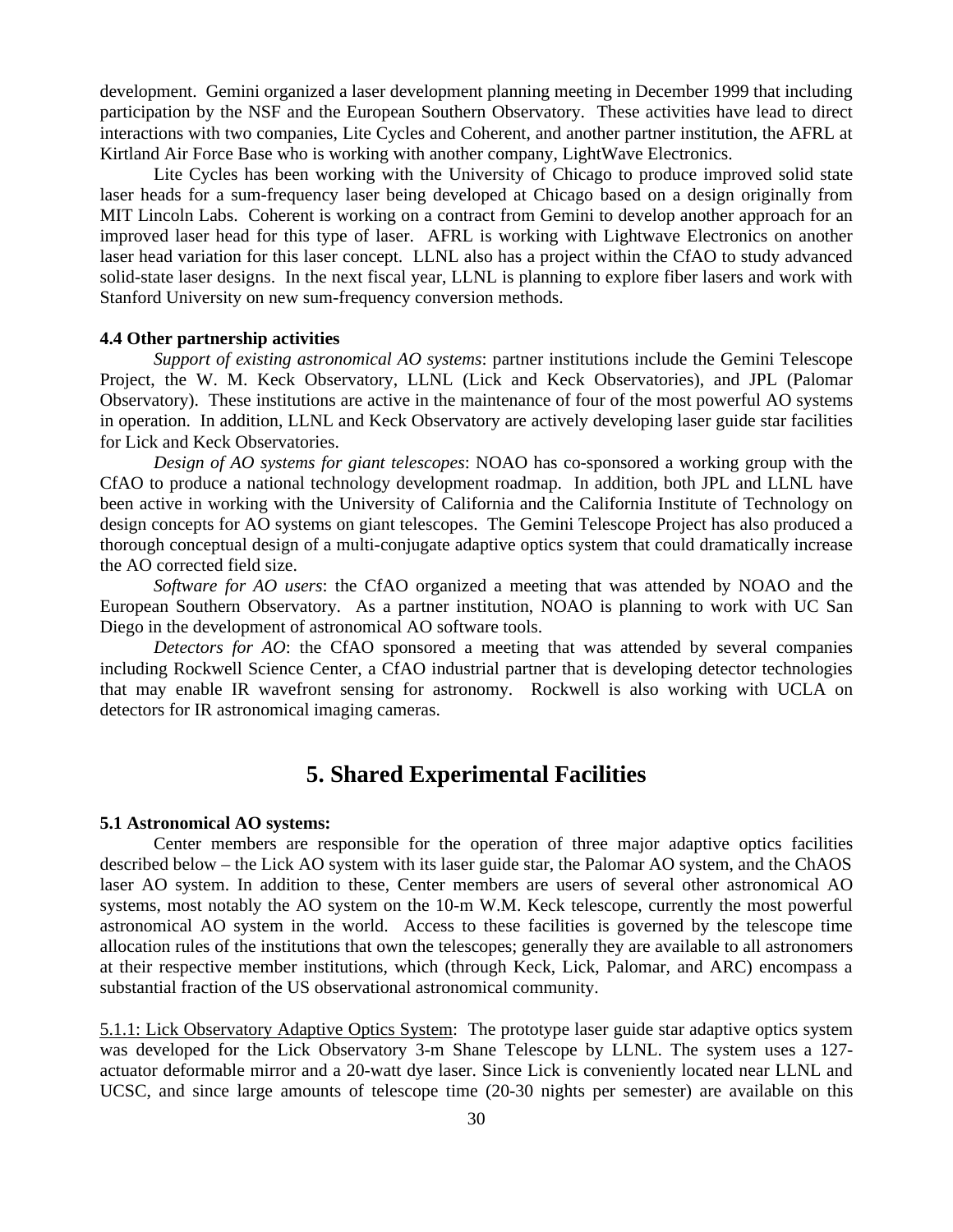development. Gemini organized a laser development planning meeting in December 1999 that including participation by the NSF and the European Southern Observatory. These activities have lead to direct interactions with two companies, Lite Cycles and Coherent, and another partner institution, the AFRL at Kirtland Air Force Base who is working with another company, LightWave Electronics.

Lite Cycles has been working with the University of Chicago to produce improved solid state laser heads for a sum-frequency laser being developed at Chicago based on a design originally from MIT Lincoln Labs. Coherent is working on a contract from Gemini to develop another approach for an improved laser head for this type of laser. AFRL is working with Lightwave Electronics on another laser head variation for this laser concept. LLNL also has a project within the CfAO to study advanced solid-state laser designs. In the next fiscal year, LLNL is planning to explore fiber lasers and work with Stanford University on new sum-frequency conversion methods.

#### **4.4 Other partnership activities**

*Support of existing astronomical AO systems*: partner institutions include the Gemini Telescope Project, the W. M. Keck Observatory, LLNL (Lick and Keck Observatories), and JPL (Palomar Observatory). These institutions are active in the maintenance of four of the most powerful AO systems in operation. In addition, LLNL and Keck Observatory are actively developing laser guide star facilities for Lick and Keck Observatories.

*Design of AO systems for giant telescopes*: NOAO has co-sponsored a working group with the CfAO to produce a national technology development roadmap. In addition, both JPL and LLNL have been active in working with the University of California and the California Institute of Technology on design concepts for AO systems on giant telescopes. The Gemini Telescope Project has also produced a thorough conceptual design of a multi-conjugate adaptive optics system that could dramatically increase the AO corrected field size.

*Software for AO users*: the CfAO organized a meeting that was attended by NOAO and the European Southern Observatory. As a partner institution, NOAO is planning to work with UC San Diego in the development of astronomical AO software tools.

*Detectors for AO*: the CfAO sponsored a meeting that was attended by several companies including Rockwell Science Center, a CfAO industrial partner that is developing detector technologies that may enable IR wavefront sensing for astronomy. Rockwell is also working with UCLA on detectors for IR astronomical imaging cameras.

# **5. Shared Experimental Facilities**

#### **5.1 Astronomical AO systems:**

Center members are responsible for the operation of three major adaptive optics facilities described below – the Lick AO system with its laser guide star, the Palomar AO system, and the ChAOS laser AO system. In addition to these, Center members are users of several other astronomical AO systems, most notably the AO system on the 10-m W.M. Keck telescope, currently the most powerful astronomical AO system in the world. Access to these facilities is governed by the telescope time allocation rules of the institutions that own the telescopes; generally they are available to all astronomers at their respective member institutions, which (through Keck, Lick, Palomar, and ARC) encompass a substantial fraction of the US observational astronomical community.

5.1.1: Lick Observatory Adaptive Optics System: The prototype laser guide star adaptive optics system was developed for the Lick Observatory 3-m Shane Telescope by LLNL. The system uses a 127 actuator deformable mirror and a 20-watt dye laser. Since Lick is conveniently located near LLNL and UCSC, and since large amounts of telescope time (20-30 nights per semester) are available on this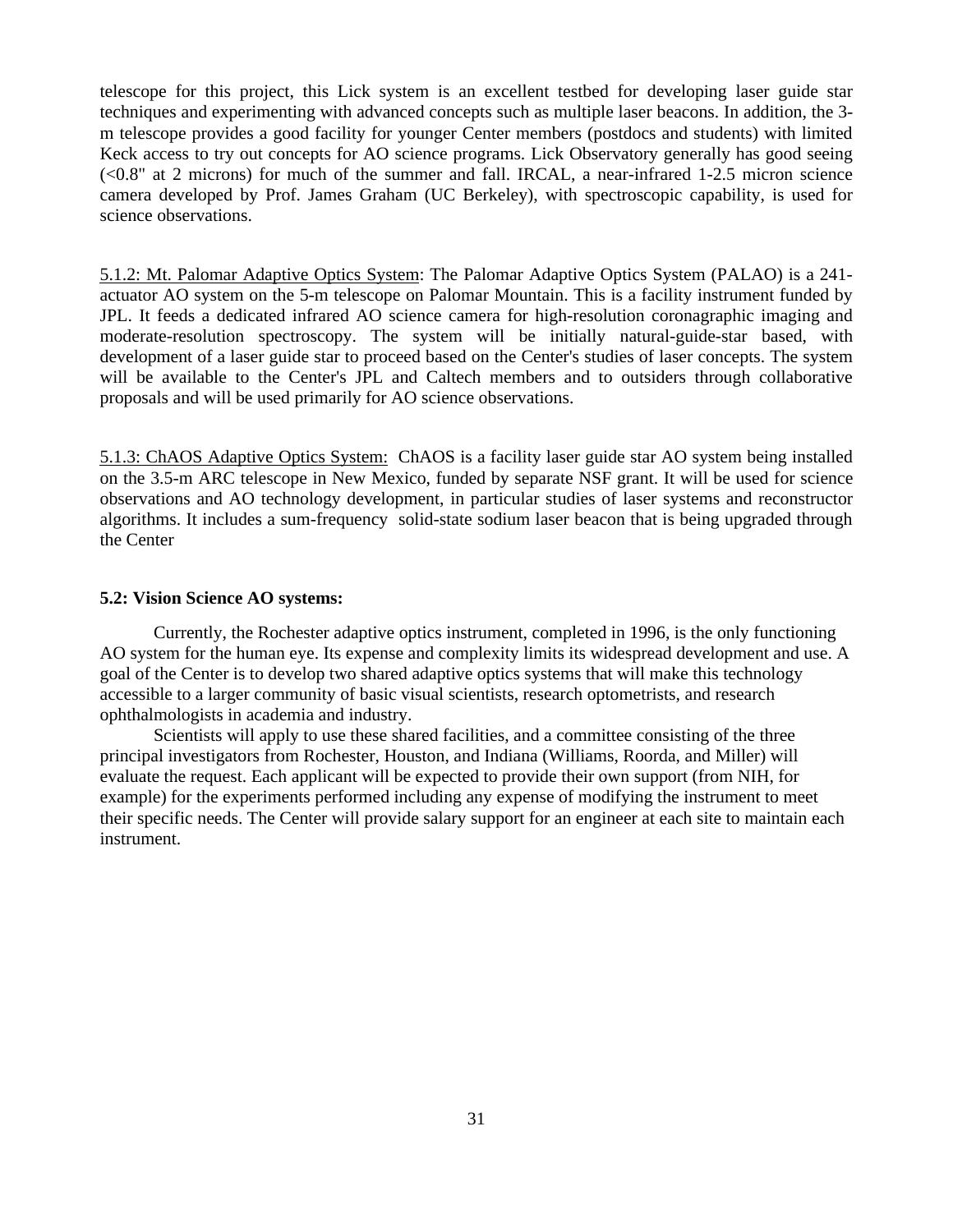telescope for this project, this Lick system is an excellent testbed for developing laser guide star techniques and experimenting with advanced concepts such as multiple laser beacons. In addition, the 3 m telescope provides a good facility for younger Center members (postdocs and students) with limited Keck access to try out concepts for AO science programs. Lick Observatory generally has good seeing (<0.8" at 2 microns) for much of the summer and fall. IRCAL, a near-infrared 1-2.5 micron science camera developed by Prof. James Graham (UC Berkeley), with spectroscopic capability, is used for science observations.

5.1.2: Mt. Palomar Adaptive Optics System: The Palomar Adaptive Optics System (PALAO) is a 241 actuator AO system on the 5-m telescope on Palomar Mountain. This is a facility instrument funded by JPL. It feeds a dedicated infrared AO science camera for high-resolution coronagraphic imaging and moderate-resolution spectroscopy. The system will be initially natural-guide-star based, with development of a laser guide star to proceed based on the Center's studies of laser concepts. The system will be available to the Center's JPL and Caltech members and to outsiders through collaborative proposals and will be used primarily for AO science observations.

5.1.3: ChAOS Adaptive Optics System: ChAOS is a facility laser guide star AO system being installed on the 3.5-m ARC telescope in New Mexico, funded by separate NSF grant. It will be used for science observations and AO technology development, in particular studies of laser systems and reconstructor algorithms. It includes a sum-frequency solid-state sodium laser beacon that is being upgraded through the Center

### **5.2: Vision Science AO systems:**

Currently, the Rochester adaptive optics instrument, completed in 1996, is the only functioning AO system for the human eye. Its expense and complexity limits its widespread development and use. A goal of the Center is to develop two shared adaptive optics systems that will make this technology accessible to a larger community of basic visual scientists, research optometrists, and research ophthalmologists in academia and industry.

Scientists will apply to use these shared facilities, and a committee consisting of the three principal investigators from Rochester, Houston, and Indiana (Williams, Roorda, and Miller) will evaluate the request. Each applicant will be expected to provide their own support (from NIH, for example) for the experiments performed including any expense of modifying the instrument to meet their specific needs. The Center will provide salary support for an engineer at each site to maintain each instrument.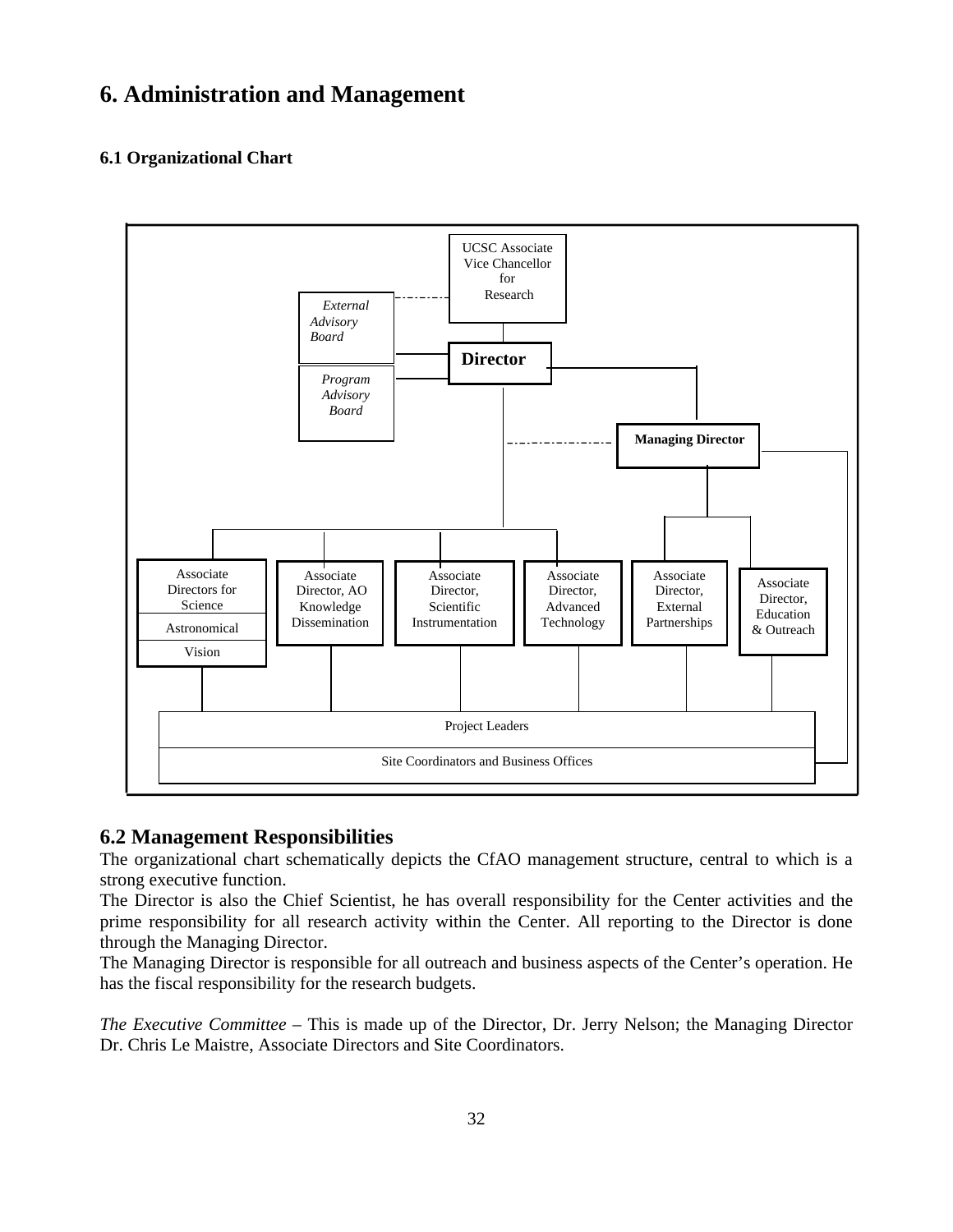# **6. Administration and Management**

# **6.1 Organizational Chart**



# **6.2 Management Responsibilities**

The organizational chart schematically depicts the CfAO management structure, central to which is a strong executive function.

The Director is also the Chief Scientist, he has overall responsibility for the Center activities and the prime responsibility for all research activity within the Center. All reporting to the Director is done through the Managing Director.

The Managing Director is responsible for all outreach and business aspects of the Center's operation. He has the fiscal responsibility for the research budgets.

*The Executive Committee* – This is made up of the Director, Dr. Jerry Nelson; the Managing Director Dr. Chris Le Maistre, Associate Directors and Site Coordinators.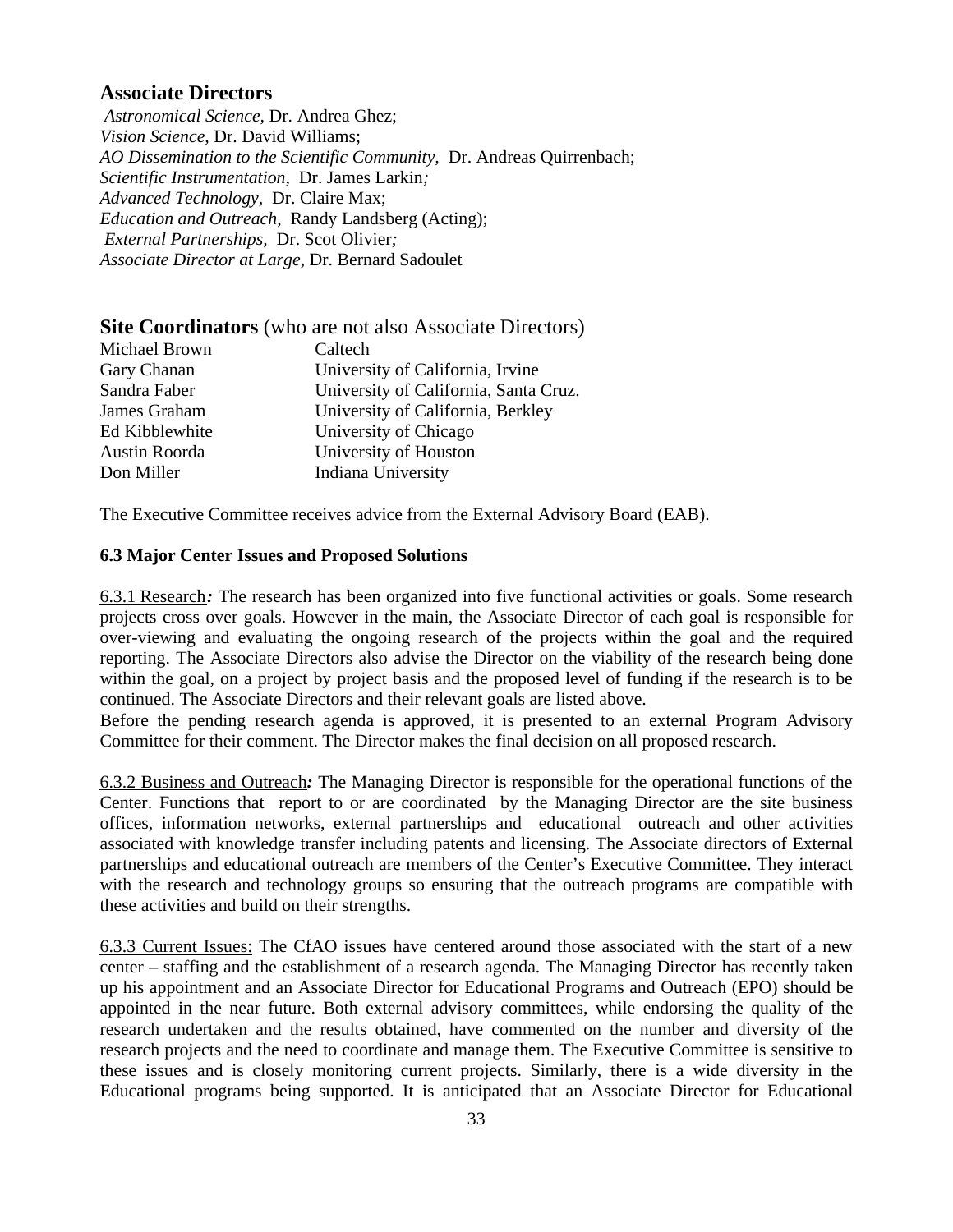# **Associate Directors**

 *Astronomical Science,* Dr. Andrea Ghez; *Vision Science,* Dr. David Williams; *AO Dissemination to the Scientific Community,* Dr. Andreas Quirrenbach; *Scientific Instrumentation*, Dr. James Larkin*; Advanced Technology,* Dr. Claire Max; *Education and Outreach*, Randy Landsberg (Acting); *External Partnerships,* Dr. Scot Olivier*; Associate Director at Large,* Dr. Bernard Sadoulet

| <b>Site Coordinators</b> (who are not also Associate Directors) |         |  |
|-----------------------------------------------------------------|---------|--|
| Michael Brown                                                   | Caltech |  |

| Caltech                               |
|---------------------------------------|
| University of California, Irvine      |
| University of California, Santa Cruz. |
| University of California, Berkley     |
| University of Chicago                 |
| University of Houston                 |
| Indiana University                    |
|                                       |

The Executive Committee receives advice from the External Advisory Board (EAB).

### **6.3 Major Center Issues and Proposed Solutions**

6.3.1 Research*:* The research has been organized into five functional activities or goals. Some research projects cross over goals. However in the main, the Associate Director of each goal is responsible for over-viewing and evaluating the ongoing research of the projects within the goal and the required reporting. The Associate Directors also advise the Director on the viability of the research being done within the goal, on a project by project basis and the proposed level of funding if the research is to be continued. The Associate Directors and their relevant goals are listed above.

Before the pending research agenda is approved, it is presented to an external Program Advisory Committee for their comment. The Director makes the final decision on all proposed research.

6.3.2 Business and Outreach*:* The Managing Director is responsible for the operational functions of the Center. Functions that report to or are coordinated by the Managing Director are the site business offices, information networks, external partnerships and educational outreach and other activities associated with knowledge transfer including patents and licensing. The Associate directors of External partnerships and educational outreach are members of the Center's Executive Committee. They interact with the research and technology groups so ensuring that the outreach programs are compatible with these activities and build on their strengths.

6.3.3 Current Issues: The CfAO issues have centered around those associated with the start of a new center – staffing and the establishment of a research agenda. The Managing Director has recently taken up his appointment and an Associate Director for Educational Programs and Outreach (EPO) should be appointed in the near future. Both external advisory committees, while endorsing the quality of the research undertaken and the results obtained, have commented on the number and diversity of the research projects and the need to coordinate and manage them. The Executive Committee is sensitive to these issues and is closely monitoring current projects. Similarly, there is a wide diversity in the Educational programs being supported. It is anticipated that an Associate Director for Educational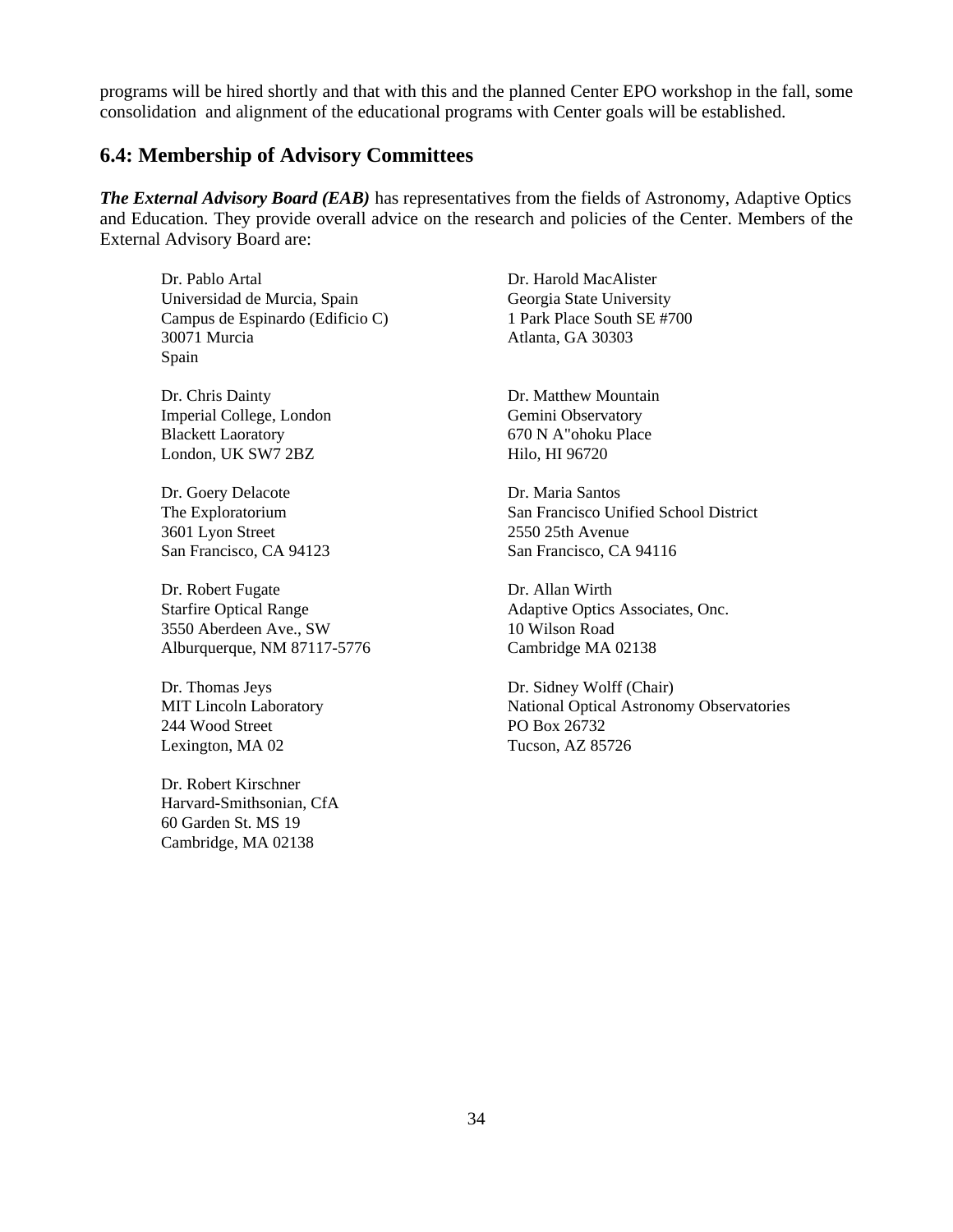programs will be hired shortly and that with this and the planned Center EPO workshop in the fall, some consolidation and alignment of the educational programs with Center goals will be established.

# **6.4: Membership of Advisory Committees**

*The External Advisory Board (EAB)* has representatives from the fields of Astronomy, Adaptive Optics and Education. They provide overall advice on the research and policies of the Center. Members of the External Advisory Board are:

Dr. Pablo Artal Dr. Harold MacAlister Universidad de Murcia, Spain Georgia State University Campus de Espinardo (Edificio C) 1 Park Place South SE #700 30071 Murcia Atlanta, GA 30303 Spain

Dr. Chris Dainty Dr. Matthew Mountain Imperial College, London Gemini Observatory Blackett Laoratory 670 N A"ohoku Place London, UK SW7 2BZ Hilo, HI 96720

Dr. Goery Delacote Dr. Maria Santos 3601 Lyon Street 2550 25th Avenue

Dr. Robert Fugate Dr. Allan Wirth 3550 Aberdeen Ave., SW 10 Wilson Road Alburquerque, NM 87117-5776 Cambridge MA 02138

244 Wood Street PO Box 26732 Lexington, MA 02 Tucson, AZ 85726

Dr. Robert Kirschner Harvard-Smithsonian, CfA 60 Garden St. MS 19 Cambridge, MA 02138

The Exploratorium San Francisco Unified School District San Francisco, CA 94123 San Francisco, CA 94116

Starfire Optical Range Adaptive Optics Associates, Onc.

Dr. Thomas Jeys Dr. Sidney Wolff (Chair) MIT Lincoln Laboratory National Optical Astronomy Observatories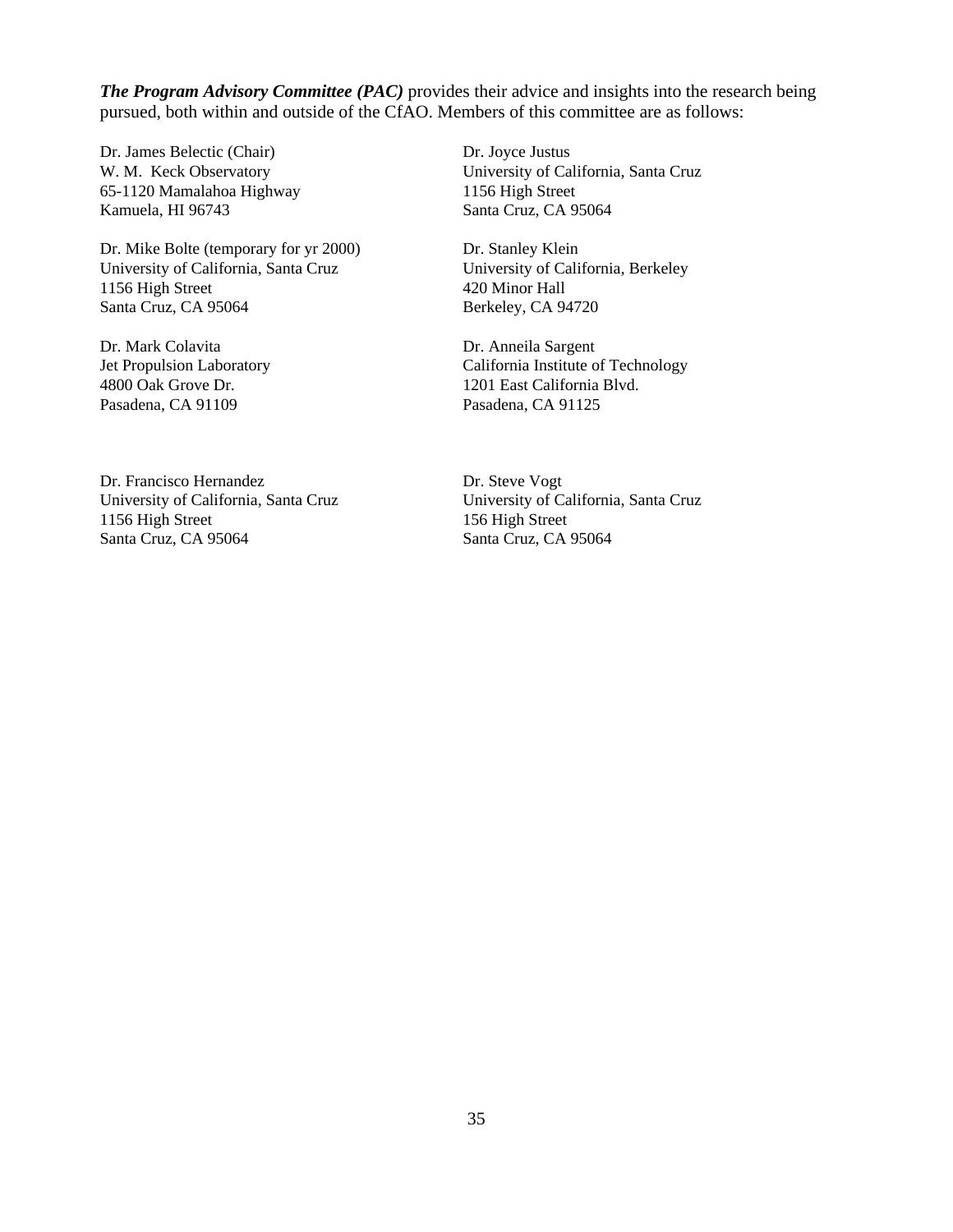*The Program Advisory Committee (PAC)* provides their advice and insights into the research being pursued, both within and outside of the CfAO. Members of this committee are as follows:

Dr. James Belectic (Chair) Dr. Joyce Justus 65-1120 Mamalahoa Highway 1156 High Street Kamuela, HI 96743 Santa Cruz, CA 95064

Dr. Mike Bolte (temporary for yr 2000) Dr. Stanley Klein University of California, Santa Cruz University of California, Berkeley 1156 High Street 420 Minor Hall Santa Cruz, CA 95064 Berkeley, CA 94720

Dr. Mark Colavita Dr. Anneila Sargent Pasadena, CA 91109 Pasadena, CA 91125

W. M. Keck Observatory University of California, Santa Cruz

Jet Propulsion Laboratory California Institute of Technology 4800 Oak Grove Dr. 1201 East California Blvd.

Dr. Francisco Hernandez Dr. Steve Vogt University of California, Santa Cruz University of California, Santa Cruz 1156 High Street 156 High Street Santa Cruz, CA 95064 Santa Cruz, CA 95064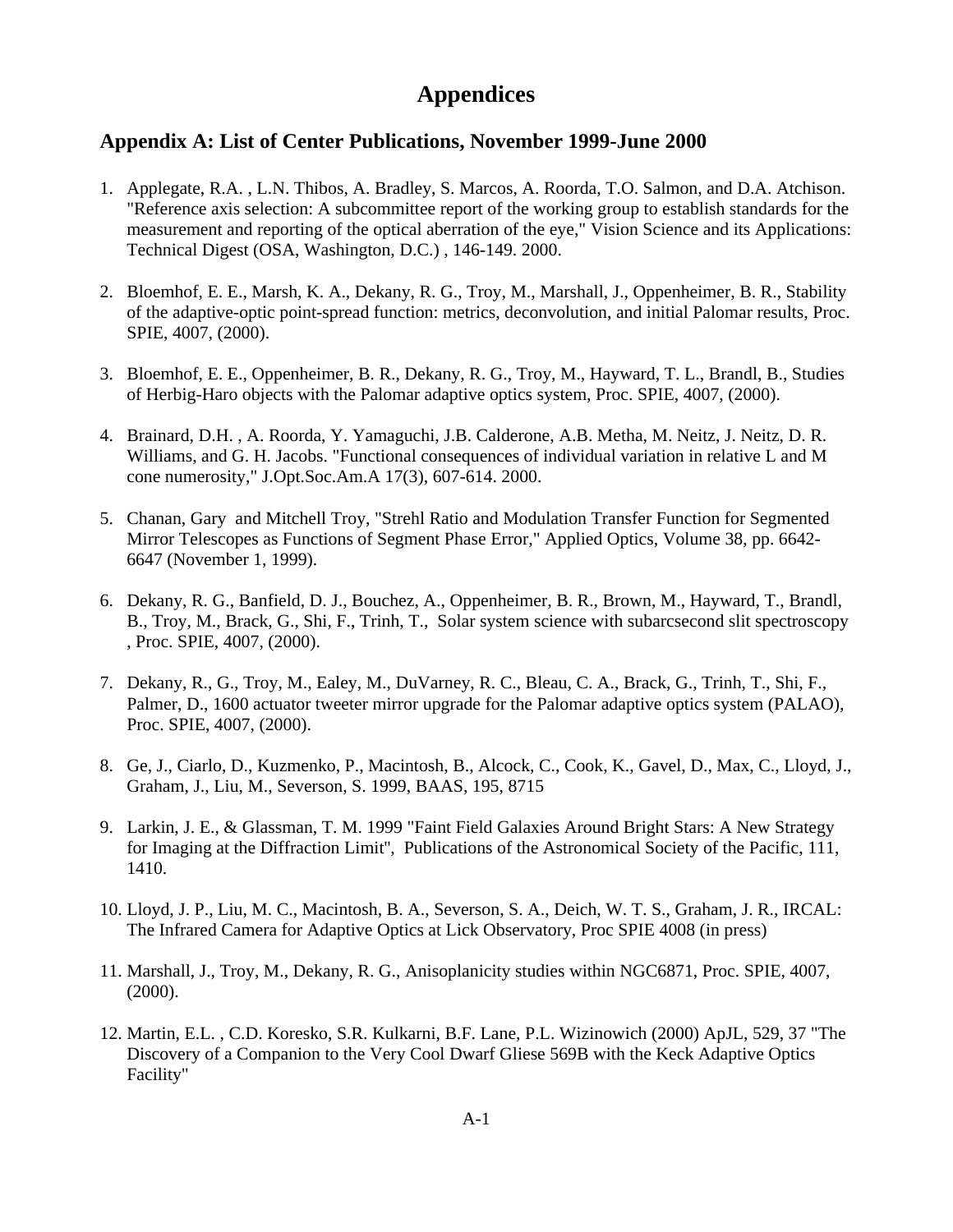# **Appendices**

# **Appendix A: List of Center Publications, November 1999-June 2000**

- 1. Applegate, R.A. , L.N. Thibos, A. Bradley, S. Marcos, A. Roorda, T.O. Salmon, and D.A. Atchison. "Reference axis selection: A subcommittee report of the working group to establish standards for the measurement and reporting of the optical aberration of the eye," Vision Science and its Applications: Technical Digest (OSA, Washington, D.C.) , 146-149. 2000.
- 2. Bloemhof, E. E., Marsh, K. A., Dekany, R. G., Troy, M., Marshall, J., Oppenheimer, B. R., Stability of the adaptive-optic point-spread function: metrics, deconvolution, and initial Palomar results, Proc. SPIE, 4007, (2000).
- 3. Bloemhof, E. E., Oppenheimer, B. R., Dekany, R. G., Troy, M., Hayward, T. L., Brandl, B., Studies of Herbig-Haro objects with the Palomar adaptive optics system, Proc. SPIE, 4007, (2000).
- 4. Brainard, D.H. , A. Roorda, Y. Yamaguchi, J.B. Calderone, A.B. Metha, M. Neitz, J. Neitz, D. R. Williams, and G. H. Jacobs. "Functional consequences of individual variation in relative L and M cone numerosity," J.Opt.Soc.Am.A 17(3), 607-614. 2000.
- 5. Chanan, Gary and Mitchell Troy, "Strehl Ratio and Modulation Transfer Function for Segmented Mirror Telescopes as Functions of Segment Phase Error," Applied Optics, Volume 38, pp. 6642- 6647 (November 1, 1999).
- 6. Dekany, R. G., Banfield, D. J., Bouchez, A., Oppenheimer, B. R., Brown, M., Hayward, T., Brandl, B., Troy, M., Brack, G., Shi, F., Trinh, T., Solar system science with subarcsecond slit spectroscopy , Proc. SPIE, 4007, (2000).
- 7. Dekany, R., G., Troy, M., Ealey, M., DuVarney, R. C., Bleau, C. A., Brack, G., Trinh, T., Shi, F., Palmer, D., 1600 actuator tweeter mirror upgrade for the Palomar adaptive optics system (PALAO), Proc. SPIE, 4007, (2000).
- 8. Ge, J., Ciarlo, D., Kuzmenko, P., Macintosh, B., Alcock, C., Cook, K., Gavel, D., Max, C., Lloyd, J., Graham, J., Liu, M., Severson, S. 1999, BAAS, 195, 8715
- 9. Larkin, J. E., & Glassman, T. M. 1999 "Faint Field Galaxies Around Bright Stars: A New Strategy for Imaging at the Diffraction Limit'', Publications of the Astronomical Society of the Pacific, 111, 1410.
- 10. Lloyd, J. P., Liu, M. C., Macintosh, B. A., Severson, S. A., Deich, W. T. S., Graham, J. R., IRCAL: The Infrared Camera for Adaptive Optics at Lick Observatory, Proc SPIE 4008 (in press)
- 11. Marshall, J., Troy, M., Dekany, R. G., Anisoplanicity studies within NGC6871, Proc. SPIE, 4007, (2000).
- 12. Martin, E.L. , C.D. Koresko, S.R. Kulkarni, B.F. Lane, P.L. Wizinowich (2000) ApJL, 529, 37 "The Discovery of a Companion to the Very Cool Dwarf Gliese 569B with the Keck Adaptive Optics Facility"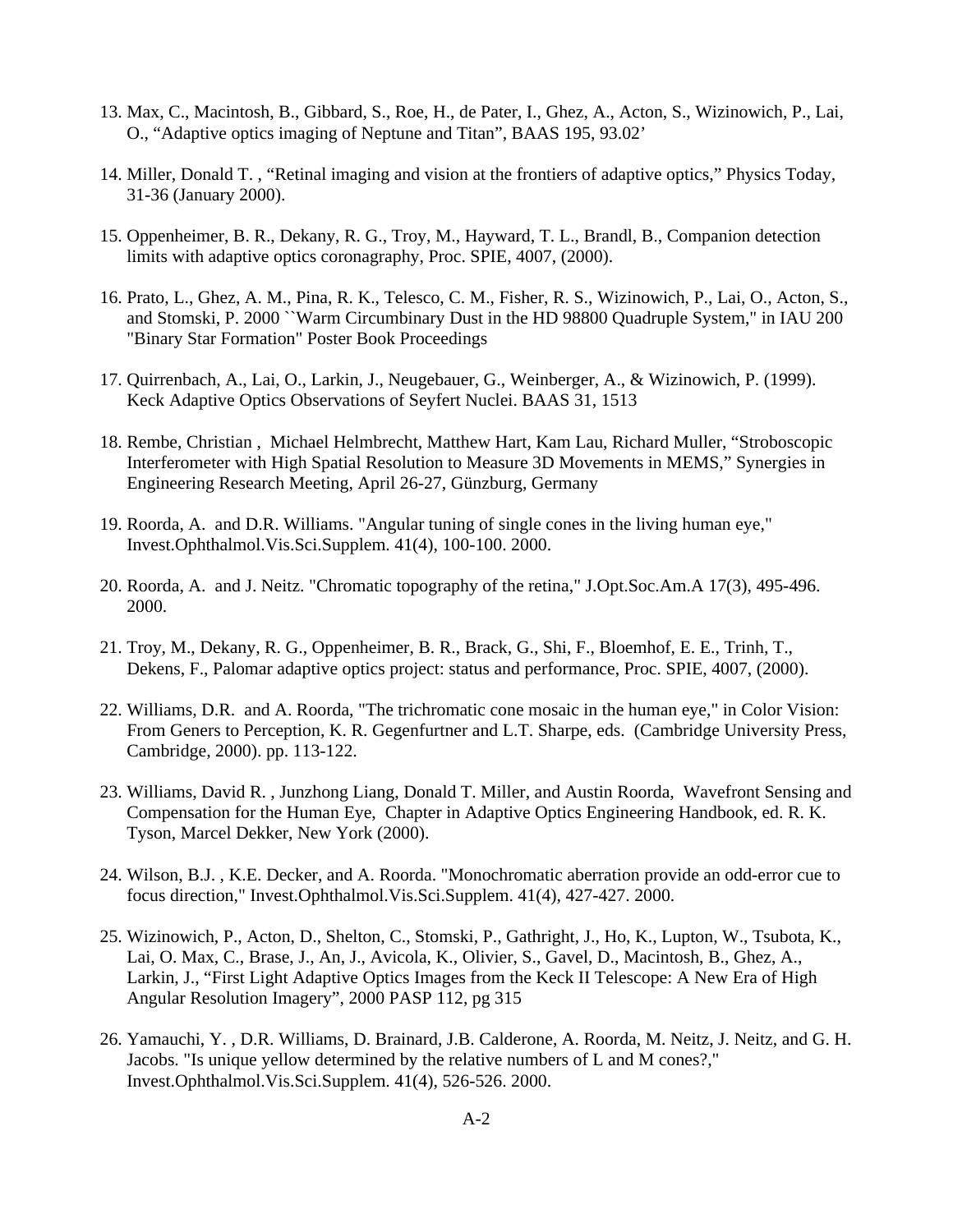- 13. Max, C., Macintosh, B., Gibbard, S., Roe, H., de Pater, I., Ghez, A., Acton, S., Wizinowich, P., Lai, O., "Adaptive optics imaging of Neptune and Titan", BAAS 195, 93.02'
- 14. Miller, Donald T. , "Retinal imaging and vision at the frontiers of adaptive optics," Physics Today, 31-36 (January 2000).
- 15. Oppenheimer, B. R., Dekany, R. G., Troy, M., Hayward, T. L., Brandl, B., Companion detection limits with adaptive optics coronagraphy, Proc. SPIE, 4007, (2000).
- 16. Prato, L., Ghez, A. M., Pina, R. K., Telesco, C. M., Fisher, R. S., Wizinowich, P., Lai, O., Acton, S., and Stomski, P. 2000 ``Warm Circumbinary Dust in the HD 98800 Quadruple System," in IAU 200 "Binary Star Formation" Poster Book Proceedings
- 17. Quirrenbach, A., Lai, O., Larkin, J., Neugebauer, G., Weinberger, A., & Wizinowich, P. (1999). Keck Adaptive Optics Observations of Seyfert Nuclei. BAAS 31, 1513
- 18. Rembe, Christian , Michael Helmbrecht, Matthew Hart, Kam Lau, Richard Muller, "Stroboscopic Interferometer with High Spatial Resolution to Measure 3D Movements in MEMS," Synergies in Engineering Research Meeting, April 26-27, Günzburg, Germany
- 19. Roorda, A. and D.R. Williams. "Angular tuning of single cones in the living human eye," Invest.Ophthalmol.Vis.Sci.Supplem. 41(4), 100-100. 2000.
- 20. Roorda, A. and J. Neitz. "Chromatic topography of the retina," J.Opt.Soc.Am.A 17(3), 495-496. 2000.
- 21. Troy, M., Dekany, R. G., Oppenheimer, B. R., Brack, G., Shi, F., Bloemhof, E. E., Trinh, T., Dekens, F., Palomar adaptive optics project: status and performance, Proc. SPIE, 4007, (2000).
- 22. Williams, D.R. and A. Roorda, "The trichromatic cone mosaic in the human eye," in Color Vision: From Geners to Perception, K. R. Gegenfurtner and L.T. Sharpe, eds. (Cambridge University Press, Cambridge, 2000). pp. 113-122.
- 23. Williams, David R. , Junzhong Liang, Donald T. Miller, and Austin Roorda, Wavefront Sensing and Compensation for the Human Eye, Chapter in Adaptive Optics Engineering Handbook, ed. R. K. Tyson, Marcel Dekker, New York (2000).
- 24. Wilson, B.J. , K.E. Decker, and A. Roorda. "Monochromatic aberration provide an odd-error cue to focus direction," Invest.Ophthalmol.Vis.Sci.Supplem. 41(4), 427-427. 2000.
- 25. Wizinowich, P., Acton, D., Shelton, C., Stomski, P., Gathright, J., Ho, K., Lupton, W., Tsubota, K., Lai, O. Max, C., Brase, J., An, J., Avicola, K., Olivier, S., Gavel, D., Macintosh, B., Ghez, A., Larkin, J., "First Light Adaptive Optics Images from the Keck II Telescope: A New Era of High Angular Resolution Imagery", 2000 PASP 112, pg 315
- 26. Yamauchi, Y. , D.R. Williams, D. Brainard, J.B. Calderone, A. Roorda, M. Neitz, J. Neitz, and G. H. Jacobs. "Is unique yellow determined by the relative numbers of L and M cones?," Invest.Ophthalmol.Vis.Sci.Supplem. 41(4), 526-526. 2000.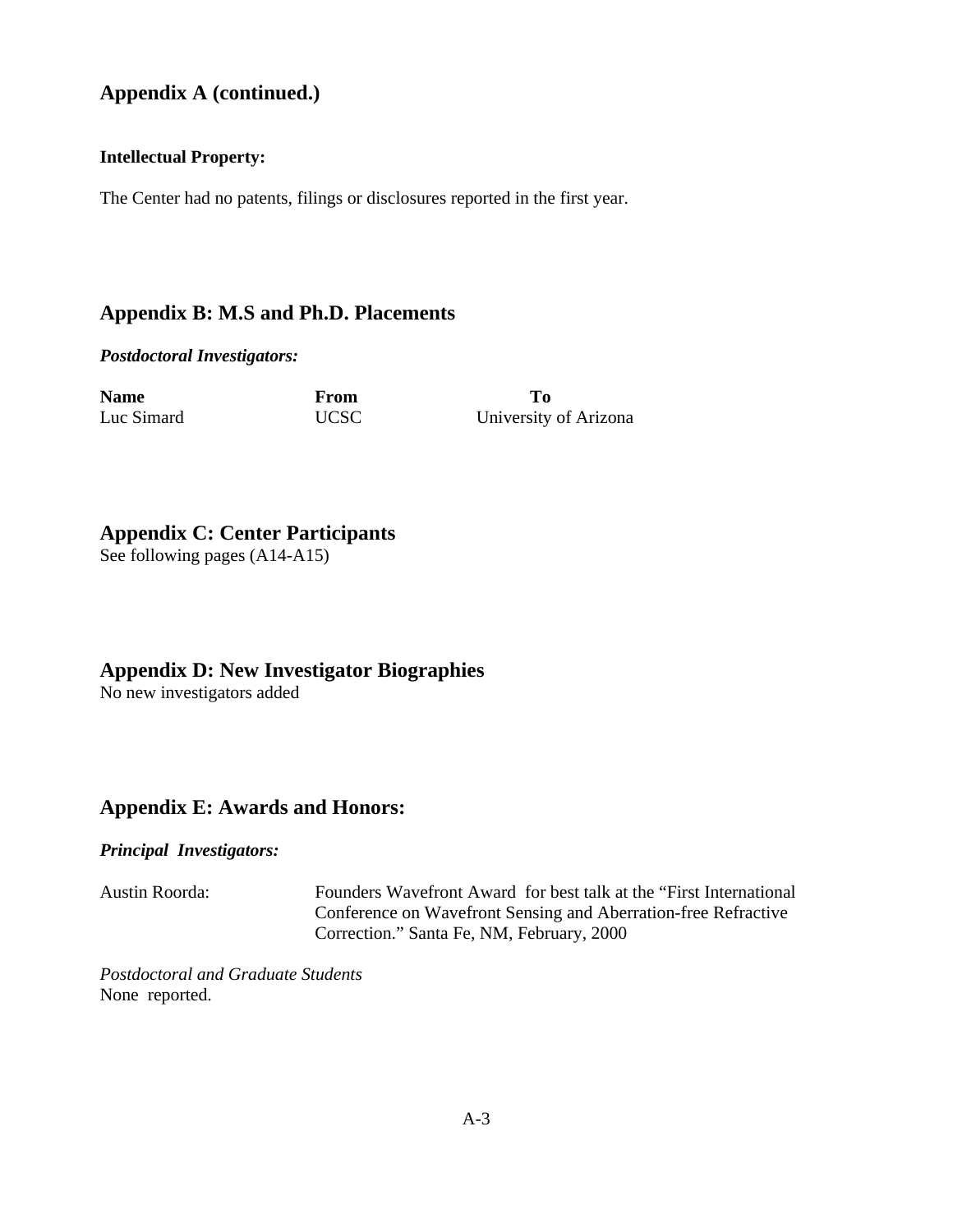# **Appendix A (continued.)**

# **Intellectual Property:**

The Center had no patents, filings or disclosures reported in the first year.

# **Appendix B: M.S and Ph.D. Placements**

*Postdoctoral Investigators:*

| <b>Name</b> | From        | To         |
|-------------|-------------|------------|
| Luc Simard  | <b>UCSC</b> | University |

University of Arizona

# **Appendix C: Center Participants**

See following pages (A14-A15)

# **Appendix D: New Investigator Biographies**

No new investigators added

# **Appendix E: Awards and Honors:**

*Principal Investigators:*

Austin Roorda: Founders Wavefront Award for best talk at the "First International Conference on Wavefront Sensing and Aberration-free Refractive Correction." Santa Fe, NM, February, 2000

*Postdoctoral and Graduate Students* None reported.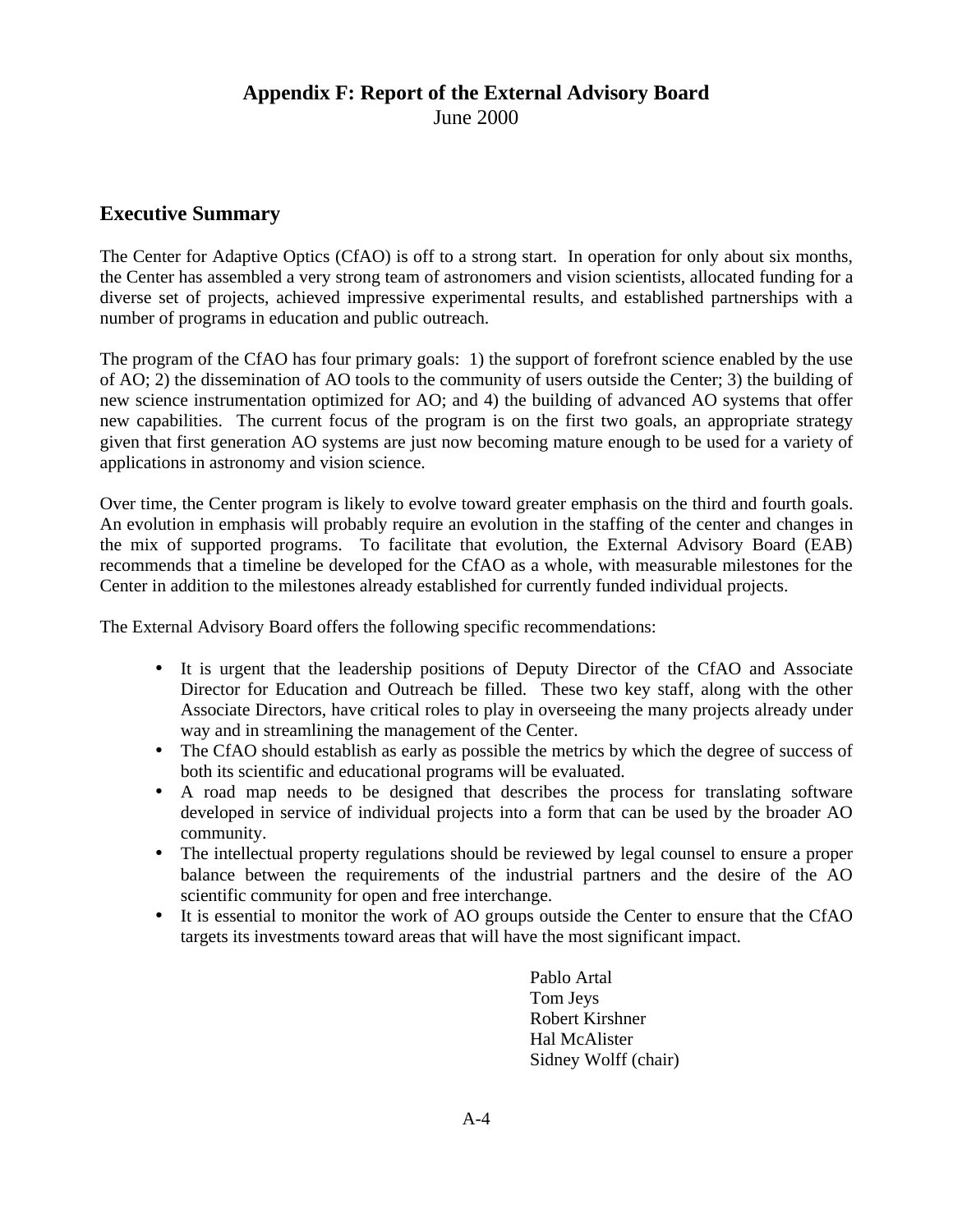# **Appendix F: Report of the External Advisory Board** June 2000

# **Executive Summary**

The Center for Adaptive Optics (CfAO) is off to a strong start. In operation for only about six months, the Center has assembled a very strong team of astronomers and vision scientists, allocated funding for a diverse set of projects, achieved impressive experimental results, and established partnerships with a number of programs in education and public outreach.

The program of the CfAO has four primary goals: 1) the support of forefront science enabled by the use of AO; 2) the dissemination of AO tools to the community of users outside the Center; 3) the building of new science instrumentation optimized for AO; and 4) the building of advanced AO systems that offer new capabilities. The current focus of the program is on the first two goals, an appropriate strategy given that first generation AO systems are just now becoming mature enough to be used for a variety of applications in astronomy and vision science.

Over time, the Center program is likely to evolve toward greater emphasis on the third and fourth goals. An evolution in emphasis will probably require an evolution in the staffing of the center and changes in the mix of supported programs. To facilitate that evolution, the External Advisory Board (EAB) recommends that a timeline be developed for the CfAO as a whole, with measurable milestones for the Center in addition to the milestones already established for currently funded individual projects.

The External Advisory Board offers the following specific recommendations:

- It is urgent that the leadership positions of Deputy Director of the CfAO and Associate Director for Education and Outreach be filled. These two key staff, along with the other Associate Directors, have critical roles to play in overseeing the many projects already under way and in streamlining the management of the Center.
- The CfAO should establish as early as possible the metrics by which the degree of success of both its scientific and educational programs will be evaluated.
- A road map needs to be designed that describes the process for translating software developed in service of individual projects into a form that can be used by the broader AO community.
- The intellectual property regulations should be reviewed by legal counsel to ensure a proper balance between the requirements of the industrial partners and the desire of the AO scientific community for open and free interchange.
- It is essential to monitor the work of AO groups outside the Center to ensure that the CfAO targets its investments toward areas that will have the most significant impact.

Pablo Artal Tom Jeys Robert Kirshner Hal McAlister Sidney Wolff (chair)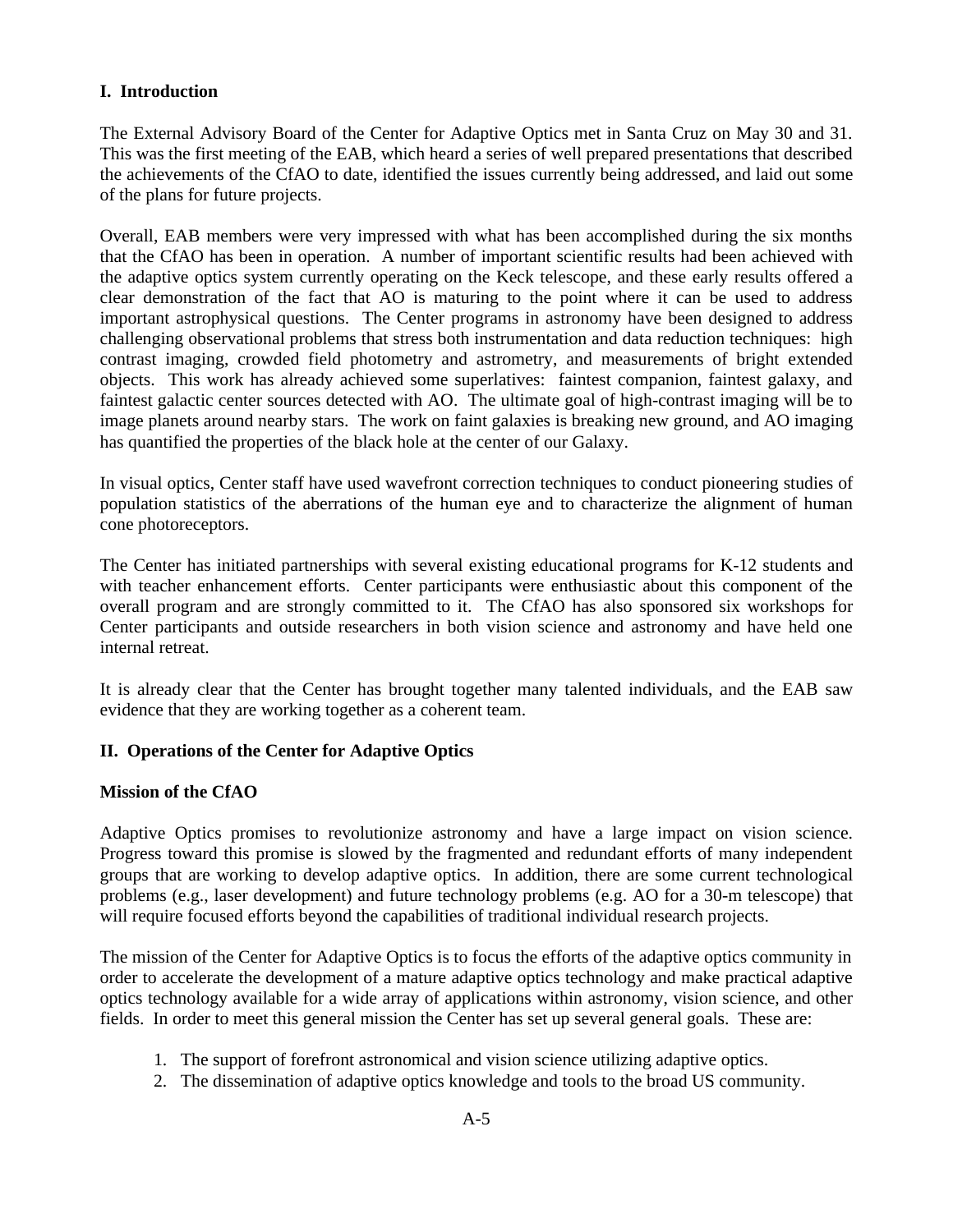# **I. Introduction**

The External Advisory Board of the Center for Adaptive Optics met in Santa Cruz on May 30 and 31. This was the first meeting of the EAB, which heard a series of well prepared presentations that described the achievements of the CfAO to date, identified the issues currently being addressed, and laid out some of the plans for future projects.

Overall, EAB members were very impressed with what has been accomplished during the six months that the CfAO has been in operation. A number of important scientific results had been achieved with the adaptive optics system currently operating on the Keck telescope, and these early results offered a clear demonstration of the fact that AO is maturing to the point where it can be used to address important astrophysical questions. The Center programs in astronomy have been designed to address challenging observational problems that stress both instrumentation and data reduction techniques: high contrast imaging, crowded field photometry and astrometry, and measurements of bright extended objects. This work has already achieved some superlatives: faintest companion, faintest galaxy, and faintest galactic center sources detected with AO. The ultimate goal of high-contrast imaging will be to image planets around nearby stars. The work on faint galaxies is breaking new ground, and AO imaging has quantified the properties of the black hole at the center of our Galaxy.

In visual optics, Center staff have used wavefront correction techniques to conduct pioneering studies of population statistics of the aberrations of the human eye and to characterize the alignment of human cone photoreceptors.

The Center has initiated partnerships with several existing educational programs for K-12 students and with teacher enhancement efforts. Center participants were enthusiastic about this component of the overall program and are strongly committed to it. The CfAO has also sponsored six workshops for Center participants and outside researchers in both vision science and astronomy and have held one internal retreat.

It is already clear that the Center has brought together many talented individuals, and the EAB saw evidence that they are working together as a coherent team.

# **II. Operations of the Center for Adaptive Optics**

### **Mission of the CfAO**

Adaptive Optics promises to revolutionize astronomy and have a large impact on vision science. Progress toward this promise is slowed by the fragmented and redundant efforts of many independent groups that are working to develop adaptive optics. In addition, there are some current technological problems (e.g., laser development) and future technology problems (e.g. AO for a 30-m telescope) that will require focused efforts beyond the capabilities of traditional individual research projects.

The mission of the Center for Adaptive Optics is to focus the efforts of the adaptive optics community in order to accelerate the development of a mature adaptive optics technology and make practical adaptive optics technology available for a wide array of applications within astronomy, vision science, and other fields. In order to meet this general mission the Center has set up several general goals. These are:

- 1. The support of forefront astronomical and vision science utilizing adaptive optics.
- 2. The dissemination of adaptive optics knowledge and tools to the broad US community.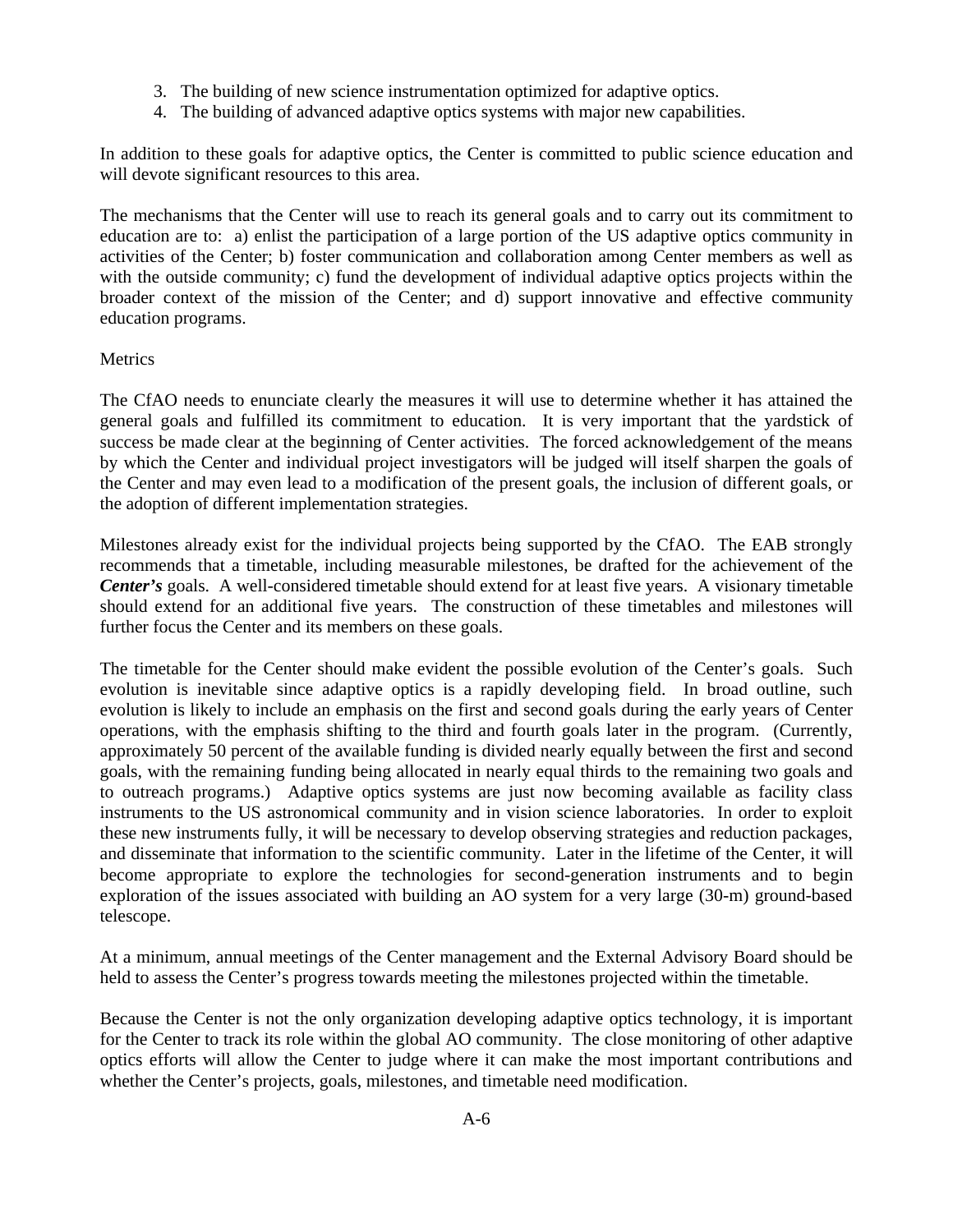- 3. The building of new science instrumentation optimized for adaptive optics.
- 4. The building of advanced adaptive optics systems with major new capabilities.

In addition to these goals for adaptive optics, the Center is committed to public science education and will devote significant resources to this area.

The mechanisms that the Center will use to reach its general goals and to carry out its commitment to education are to: a) enlist the participation of a large portion of the US adaptive optics community in activities of the Center; b) foster communication and collaboration among Center members as well as with the outside community; c) fund the development of individual adaptive optics projects within the broader context of the mission of the Center; and d) support innovative and effective community education programs.

# **Metrics**

The CfAO needs to enunciate clearly the measures it will use to determine whether it has attained the general goals and fulfilled its commitment to education. It is very important that the yardstick of success be made clear at the beginning of Center activities. The forced acknowledgement of the means by which the Center and individual project investigators will be judged will itself sharpen the goals of the Center and may even lead to a modification of the present goals, the inclusion of different goals, or the adoption of different implementation strategies.

Milestones already exist for the individual projects being supported by the CfAO. The EAB strongly recommends that a timetable, including measurable milestones, be drafted for the achievement of the *Center's* goals. A well-considered timetable should extend for at least five years. A visionary timetable should extend for an additional five years. The construction of these timetables and milestones will further focus the Center and its members on these goals.

The timetable for the Center should make evident the possible evolution of the Center's goals. Such evolution is inevitable since adaptive optics is a rapidly developing field. In broad outline, such evolution is likely to include an emphasis on the first and second goals during the early years of Center operations, with the emphasis shifting to the third and fourth goals later in the program. (Currently, approximately 50 percent of the available funding is divided nearly equally between the first and second goals, with the remaining funding being allocated in nearly equal thirds to the remaining two goals and to outreach programs.) Adaptive optics systems are just now becoming available as facility class instruments to the US astronomical community and in vision science laboratories. In order to exploit these new instruments fully, it will be necessary to develop observing strategies and reduction packages, and disseminate that information to the scientific community. Later in the lifetime of the Center, it will become appropriate to explore the technologies for second-generation instruments and to begin exploration of the issues associated with building an AO system for a very large (30-m) ground-based telescope.

At a minimum, annual meetings of the Center management and the External Advisory Board should be held to assess the Center's progress towards meeting the milestones projected within the timetable.

Because the Center is not the only organization developing adaptive optics technology, it is important for the Center to track its role within the global AO community. The close monitoring of other adaptive optics efforts will allow the Center to judge where it can make the most important contributions and whether the Center's projects, goals, milestones, and timetable need modification.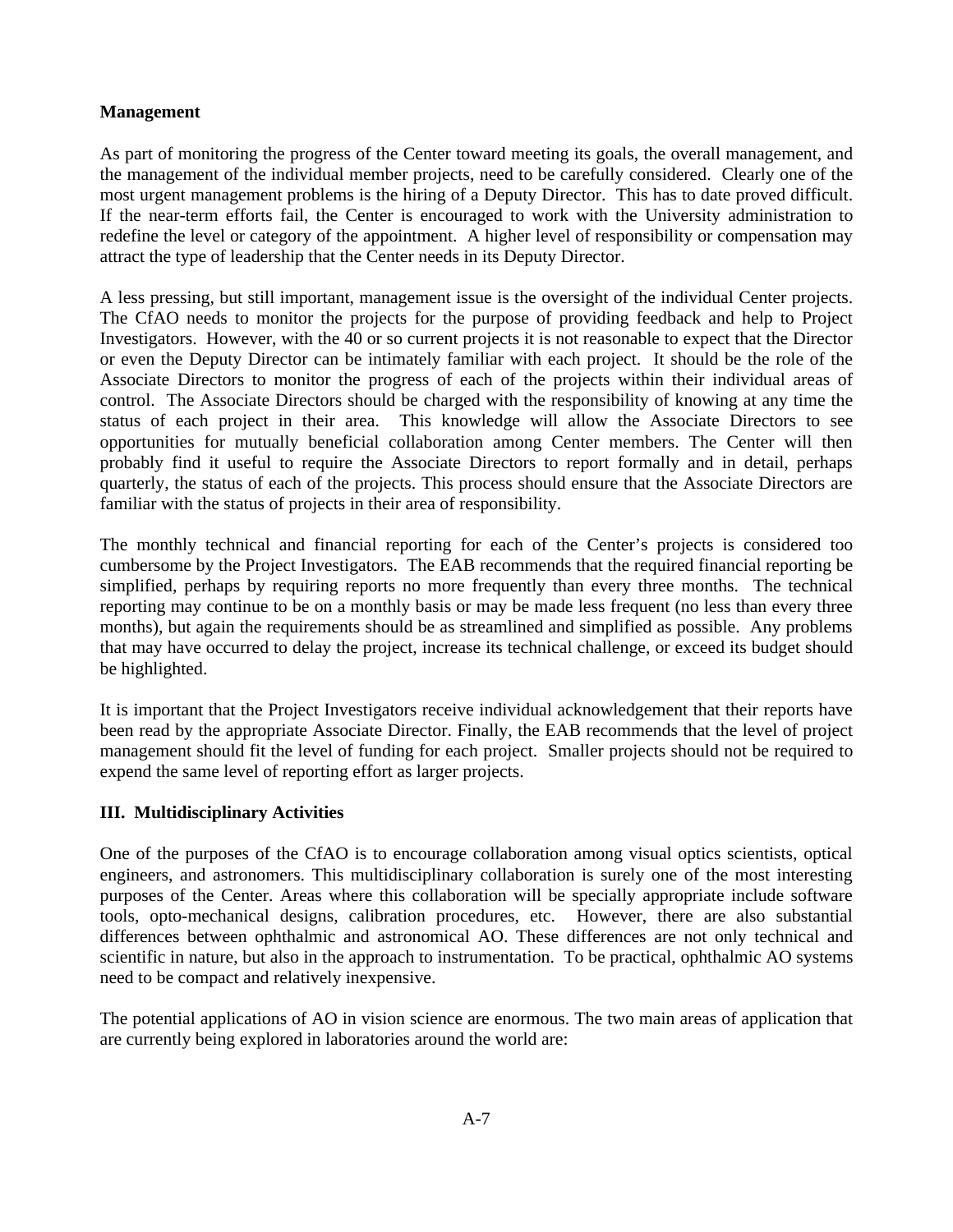# **Management**

As part of monitoring the progress of the Center toward meeting its goals, the overall management, and the management of the individual member projects, need to be carefully considered. Clearly one of the most urgent management problems is the hiring of a Deputy Director. This has to date proved difficult. If the near-term efforts fail, the Center is encouraged to work with the University administration to redefine the level or category of the appointment. A higher level of responsibility or compensation may attract the type of leadership that the Center needs in its Deputy Director.

A less pressing, but still important, management issue is the oversight of the individual Center projects. The CfAO needs to monitor the projects for the purpose of providing feedback and help to Project Investigators. However, with the 40 or so current projects it is not reasonable to expect that the Director or even the Deputy Director can be intimately familiar with each project. It should be the role of the Associate Directors to monitor the progress of each of the projects within their individual areas of control. The Associate Directors should be charged with the responsibility of knowing at any time the status of each project in their area. This knowledge will allow the Associate Directors to see opportunities for mutually beneficial collaboration among Center members. The Center will then probably find it useful to require the Associate Directors to report formally and in detail, perhaps quarterly, the status of each of the projects. This process should ensure that the Associate Directors are familiar with the status of projects in their area of responsibility.

The monthly technical and financial reporting for each of the Center's projects is considered too cumbersome by the Project Investigators. The EAB recommends that the required financial reporting be simplified, perhaps by requiring reports no more frequently than every three months. The technical reporting may continue to be on a monthly basis or may be made less frequent (no less than every three months), but again the requirements should be as streamlined and simplified as possible. Any problems that may have occurred to delay the project, increase its technical challenge, or exceed its budget should be highlighted.

It is important that the Project Investigators receive individual acknowledgement that their reports have been read by the appropriate Associate Director. Finally, the EAB recommends that the level of project management should fit the level of funding for each project. Smaller projects should not be required to expend the same level of reporting effort as larger projects.

# **III. Multidisciplinary Activities**

One of the purposes of the CfAO is to encourage collaboration among visual optics scientists, optical engineers, and astronomers. This multidisciplinary collaboration is surely one of the most interesting purposes of the Center. Areas where this collaboration will be specially appropriate include software tools, opto-mechanical designs, calibration procedures, etc. However, there are also substantial differences between ophthalmic and astronomical AO. These differences are not only technical and scientific in nature, but also in the approach to instrumentation. To be practical, ophthalmic AO systems need to be compact and relatively inexpensive.

The potential applications of AO in vision science are enormous. The two main areas of application that are currently being explored in laboratories around the world are: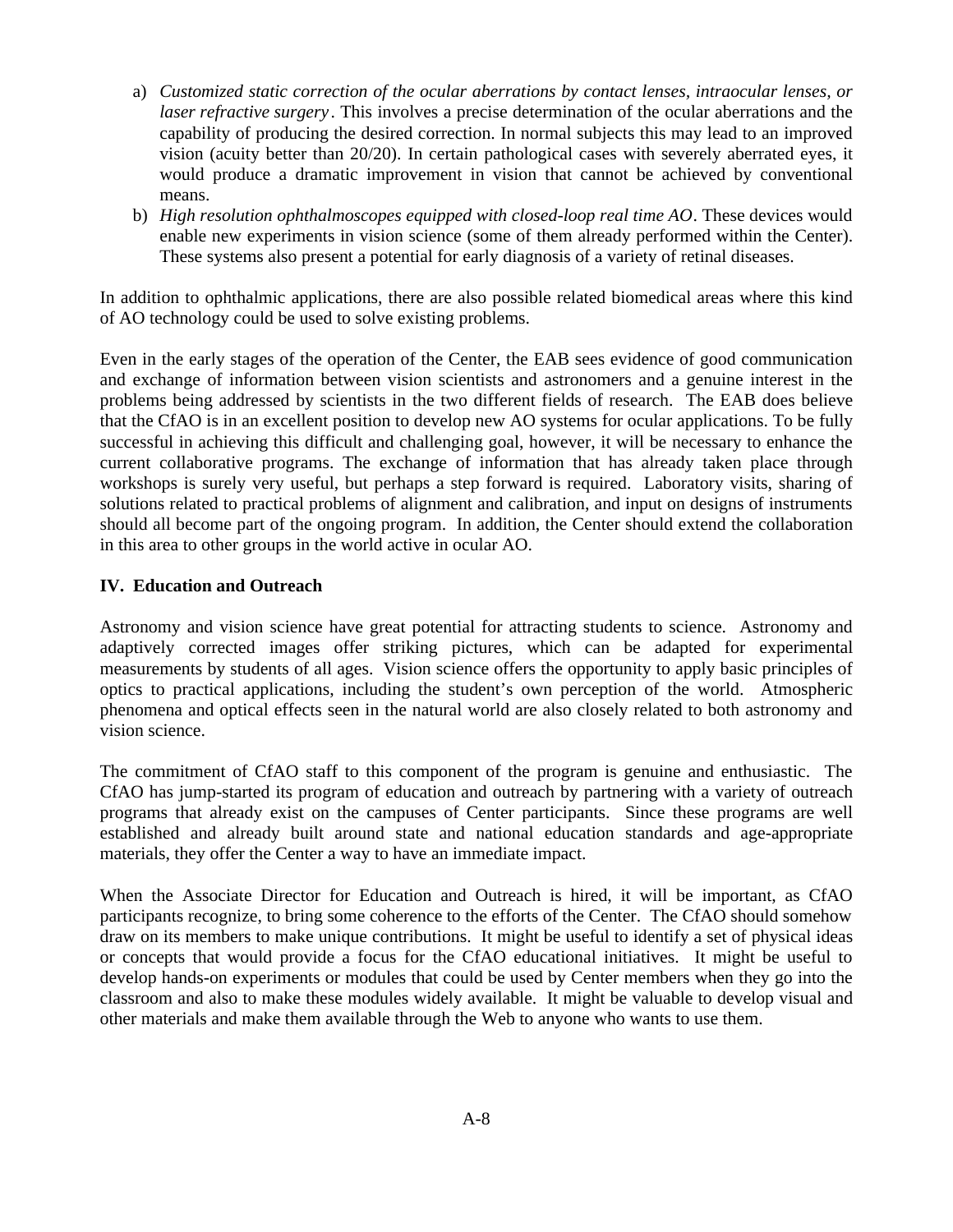- a) *Customized static correction of the ocular aberrations by contact lenses, intraocular lenses, or laser refractive surgery*. This involves a precise determination of the ocular aberrations and the capability of producing the desired correction. In normal subjects this may lead to an improved vision (acuity better than 20/20). In certain pathological cases with severely aberrated eyes, it would produce a dramatic improvement in vision that cannot be achieved by conventional means.
- b) *High resolution ophthalmoscopes equipped with closed-loop real time AO*. These devices would enable new experiments in vision science (some of them already performed within the Center). These systems also present a potential for early diagnosis of a variety of retinal diseases.

In addition to ophthalmic applications, there are also possible related biomedical areas where this kind of AO technology could be used to solve existing problems.

Even in the early stages of the operation of the Center, the EAB sees evidence of good communication and exchange of information between vision scientists and astronomers and a genuine interest in the problems being addressed by scientists in the two different fields of research. The EAB does believe that the CfAO is in an excellent position to develop new AO systems for ocular applications. To be fully successful in achieving this difficult and challenging goal, however, it will be necessary to enhance the current collaborative programs. The exchange of information that has already taken place through workshops is surely very useful, but perhaps a step forward is required. Laboratory visits, sharing of solutions related to practical problems of alignment and calibration, and input on designs of instruments should all become part of the ongoing program. In addition, the Center should extend the collaboration in this area to other groups in the world active in ocular AO.

# **IV. Education and Outreach**

Astronomy and vision science have great potential for attracting students to science. Astronomy and adaptively corrected images offer striking pictures, which can be adapted for experimental measurements by students of all ages. Vision science offers the opportunity to apply basic principles of optics to practical applications, including the student's own perception of the world. Atmospheric phenomena and optical effects seen in the natural world are also closely related to both astronomy and vision science.

The commitment of CfAO staff to this component of the program is genuine and enthusiastic. The CfAO has jump-started its program of education and outreach by partnering with a variety of outreach programs that already exist on the campuses of Center participants. Since these programs are well established and already built around state and national education standards and age-appropriate materials, they offer the Center a way to have an immediate impact.

When the Associate Director for Education and Outreach is hired, it will be important, as CfAO participants recognize, to bring some coherence to the efforts of the Center. The CfAO should somehow draw on its members to make unique contributions. It might be useful to identify a set of physical ideas or concepts that would provide a focus for the CfAO educational initiatives. It might be useful to develop hands-on experiments or modules that could be used by Center members when they go into the classroom and also to make these modules widely available. It might be valuable to develop visual and other materials and make them available through the Web to anyone who wants to use them.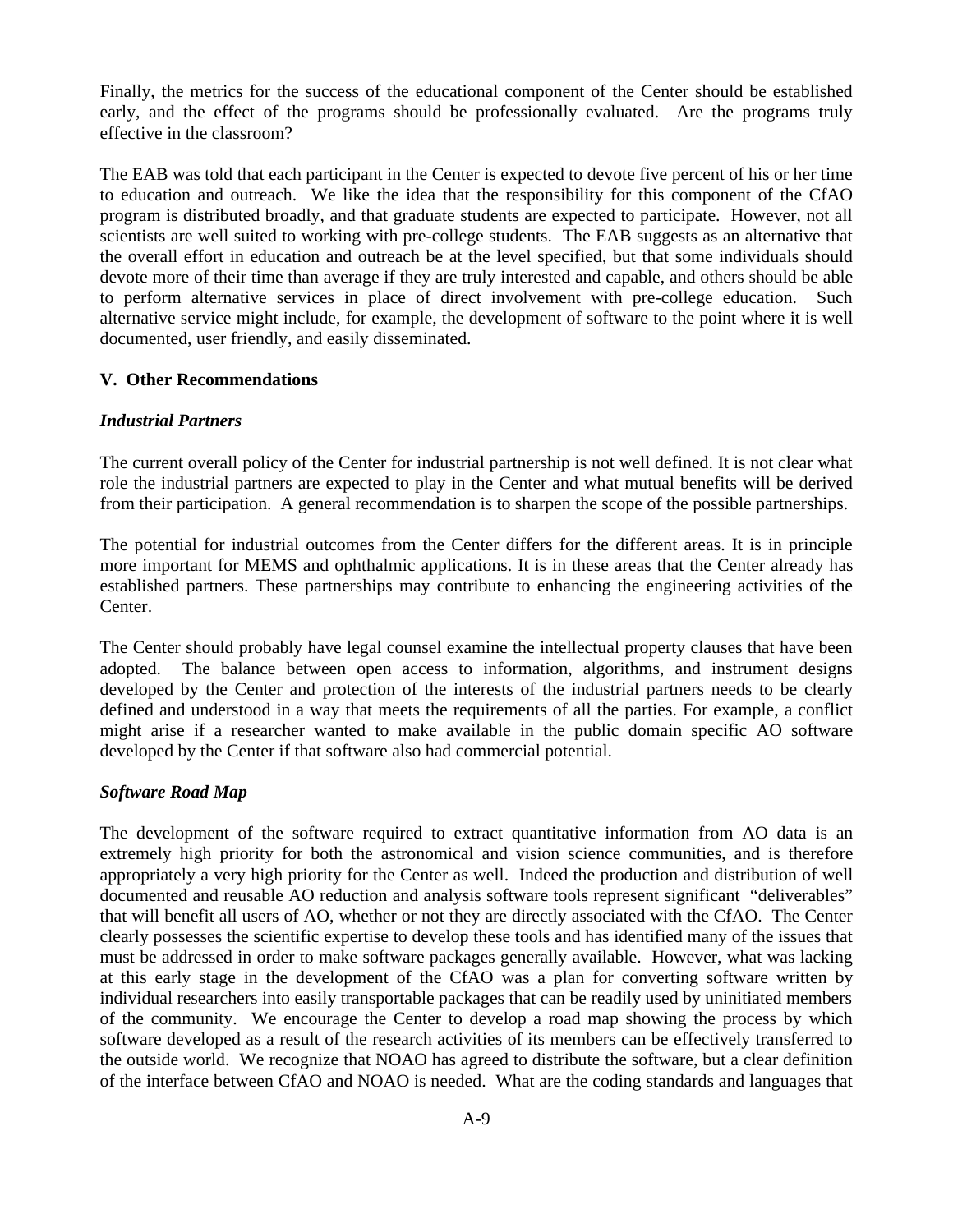Finally, the metrics for the success of the educational component of the Center should be established early, and the effect of the programs should be professionally evaluated. Are the programs truly effective in the classroom?

The EAB was told that each participant in the Center is expected to devote five percent of his or her time to education and outreach. We like the idea that the responsibility for this component of the CfAO program is distributed broadly, and that graduate students are expected to participate. However, not all scientists are well suited to working with pre-college students. The EAB suggests as an alternative that the overall effort in education and outreach be at the level specified, but that some individuals should devote more of their time than average if they are truly interested and capable, and others should be able to perform alternative services in place of direct involvement with pre-college education. Such alternative service might include, for example, the development of software to the point where it is well documented, user friendly, and easily disseminated.

### **V. Other Recommendations**

### *Industrial Partners*

The current overall policy of the Center for industrial partnership is not well defined. It is not clear what role the industrial partners are expected to play in the Center and what mutual benefits will be derived from their participation. A general recommendation is to sharpen the scope of the possible partnerships.

The potential for industrial outcomes from the Center differs for the different areas. It is in principle more important for MEMS and ophthalmic applications. It is in these areas that the Center already has established partners. These partnerships may contribute to enhancing the engineering activities of the Center.

The Center should probably have legal counsel examine the intellectual property clauses that have been adopted. The balance between open access to information, algorithms, and instrument designs developed by the Center and protection of the interests of the industrial partners needs to be clearly defined and understood in a way that meets the requirements of all the parties. For example, a conflict might arise if a researcher wanted to make available in the public domain specific AO software developed by the Center if that software also had commercial potential.

### *Software Road Map*

The development of the software required to extract quantitative information from AO data is an extremely high priority for both the astronomical and vision science communities, and is therefore appropriately a very high priority for the Center as well. Indeed the production and distribution of well documented and reusable AO reduction and analysis software tools represent significant "deliverables" that will benefit all users of AO, whether or not they are directly associated with the CfAO. The Center clearly possesses the scientific expertise to develop these tools and has identified many of the issues that must be addressed in order to make software packages generally available. However, what was lacking at this early stage in the development of the CfAO was a plan for converting software written by individual researchers into easily transportable packages that can be readily used by uninitiated members of the community. We encourage the Center to develop a road map showing the process by which software developed as a result of the research activities of its members can be effectively transferred to the outside world. We recognize that NOAO has agreed to distribute the software, but a clear definition of the interface between CfAO and NOAO is needed. What are the coding standards and languages that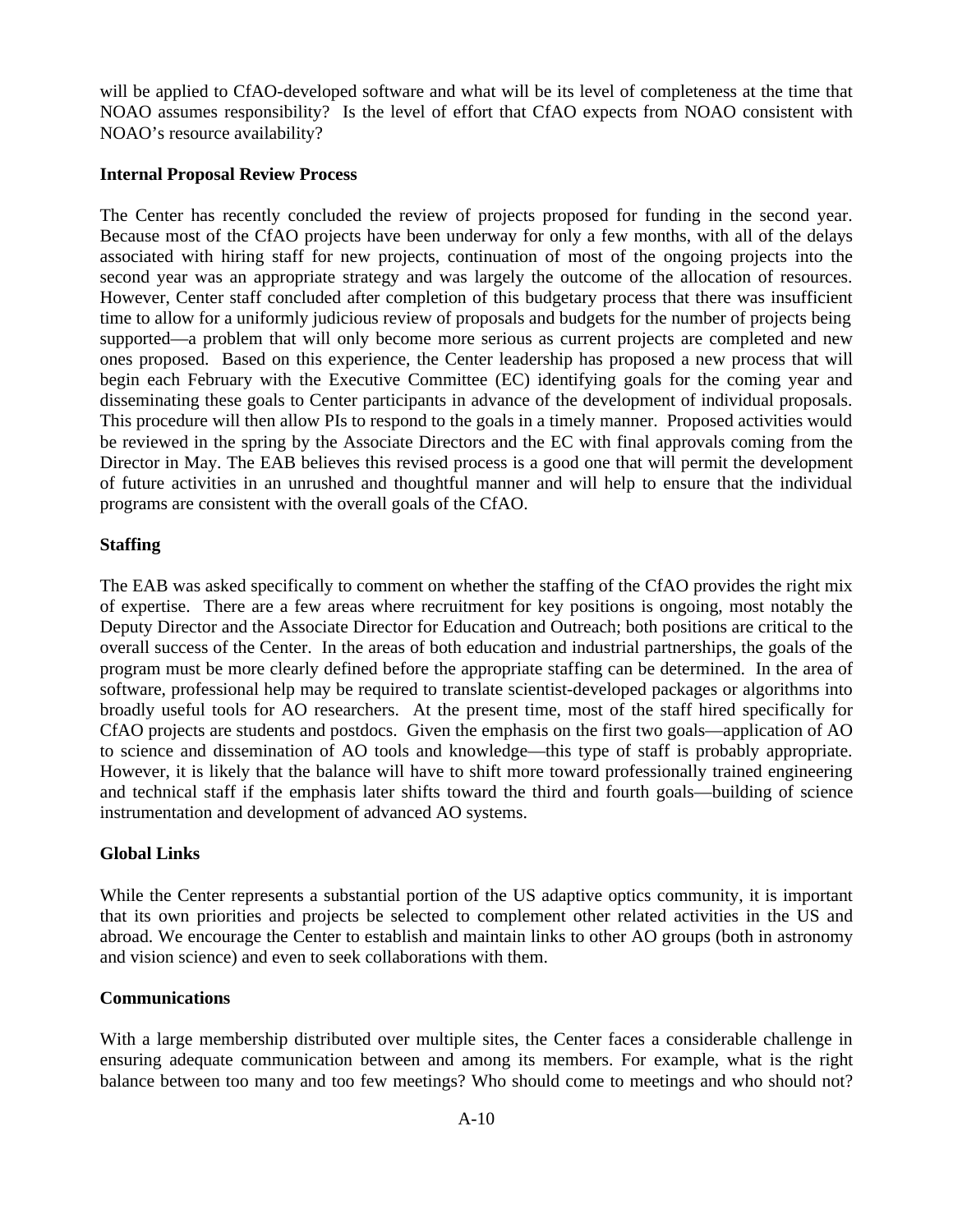will be applied to CfAO-developed software and what will be its level of completeness at the time that NOAO assumes responsibility? Is the level of effort that CfAO expects from NOAO consistent with NOAO's resource availability?

### **Internal Proposal Review Process**

The Center has recently concluded the review of projects proposed for funding in the second year. Because most of the CfAO projects have been underway for only a few months, with all of the delays associated with hiring staff for new projects, continuation of most of the ongoing projects into the second year was an appropriate strategy and was largely the outcome of the allocation of resources. However, Center staff concluded after completion of this budgetary process that there was insufficient time to allow for a uniformly judicious review of proposals and budgets for the number of projects being supported—a problem that will only become more serious as current projects are completed and new ones proposed. Based on this experience, the Center leadership has proposed a new process that will begin each February with the Executive Committee (EC) identifying goals for the coming year and disseminating these goals to Center participants in advance of the development of individual proposals. This procedure will then allow PIs to respond to the goals in a timely manner. Proposed activities would be reviewed in the spring by the Associate Directors and the EC with final approvals coming from the Director in May. The EAB believes this revised process is a good one that will permit the development of future activities in an unrushed and thoughtful manner and will help to ensure that the individual programs are consistent with the overall goals of the CfAO.

# **Staffing**

The EAB was asked specifically to comment on whether the staffing of the CfAO provides the right mix of expertise. There are a few areas where recruitment for key positions is ongoing, most notably the Deputy Director and the Associate Director for Education and Outreach; both positions are critical to the overall success of the Center. In the areas of both education and industrial partnerships, the goals of the program must be more clearly defined before the appropriate staffing can be determined. In the area of software, professional help may be required to translate scientist-developed packages or algorithms into broadly useful tools for AO researchers. At the present time, most of the staff hired specifically for CfAO projects are students and postdocs. Given the emphasis on the first two goals—application of AO to science and dissemination of AO tools and knowledge—this type of staff is probably appropriate. However, it is likely that the balance will have to shift more toward professionally trained engineering and technical staff if the emphasis later shifts toward the third and fourth goals—building of science instrumentation and development of advanced AO systems.

### **Global Links**

While the Center represents a substantial portion of the US adaptive optics community, it is important that its own priorities and projects be selected to complement other related activities in the US and abroad. We encourage the Center to establish and maintain links to other AO groups (both in astronomy and vision science) and even to seek collaborations with them.

### **Communications**

With a large membership distributed over multiple sites, the Center faces a considerable challenge in ensuring adequate communication between and among its members. For example, what is the right balance between too many and too few meetings? Who should come to meetings and who should not?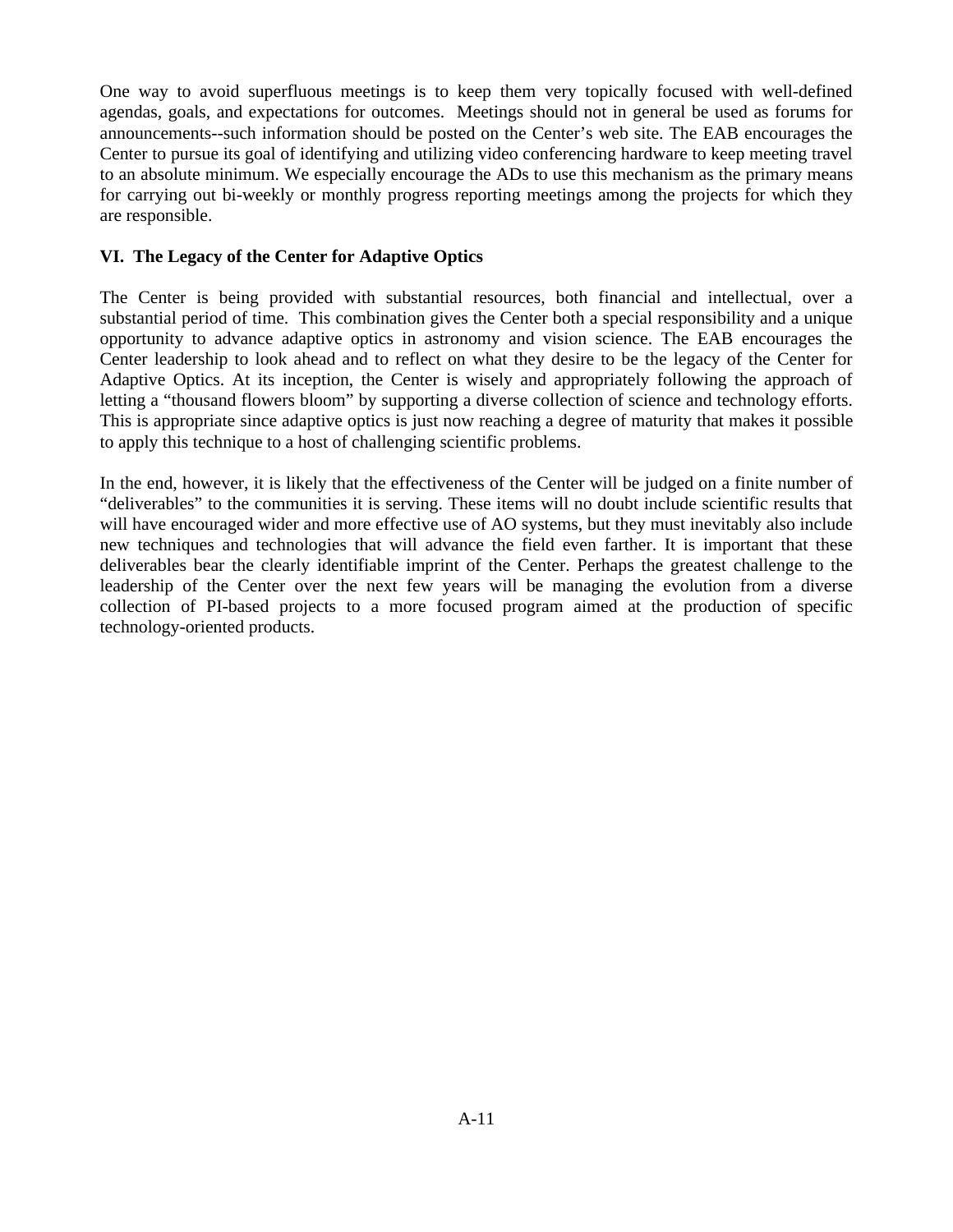One way to avoid superfluous meetings is to keep them very topically focused with well-defined agendas, goals, and expectations for outcomes. Meetings should not in general be used as forums for announcements--such information should be posted on the Center's web site. The EAB encourages the Center to pursue its goal of identifying and utilizing video conferencing hardware to keep meeting travel to an absolute minimum. We especially encourage the ADs to use this mechanism as the primary means for carrying out bi-weekly or monthly progress reporting meetings among the projects for which they are responsible.

# **VI. The Legacy of the Center for Adaptive Optics**

The Center is being provided with substantial resources, both financial and intellectual, over a substantial period of time. This combination gives the Center both a special responsibility and a unique opportunity to advance adaptive optics in astronomy and vision science. The EAB encourages the Center leadership to look ahead and to reflect on what they desire to be the legacy of the Center for Adaptive Optics. At its inception, the Center is wisely and appropriately following the approach of letting a "thousand flowers bloom" by supporting a diverse collection of science and technology efforts. This is appropriate since adaptive optics is just now reaching a degree of maturity that makes it possible to apply this technique to a host of challenging scientific problems.

In the end, however, it is likely that the effectiveness of the Center will be judged on a finite number of "deliverables" to the communities it is serving. These items will no doubt include scientific results that will have encouraged wider and more effective use of AO systems, but they must inevitably also include new techniques and technologies that will advance the field even farther. It is important that these deliverables bear the clearly identifiable imprint of the Center. Perhaps the greatest challenge to the leadership of the Center over the next few years will be managing the evolution from a diverse collection of PI-based projects to a more focused program aimed at the production of specific technology-oriented products.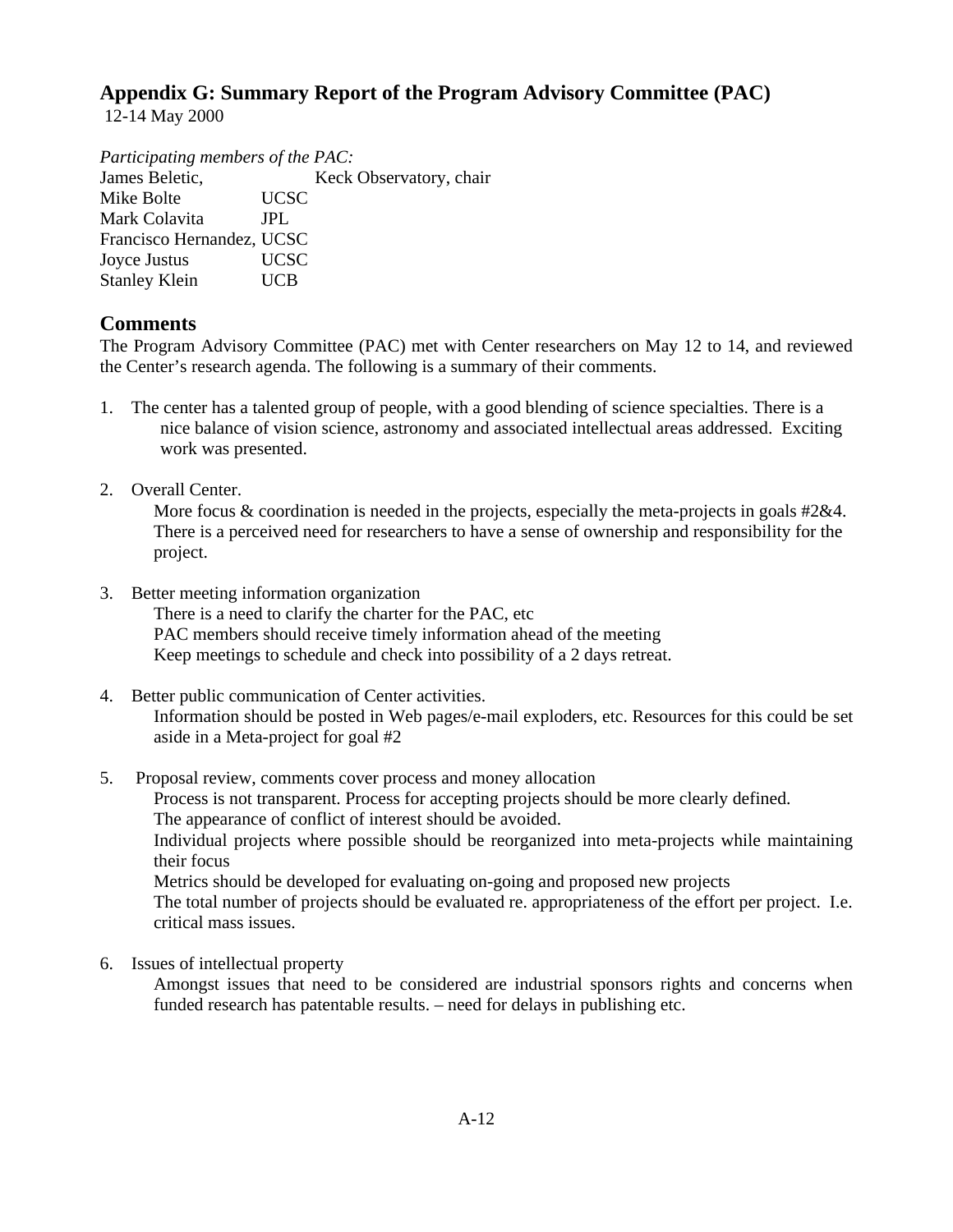# **Appendix G: Summary Report of the Program Advisory Committee (PAC)**

12-14 May 2000

*Participating members of the PAC:*

James Beletic, Keck Observatory, chair Mike Bolte UCSC Mark Colavita JPL Francisco Hernandez, UCSC Joyce Justus UCSC Stanley Klein UCB

# **Comments**

The Program Advisory Committee (PAC) met with Center researchers on May 12 to 14, and reviewed the Center's research agenda. The following is a summary of their comments.

- 1. The center has a talented group of people, with a good blending of science specialties. There is a nice balance of vision science, astronomy and associated intellectual areas addressed. Exciting work was presented.
- 2. Overall Center.

More focus & coordination is needed in the projects, especially the meta-projects in goals #2&4. There is a perceived need for researchers to have a sense of ownership and responsibility for the project.

3. Better meeting information organization

There is a need to clarify the charter for the PAC, etc

- PAC members should receive timely information ahead of the meeting
- Keep meetings to schedule and check into possibility of a 2 days retreat.
- 4. Better public communication of Center activities. Information should be posted in Web pages/e-mail exploders, etc. Resources for this could be set aside in a Meta-project for goal #2
- 5. Proposal review, comments cover process and money allocation

Process is not transparent. Process for accepting projects should be more clearly defined.

The appearance of conflict of interest should be avoided.

Individual projects where possible should be reorganized into meta-projects while maintaining their focus

Metrics should be developed for evaluating on-going and proposed new projects

The total number of projects should be evaluated re. appropriateness of the effort per project. I.e. critical mass issues.

6. Issues of intellectual property

Amongst issues that need to be considered are industrial sponsors rights and concerns when funded research has patentable results. – need for delays in publishing etc.